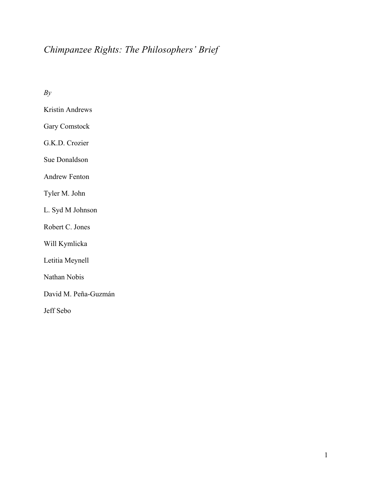# *Chimpanzee Rights: The Philosophers' Brief*

*By*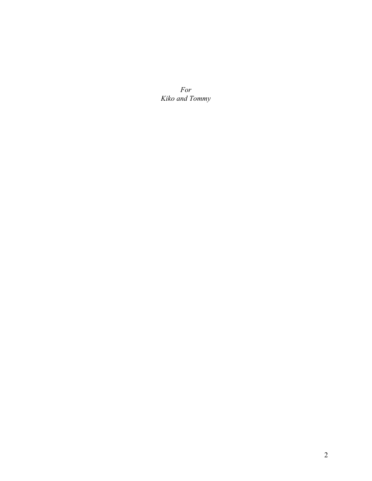*For Kiko and Tommy*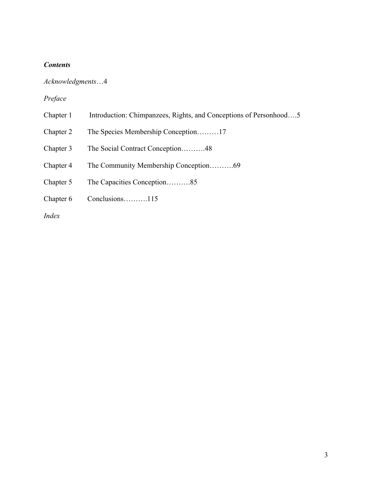## *Contents*

# *Acknowledgments*…4

## *Preface*

- Chapter 1 Introduction: Chimpanzees, Rights, and Conceptions of Personhood...5
- Chapter 2 The Species Membership Conception………17
- Chapter 3 The Social Contract Conception……….48
- Chapter 4 The Community Membership Conception……….69
- Chapter 5 The Capacities Conception……….85
- Chapter 6 Conclusions……….115

*Index*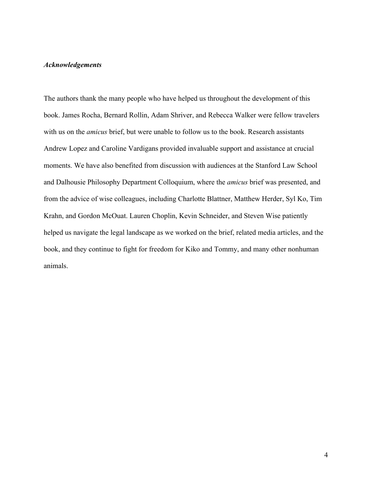## *Acknowledgements*

The authors thank the many people who have helped us throughout the development of this book. James Rocha, Bernard Rollin, Adam Shriver, and Rebecca Walker were fellow travelers with us on the *amicus* brief, but were unable to follow us to the book. Research assistants Andrew Lopez and Caroline Vardigans provided invaluable support and assistance at crucial moments. We have also benefited from discussion with audiences at the Stanford Law School and Dalhousie Philosophy Department Colloquium, where the *amicus* brief was presented, and from the advice of wise colleagues, including Charlotte Blattner, Matthew Herder, Syl Ko, Tim Krahn, and Gordon McOuat. Lauren Choplin, Kevin Schneider, and Steven Wise patiently helped us navigate the legal landscape as we worked on the brief, related media articles, and the book, and they continue to fight for freedom for Kiko and Tommy, and many other nonhuman animals.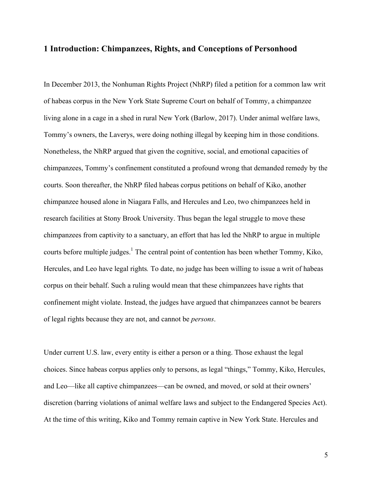## **1 Introduction: Chimpanzees, Rights, and Conceptions of Personhood**

In December 2013, the Nonhuman Rights Project (NhRP) filed a petition for a common law writ of habeas corpus in the New York State Supreme Court on behalf of Tommy, a chimpanzee living alone in a cage in a shed in rural New York (Barlow, 2017). Under animal welfare laws, Tommy's owners, the Laverys, were doing nothing illegal by keeping him in those conditions. Nonetheless, the NhRP argued that given the cognitive, social, and emotional capacities of chimpanzees, Tommy's confinement constituted a profound wrong that demanded remedy by the courts. Soon thereafter, the NhRP filed habeas corpus petitions on behalf of Kiko, another chimpanzee housed alone in Niagara Falls, and Hercules and Leo, two chimpanzees held in research facilities at Stony Brook University. Thus began the legal struggle to move these chimpanzees from captivity to a sanctuary, an effort that has led the NhRP to argue in multiple courts before multiple judges.<sup>1</sup> The central point of contention has been whether Tommy, Kiko, Hercules, and Leo have legal rights*.* To date, no judge has been willing to issue a writ of habeas corpus on their behalf. Such a ruling would mean that these chimpanzees have rights that confinement might violate. Instead, the judges have argued that chimpanzees cannot be bearers of legal rights because they are not, and cannot be *persons*.

Under current U.S. law, every entity is either a person or a thing. Those exhaust the legal choices. Since habeas corpus applies only to persons, as legal "things," Tommy, Kiko, Hercules, and Leo—like all captive chimpanzees—can be owned, and moved, or sold at their owners' discretion (barring violations of animal welfare laws and subject to the Endangered Species Act). At the time of this writing, Kiko and Tommy remain captive in New York State. Hercules and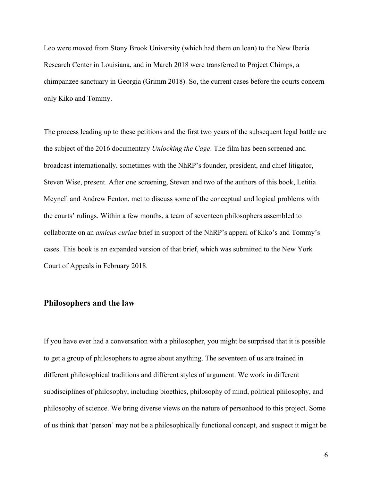Leo were moved from Stony Brook University (which had them on loan) to the New Iberia Research Center in Louisiana, and in March 2018 were transferred to Project Chimps, a chimpanzee sanctuary in Georgia (Grimm 2018). So, the current cases before the courts concern only Kiko and Tommy.

The process leading up to these petitions and the first two years of the subsequent legal battle are the subject of the 2016 documentary *Unlocking the Cage*. The film has been screened and broadcast internationally, sometimes with the NhRP's founder, president, and chief litigator, Steven Wise, present. After one screening, Steven and two of the authors of this book, Letitia Meynell and Andrew Fenton, met to discuss some of the conceptual and logical problems with the courts' rulings. Within a few months, a team of seventeen philosophers assembled to collaborate on an *amicus curiae* brief in support of the NhRP's appeal of Kiko's and Tommy's cases. This book is an expanded version of that brief, which was submitted to the New York Court of Appeals in February 2018.

#### **Philosophers and the law**

If you have ever had a conversation with a philosopher, you might be surprised that it is possible to get a group of philosophers to agree about anything. The seventeen of us are trained in different philosophical traditions and different styles of argument. We work in different subdisciplines of philosophy, including bioethics, philosophy of mind, political philosophy, and philosophy of science. We bring diverse views on the nature of personhood to this project. Some of us think that 'person' may not be a philosophically functional concept, and suspect it might be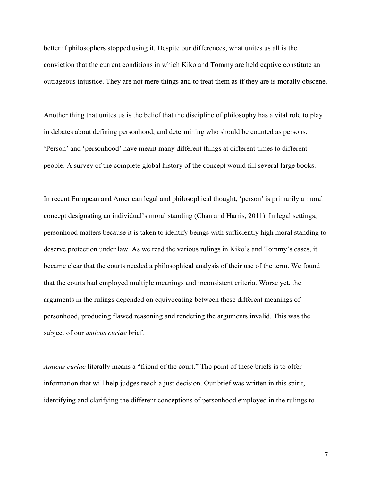better if philosophers stopped using it. Despite our differences, what unites us all is the conviction that the current conditions in which Kiko and Tommy are held captive constitute an outrageous injustice. They are not mere things and to treat them as if they are is morally obscene.

Another thing that unites us is the belief that the discipline of philosophy has a vital role to play in debates about defining personhood, and determining who should be counted as persons. 'Person' and 'personhood' have meant many different things at different times to different people. A survey of the complete global history of the concept would fill several large books.

In recent European and American legal and philosophical thought, 'person' is primarily a moral concept designating an individual's moral standing (Chan and Harris, 2011). In legal settings, personhood matters because it is taken to identify beings with sufficiently high moral standing to deserve protection under law. As we read the various rulings in Kiko's and Tommy's cases, it became clear that the courts needed a philosophical analysis of their use of the term. We found that the courts had employed multiple meanings and inconsistent criteria. Worse yet, the arguments in the rulings depended on equivocating between these different meanings of personhood, producing flawed reasoning and rendering the arguments invalid. This was the subject of our *amicus curiae* brief.

*Amicus curiae* literally means a "friend of the court." The point of these briefs is to offer information that will help judges reach a just decision. Our brief was written in this spirit, identifying and clarifying the different conceptions of personhood employed in the rulings to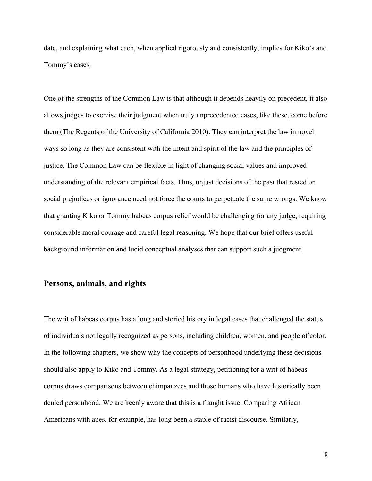date, and explaining what each, when applied rigorously and consistently, implies for Kiko's and Tommy's cases.

One of the strengths of the Common Law is that although it depends heavily on precedent, it also allows judges to exercise their judgment when truly unprecedented cases, like these, come before them (The Regents of the University of California 2010). They can interpret the law in novel ways so long as they are consistent with the intent and spirit of the law and the principles of justice. The Common Law can be flexible in light of changing social values and improved understanding of the relevant empirical facts. Thus, unjust decisions of the past that rested on social prejudices or ignorance need not force the courts to perpetuate the same wrongs. We know that granting Kiko or Tommy habeas corpus relief would be challenging for any judge, requiring considerable moral courage and careful legal reasoning. We hope that our brief offers useful background information and lucid conceptual analyses that can support such a judgment.

## **Persons, animals, and rights**

The writ of habeas corpus has a long and storied history in legal cases that challenged the status of individuals not legally recognized as persons, including children, women, and people of color. In the following chapters, we show why the concepts of personhood underlying these decisions should also apply to Kiko and Tommy. As a legal strategy, petitioning for a writ of habeas corpus draws comparisons between chimpanzees and those humans who have historically been denied personhood. We are keenly aware that this is a fraught issue. Comparing African Americans with apes, for example, has long been a staple of racist discourse. Similarly,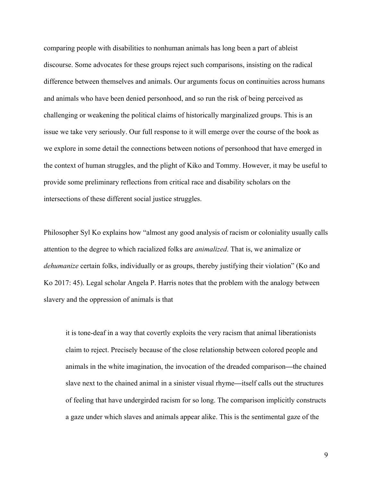comparing people with disabilities to nonhuman animals has long been a part of ableist discourse. Some advocates for these groups reject such comparisons, insisting on the radical difference between themselves and animals. Our arguments focus on continuities across humans and animals who have been denied personhood, and so run the risk of being perceived as challenging or weakening the political claims of historically marginalized groups. This is an issue we take very seriously. Our full response to it will emerge over the course of the book as we explore in some detail the connections between notions of personhood that have emerged in the context of human struggles, and the plight of Kiko and Tommy. However, it may be useful to provide some preliminary reflections from critical race and disability scholars on the intersections of these different social justice struggles.

Philosopher Syl Ko explains how "almost any good analysis of racism or coloniality usually calls attention to the degree to which racialized folks are *animalized*. That is, we animalize or *dehumanize* certain folks, individually or as groups, thereby justifying their violation" (Ko and Ko 2017: 45). Legal scholar Angela P. Harris notes that the problem with the analogy between slavery and the oppression of animals is that

it is tone-deaf in a way that covertly exploits the very racism that animal liberationists claim to reject. Precisely because of the close relationship between colored people and animals in the white imagination, the invocation of the dreaded comparison**—**the chained slave next to the chained animal in a sinister visual rhyme**—**itself calls out the structures of feeling that have undergirded racism for so long. The comparison implicitly constructs a gaze under which slaves and animals appear alike. This is the sentimental gaze of the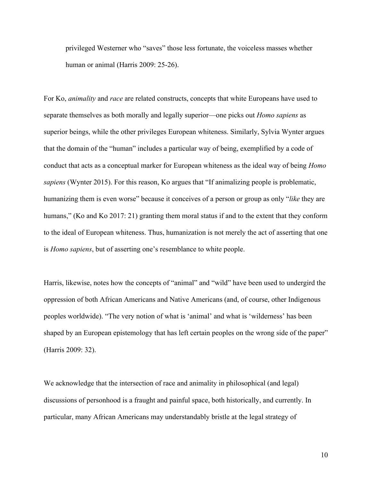privileged Westerner who "saves" those less fortunate, the voiceless masses whether human or animal (Harris 2009: 25-26).

For Ko, *animality* and *race* are related constructs, concepts that white Europeans have used to separate themselves as both morally and legally superior—one picks out *Homo sapiens* as superior beings, while the other privileges European whiteness. Similarly, Sylvia Wynter argues that the domain of the "human" includes a particular way of being, exemplified by a code of conduct that acts as a conceptual marker for European whiteness as the ideal way of being *Homo sapiens* (Wynter 2015). For this reason, Ko argues that "If animalizing people is problematic, humanizing them is even worse" because it conceives of a person or group as only "*like* they are humans," (Ko and Ko 2017: 21) granting them moral status if and to the extent that they conform to the ideal of European whiteness. Thus, humanization is not merely the act of asserting that one is *Homo sapiens*, but of asserting one's resemblance to white people.

Harris, likewise, notes how the concepts of "animal" and "wild" have been used to undergird the oppression of both African Americans and Native Americans (and, of course, other Indigenous peoples worldwide). "The very notion of what is 'animal' and what is 'wilderness' has been shaped by an European epistemology that has left certain peoples on the wrong side of the paper" (Harris 2009: 32).

We acknowledge that the intersection of race and animality in philosophical (and legal) discussions of personhood is a fraught and painful space, both historically, and currently. In particular, many African Americans may understandably bristle at the legal strategy of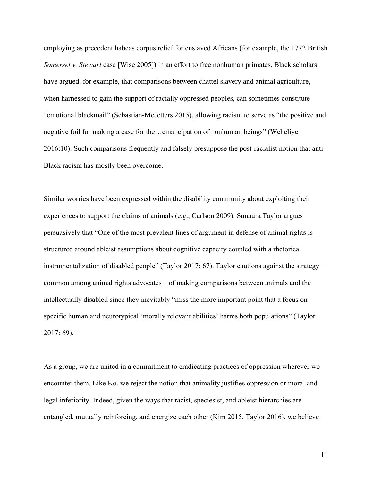employing as precedent habeas corpus relief for enslaved Africans (for example, the 1772 British *Somerset v. Stewart* case [Wise 2005]) in an effort to free nonhuman primates. Black scholars have argued, for example, that comparisons between chattel slavery and animal agriculture, when harnessed to gain the support of racially oppressed peoples, can sometimes constitute "emotional blackmail" (Sebastian-McJetters 2015), allowing racism to serve as "the positive and negative foil for making a case for the…emancipation of nonhuman beings" (Weheliye 2016:10). Such comparisons frequently and falsely presuppose the post-racialist notion that anti-Black racism has mostly been overcome.

Similar worries have been expressed within the disability community about exploiting their experiences to support the claims of animals (e.g., Carlson 2009). Sunaura Taylor argues persuasively that "One of the most prevalent lines of argument in defense of animal rights is structured around ableist assumptions about cognitive capacity coupled with a rhetorical instrumentalization of disabled people" (Taylor 2017: 67). Taylor cautions against the strategy common among animal rights advocates—of making comparisons between animals and the intellectually disabled since they inevitably "miss the more important point that a focus on specific human and neurotypical 'morally relevant abilities' harms both populations" (Taylor 2017: 69).

As a group, we are united in a commitment to eradicating practices of oppression wherever we encounter them. Like Ko, we reject the notion that animality justifies oppression or moral and legal inferiority. Indeed, given the ways that racist, speciesist, and ableist hierarchies are entangled, mutually reinforcing, and energize each other (Kim 2015, Taylor 2016), we believe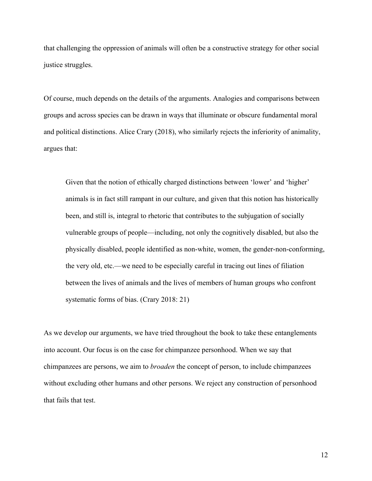that challenging the oppression of animals will often be a constructive strategy for other social justice struggles.

Of course, much depends on the details of the arguments. Analogies and comparisons between groups and across species can be drawn in ways that illuminate or obscure fundamental moral and political distinctions. Alice Crary (2018), who similarly rejects the inferiority of animality, argues that:

Given that the notion of ethically charged distinctions between 'lower' and 'higher' animals is in fact still rampant in our culture, and given that this notion has historically been, and still is, integral to rhetoric that contributes to the subjugation of socially vulnerable groups of people—including, not only the cognitively disabled, but also the physically disabled, people identified as non-white, women, the gender-non-conforming, the very old, etc.—we need to be especially careful in tracing out lines of filiation between the lives of animals and the lives of members of human groups who confront systematic forms of bias. (Crary 2018: 21)

As we develop our arguments, we have tried throughout the book to take these entanglements into account. Our focus is on the case for chimpanzee personhood. When we say that chimpanzees are persons, we aim to *broaden* the concept of person, to include chimpanzees without excluding other humans and other persons. We reject any construction of personhood that fails that test.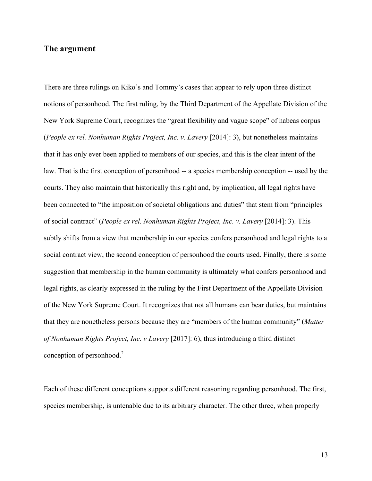## **The argument**

There are three rulings on Kiko's and Tommy's cases that appear to rely upon three distinct notions of personhood. The first ruling, by the Third Department of the Appellate Division of the New York Supreme Court, recognizes the "great flexibility and vague scope" of habeas corpus (*People ex rel. Nonhuman Rights Project, Inc. v. Lavery* [2014]: 3), but nonetheless maintains that it has only ever been applied to members of our species, and this is the clear intent of the law. That is the first conception of personhood -- a species membership conception -- used by the courts. They also maintain that historically this right and, by implication, all legal rights have been connected to "the imposition of societal obligations and duties" that stem from "principles of social contract" (*People ex rel. Nonhuman Rights Project, Inc. v. Lavery* [2014]: 3). This subtly shifts from a view that membership in our species confers personhood and legal rights to a social contract view, the second conception of personhood the courts used. Finally, there is some suggestion that membership in the human community is ultimately what confers personhood and legal rights, as clearly expressed in the ruling by the First Department of the Appellate Division of the New York Supreme Court. It recognizes that not all humans can bear duties, but maintains that they are nonetheless persons because they are "members of the human community" (*Matter of Nonhuman Rights Project, Inc. v Lavery* [2017]: 6), thus introducing a third distinct conception of personhood.<sup>2</sup>

Each of these different conceptions supports different reasoning regarding personhood. The first, species membership, is untenable due to its arbitrary character. The other three, when properly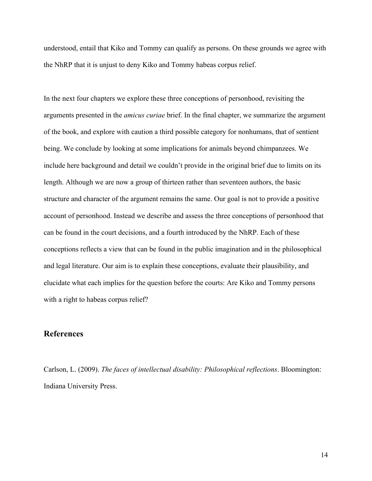understood, entail that Kiko and Tommy can qualify as persons. On these grounds we agree with the NhRP that it is unjust to deny Kiko and Tommy habeas corpus relief.

In the next four chapters we explore these three conceptions of personhood, revisiting the arguments presented in the *amicus curiae* brief. In the final chapter, we summarize the argument of the book, and explore with caution a third possible category for nonhumans, that of sentient being. We conclude by looking at some implications for animals beyond chimpanzees. We include here background and detail we couldn't provide in the original brief due to limits on its length. Although we are now a group of thirteen rather than seventeen authors, the basic structure and character of the argument remains the same. Our goal is not to provide a positive account of personhood. Instead we describe and assess the three conceptions of personhood that can be found in the court decisions, and a fourth introduced by the NhRP. Each of these conceptions reflects a view that can be found in the public imagination and in the philosophical and legal literature. Our aim is to explain these conceptions, evaluate their plausibility, and elucidate what each implies for the question before the courts: Are Kiko and Tommy persons with a right to habeas corpus relief?

## **References**

Carlson, L. (2009). *The faces of intellectual disability: Philosophical reflections*. Bloomington: Indiana University Press.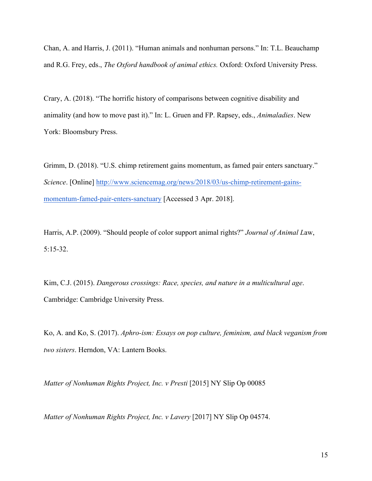Chan, A. and Harris, J. (2011). "Human animals and nonhuman persons." In: T.L. Beauchamp and R.G. Frey, eds., *The Oxford handbook of animal ethics.* Oxford: Oxford University Press.

Crary, A. (2018). "The horrific history of comparisons between cognitive disability and animality (and how to move past it)." In: L. Gruen and FP. Rapsey, eds., *Animaladies*. New York: Bloomsbury Press.

Grimm, D. (2018). "U.S. chimp retirement gains momentum, as famed pair enters sanctuary." *Science*. [Online] http://www.sciencemag.org/news/2018/03/us-chimp-retirement-gainsmomentum-famed-pair-enters-sanctuary [Accessed 3 Apr. 2018].

Harris, A.P. (2009). "Should people of color support animal rights?" *Journal of Animal L*aw, 5:15-32.

Kim, C.J. (2015). *Dangerous crossings: Race, species, and nature in a multicultural age*. Cambridge: Cambridge University Press.

Ko, A. and Ko, S. (2017). *Aphro-ism: Essays on pop culture, feminism, and black veganism from two sisters*. Herndon, VA: Lantern Books.

*Matter of Nonhuman Rights Project, Inc. v Presti* [2015] NY Slip Op 00085

*Matter of Nonhuman Rights Project, Inc. v Lavery* [2017] NY Slip Op 04574.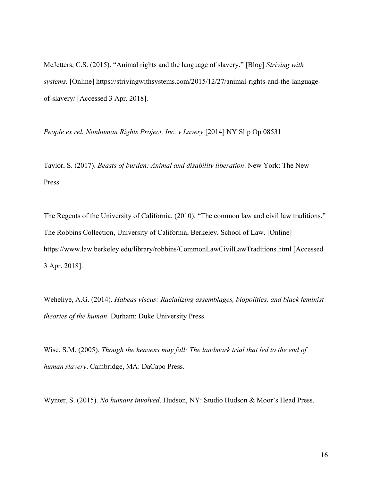McJetters, C.S. (2015). "Animal rights and the language of slavery." [Blog] *Striving with systems.* [Online] https://strivingwithsystems.com/2015/12/27/animal-rights-and-the-languageof-slavery/ [Accessed 3 Apr. 2018].

*People ex rel. Nonhuman Rights Project, Inc. v Lavery* [2014] NY Slip Op 08531

Taylor, S. (2017). *Beasts of burden: Animal and disability liberation*. New York: The New Press.

The Regents of the University of California*.* (2010). "The common law and civil law traditions." The Robbins Collection, University of California, Berkeley, School of Law. [Online] https://www.law.berkeley.edu/library/robbins/CommonLawCivilLawTraditions.html [Accessed 3 Apr. 2018].

Weheliye, A.G. (2014). *Habeas viscus: Racializing assemblages, biopolitics, and black feminist theories of the human*. Durham: Duke University Press.

Wise, S.M. (2005). *Though the heavens may fall: The landmark trial that led to the end of human slavery*. Cambridge, MA: DaCapo Press.

Wynter, S. (2015). *No humans involved*. Hudson, NY: Studio Hudson & Moor's Head Press.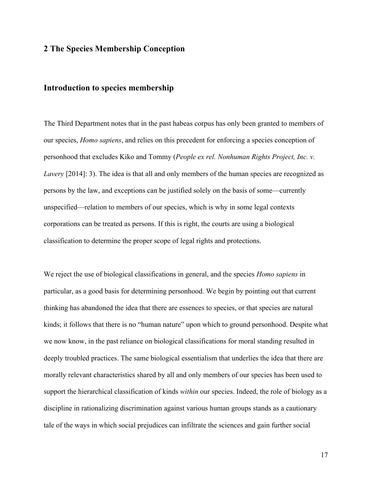# **2 The Species Membership Conception**

## **Introduction to species membership**

The Third Department notes that in the past habeas corpus has only been granted to members of our species, *Homo sapiens*, and relies on this precedent for enforcing a species conception of personhood that excludes Kiko and Tommy (*People ex rel. Nonhuman Rights Project, Inc. v. Lavery* [2014]: 3). The idea is that all and only members of the human species are recognized as persons by the law, and exceptions can be justified solely on the basis of some—currently unspecified—relation to members of our species, which is why in some legal contexts corporations can be treated as persons. If this is right, the courts are using a biological classification to determine the proper scope of legal rights and protections.

We reject the use of biological classifications in general, and the species *Homo sapiens* in particular, as a good basis for determining personhood. We begin by pointing out that current thinking has abandoned the idea that there are essences to species, or that species are natural kinds; it follows that there is no "human nature" upon which to ground personhood. Despite what we now know, in the past reliance on biological classifications for moral standing resulted in deeply troubled practices. The same biological essentialism that underlies the idea that there are morally relevant characteristics shared by all and only members of our species has been used to support the hierarchical classification of kinds *within* our species. Indeed, the role of biology as a discipline in rationalizing discrimination against various human groups stands as a cautionary tale of the ways in which social prejudices can infiltrate the sciences and gain further social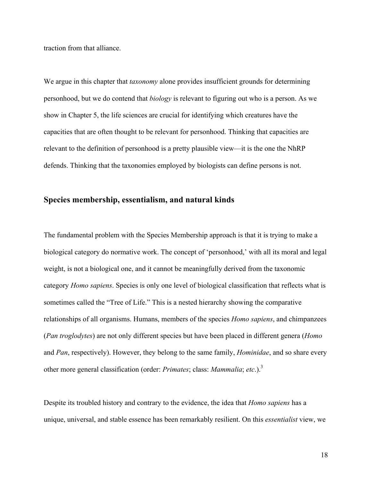traction from that alliance.

We argue in this chapter that *taxonomy* alone provides insufficient grounds for determining personhood, but we do contend that *biology* is relevant to figuring out who is a person. As we show in Chapter 5, the life sciences are crucial for identifying which creatures have the capacities that are often thought to be relevant for personhood. Thinking that capacities are relevant to the definition of personhood is a pretty plausible view—it is the one the NhRP defends. Thinking that the taxonomies employed by biologists can define persons is not.

# **Species membership, essentialism, and natural kinds**

The fundamental problem with the Species Membership approach is that it is trying to make a biological category do normative work. The concept of 'personhood,' with all its moral and legal weight, is not a biological one, and it cannot be meaningfully derived from the taxonomic category *Homo sapiens*. Species is only one level of biological classification that reflects what is sometimes called the "Tree of Life." This is a nested hierarchy showing the comparative relationships of all organisms. Humans, members of the species *Homo sapiens*, and chimpanzees (*Pan troglodytes*) are not only different species but have been placed in different genera (*Homo* and *Pan*, respectively). However, they belong to the same family, *Hominidae*, and so share every other more general classification (order: *Primates*; class: *Mammalia*; *etc*.).3

Despite its troubled history and contrary to the evidence, the idea that *Homo sapiens* has a unique, universal, and stable essence has been remarkably resilient. On this *essentialist* view, we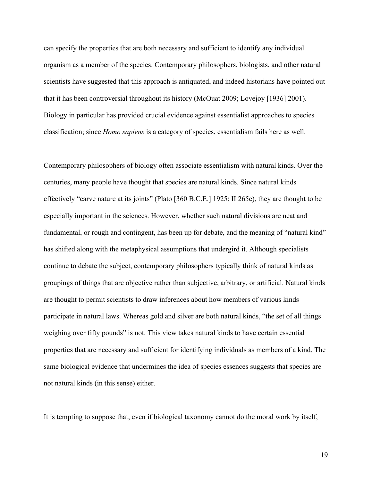can specify the properties that are both necessary and sufficient to identify any individual organism as a member of the species. Contemporary philosophers, biologists, and other natural scientists have suggested that this approach is antiquated, and indeed historians have pointed out that it has been controversial throughout its history (McOuat 2009; Lovejoy [1936] 2001). Biology in particular has provided crucial evidence against essentialist approaches to species classification; since *Homo sapiens* is a category of species, essentialism fails here as well.

Contemporary philosophers of biology often associate essentialism with natural kinds. Over the centuries, many people have thought that species are natural kinds. Since natural kinds effectively "carve nature at its joints" (Plato [360 B.C.E.] 1925: II 265e), they are thought to be especially important in the sciences. However, whether such natural divisions are neat and fundamental, or rough and contingent, has been up for debate, and the meaning of "natural kind" has shifted along with the metaphysical assumptions that undergird it. Although specialists continue to debate the subject, contemporary philosophers typically think of natural kinds as groupings of things that are objective rather than subjective, arbitrary, or artificial. Natural kinds are thought to permit scientists to draw inferences about how members of various kinds participate in natural laws. Whereas gold and silver are both natural kinds, "the set of all things weighing over fifty pounds" is not. This view takes natural kinds to have certain essential properties that are necessary and sufficient for identifying individuals as members of a kind. The same biological evidence that undermines the idea of species essences suggests that species are not natural kinds (in this sense) either.

It is tempting to suppose that, even if biological taxonomy cannot do the moral work by itself,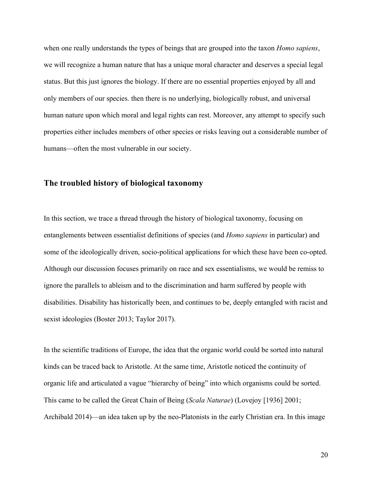when one really understands the types of beings that are grouped into the taxon *Homo sapiens*, we will recognize a human nature that has a unique moral character and deserves a special legal status. But this just ignores the biology. If there are no essential properties enjoyed by all and only members of our species. then there is no underlying, biologically robust, and universal human nature upon which moral and legal rights can rest. Moreover, any attempt to specify such properties either includes members of other species or risks leaving out a considerable number of humans—often the most vulnerable in our society.

## **The troubled history of biological taxonomy**

In this section, we trace a thread through the history of biological taxonomy, focusing on entanglements between essentialist definitions of species (and *Homo sapiens* in particular) and some of the ideologically driven, socio-political applications for which these have been co-opted. Although our discussion focuses primarily on race and sex essentialisms, we would be remiss to ignore the parallels to ableism and to the discrimination and harm suffered by people with disabilities. Disability has historically been, and continues to be, deeply entangled with racist and sexist ideologies (Boster 2013; Taylor 2017).

In the scientific traditions of Europe, the idea that the organic world could be sorted into natural kinds can be traced back to Aristotle. At the same time, Aristotle noticed the continuity of organic life and articulated a vague "hierarchy of being" into which organisms could be sorted. This came to be called the Great Chain of Being (*Scala Naturae*) (Lovejoy [1936] 2001; Archibald 2014)—an idea taken up by the neo-Platonists in the early Christian era. In this image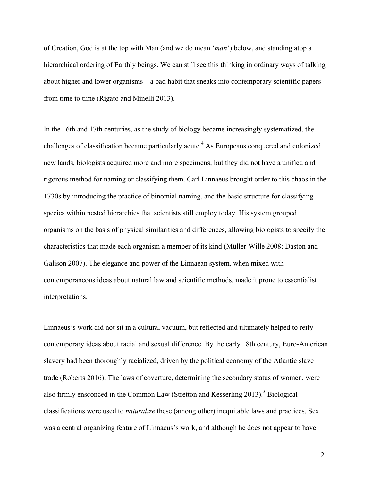of Creation, God is at the top with Man (and we do mean '*man*') below, and standing atop a hierarchical ordering of Earthly beings. We can still see this thinking in ordinary ways of talking about higher and lower organisms—a bad habit that sneaks into contemporary scientific papers from time to time (Rigato and Minelli 2013).

In the 16th and 17th centuries, as the study of biology became increasingly systematized, the challenges of classification became particularly acute.<sup>4</sup> As Europeans conquered and colonized new lands, biologists acquired more and more specimens; but they did not have a unified and rigorous method for naming or classifying them. Carl Linnaeus brought order to this chaos in the 1730s by introducing the practice of binomial naming, and the basic structure for classifying species within nested hierarchies that scientists still employ today. His system grouped organisms on the basis of physical similarities and differences, allowing biologists to specify the characteristics that made each organism a member of its kind (Müller-Wille 2008; Daston and Galison 2007). The elegance and power of the Linnaean system, when mixed with contemporaneous ideas about natural law and scientific methods, made it prone to essentialist interpretations.

Linnaeus's work did not sit in a cultural vacuum, but reflected and ultimately helped to reify contemporary ideas about racial and sexual difference. By the early 18th century, Euro-American slavery had been thoroughly racialized, driven by the political economy of the Atlantic slave trade (Roberts 2016). The laws of coverture, determining the secondary status of women, were also firmly ensconced in the Common Law (Stretton and Kesserling 2013).<sup>5</sup> Biological classifications were used to *naturalize* these (among other) inequitable laws and practices. Sex was a central organizing feature of Linnaeus's work, and although he does not appear to have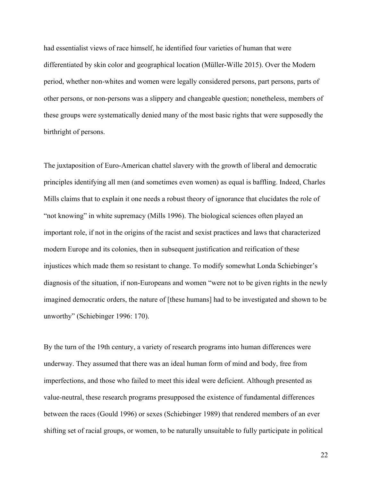had essentialist views of race himself, he identified four varieties of human that were differentiated by skin color and geographical location (Müller-Wille 2015). Over the Modern period, whether non-whites and women were legally considered persons, part persons, parts of other persons, or non-persons was a slippery and changeable question; nonetheless, members of these groups were systematically denied many of the most basic rights that were supposedly the birthright of persons.

The juxtaposition of Euro-American chattel slavery with the growth of liberal and democratic principles identifying all men (and sometimes even women) as equal is baffling. Indeed, Charles Mills claims that to explain it one needs a robust theory of ignorance that elucidates the role of "not knowing" in white supremacy (Mills 1996). The biological sciences often played an important role, if not in the origins of the racist and sexist practices and laws that characterized modern Europe and its colonies, then in subsequent justification and reification of these injustices which made them so resistant to change. To modify somewhat Londa Schiebinger's diagnosis of the situation, if non-Europeans and women "were not to be given rights in the newly imagined democratic orders, the nature of [these humans] had to be investigated and shown to be unworthy" (Schiebinger 1996: 170).

By the turn of the 19th century, a variety of research programs into human differences were underway. They assumed that there was an ideal human form of mind and body, free from imperfections, and those who failed to meet this ideal were deficient. Although presented as value-neutral, these research programs presupposed the existence of fundamental differences between the races (Gould 1996) or sexes (Schiebinger 1989) that rendered members of an ever shifting set of racial groups, or women, to be naturally unsuitable to fully participate in political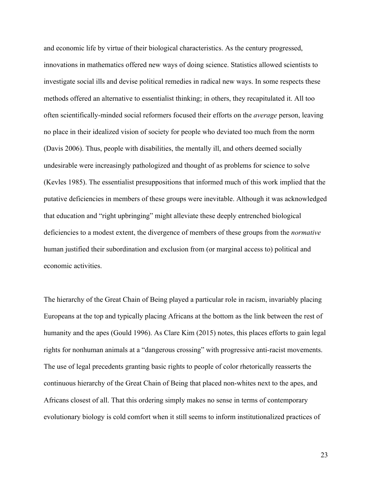and economic life by virtue of their biological characteristics. As the century progressed, innovations in mathematics offered new ways of doing science. Statistics allowed scientists to investigate social ills and devise political remedies in radical new ways. In some respects these methods offered an alternative to essentialist thinking; in others, they recapitulated it. All too often scientifically-minded social reformers focused their efforts on the *average* person, leaving no place in their idealized vision of society for people who deviated too much from the norm (Davis 2006). Thus, people with disabilities, the mentally ill, and others deemed socially undesirable were increasingly pathologized and thought of as problems for science to solve (Kevles 1985). The essentialist presuppositions that informed much of this work implied that the putative deficiencies in members of these groups were inevitable. Although it was acknowledged that education and "right upbringing" might alleviate these deeply entrenched biological deficiencies to a modest extent, the divergence of members of these groups from the *normative* human justified their subordination and exclusion from (or marginal access to) political and economic activities.

The hierarchy of the Great Chain of Being played a particular role in racism, invariably placing Europeans at the top and typically placing Africans at the bottom as the link between the rest of humanity and the apes (Gould 1996). As Clare Kim (2015) notes, this places efforts to gain legal rights for nonhuman animals at a "dangerous crossing" with progressive anti-racist movements. The use of legal precedents granting basic rights to people of color rhetorically reasserts the continuous hierarchy of the Great Chain of Being that placed non-whites next to the apes, and Africans closest of all. That this ordering simply makes no sense in terms of contemporary evolutionary biology is cold comfort when it still seems to inform institutionalized practices of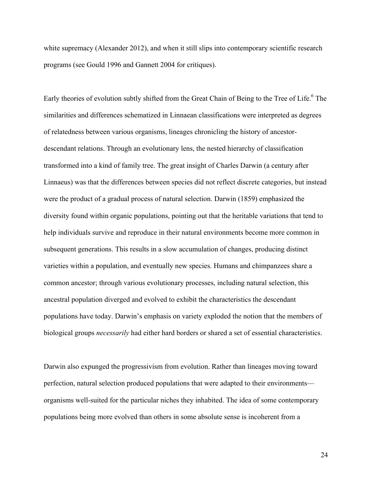white supremacy (Alexander 2012), and when it still slips into contemporary scientific research programs (see Gould 1996 and Gannett 2004 for critiques).

Early theories of evolution subtly shifted from the Great Chain of Being to the Tree of Life.<sup>6</sup> The similarities and differences schematized in Linnaean classifications were interpreted as degrees of relatedness between various organisms, lineages chronicling the history of ancestordescendant relations. Through an evolutionary lens, the nested hierarchy of classification transformed into a kind of family tree. The great insight of Charles Darwin (a century after Linnaeus) was that the differences between species did not reflect discrete categories, but instead were the product of a gradual process of natural selection. Darwin (1859) emphasized the diversity found within organic populations, pointing out that the heritable variations that tend to help individuals survive and reproduce in their natural environments become more common in subsequent generations. This results in a slow accumulation of changes, producing distinct varieties within a population, and eventually new species. Humans and chimpanzees share a common ancestor; through various evolutionary processes, including natural selection, this ancestral population diverged and evolved to exhibit the characteristics the descendant populations have today. Darwin's emphasis on variety exploded the notion that the members of biological groups *necessarily* had either hard borders or shared a set of essential characteristics.

Darwin also expunged the progressivism from evolution. Rather than lineages moving toward perfection, natural selection produced populations that were adapted to their environments organisms well-suited for the particular niches they inhabited. The idea of some contemporary populations being more evolved than others in some absolute sense is incoherent from a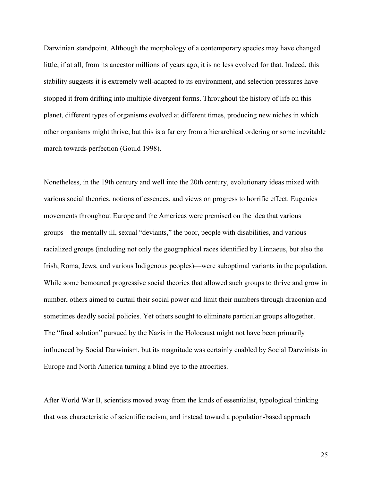Darwinian standpoint. Although the morphology of a contemporary species may have changed little, if at all, from its ancestor millions of years ago, it is no less evolved for that. Indeed, this stability suggests it is extremely well-adapted to its environment, and selection pressures have stopped it from drifting into multiple divergent forms. Throughout the history of life on this planet, different types of organisms evolved at different times, producing new niches in which other organisms might thrive, but this is a far cry from a hierarchical ordering or some inevitable march towards perfection (Gould 1998).

Nonetheless, in the 19th century and well into the 20th century, evolutionary ideas mixed with various social theories, notions of essences, and views on progress to horrific effect. Eugenics movements throughout Europe and the Americas were premised on the idea that various groups—the mentally ill, sexual "deviants," the poor, people with disabilities, and various racialized groups (including not only the geographical races identified by Linnaeus, but also the Irish, Roma, Jews, and various Indigenous peoples)—were suboptimal variants in the population. While some bemoaned progressive social theories that allowed such groups to thrive and grow in number, others aimed to curtail their social power and limit their numbers through draconian and sometimes deadly social policies. Yet others sought to eliminate particular groups altogether. The "final solution" pursued by the Nazis in the Holocaust might not have been primarily influenced by Social Darwinism, but its magnitude was certainly enabled by Social Darwinists in Europe and North America turning a blind eye to the atrocities.

After World War II, scientists moved away from the kinds of essentialist, typological thinking that was characteristic of scientific racism, and instead toward a population-based approach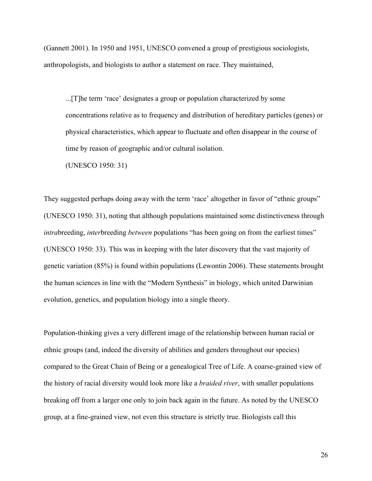(Gannett 2001). In 1950 and 1951, UNESCO convened a group of prestigious sociologists, anthropologists, and biologists to author a statement on race. They maintained,

...[T]he term 'race' designates a group or population characterized by some concentrations relative as to frequency and distribution of hereditary particles (genes) or physical characteristics, which appear to fluctuate and often disappear in the course of time by reason of geographic and/or cultural isolation.

(UNESCO 1950: 31)

They suggested perhaps doing away with the term 'race' altogether in favor of "ethnic groups" (UNESCO 1950: 31), noting that although populations maintained some distinctiveness through *intra*breeding, *inter*breeding *between* populations "has been going on from the earliest times" (UNESCO 1950: 33). This was in keeping with the later discovery that the vast majority of genetic variation (85%) is found within populations (Lewontin 2006). These statements brought the human sciences in line with the "Modern Synthesis" in biology, which united Darwinian evolution, genetics, and population biology into a single theory.

Population-thinking gives a very different image of the relationship between human racial or ethnic groups (and, indeed the diversity of abilities and genders throughout our species) compared to the Great Chain of Being or a genealogical Tree of Life. A coarse-grained view of the history of racial diversity would look more like a *braided river*, with smaller populations breaking off from a larger one only to join back again in the future. As noted by the UNESCO group, at a fine-grained view, not even this structure is strictly true. Biologists call this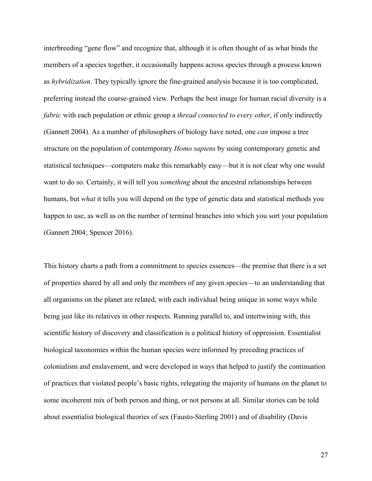interbreeding "gene flow" and recognize that, although it is often thought of as what binds the members of a species together, it occasionally happens across species through a process known as *hybridization*. They typically ignore the fine-grained analysis because it is too complicated, preferring instead the coarse-grained view. Perhaps the best image for human racial diversity is a *fabric* with each population or ethnic group a *thread connected to every other*, if only indirectly (Gannett 2004). As a number of philosophers of biology have noted, one *can* impose a tree structure on the population of contemporary *Homo sapiens* by using contemporary genetic and statistical techniques—computers make this remarkably easy—but it is not clear why one would want to do so. Certainly, it will tell you *something* about the ancestral relationships between humans, but *what* it tells you will depend on the type of genetic data and statistical methods you happen to use, as well as on the number of terminal branches into which you sort your population (Gannett 2004; Spencer 2016).

This history charts a path from a commitment to species essences—the premise that there is a set of properties shared by all and only the members of any given species—to an understanding that all organisms on the planet are related, with each individual being unique in some ways while being just like its relatives in other respects. Running parallel to, and intertwining with, this scientific history of discovery and classification is a political history of oppression. Essentialist biological taxonomies within the human species were informed by preceding practices of colonialism and enslavement, and were developed in ways that helped to justify the continuation of practices that violated people's basic rights, relegating the majority of humans on the planet to some incoherent mix of both person and thing, or not persons at all. Similar stories can be told about essentialist biological theories of sex (Fausto-Sterling 2001) and of disability (Davis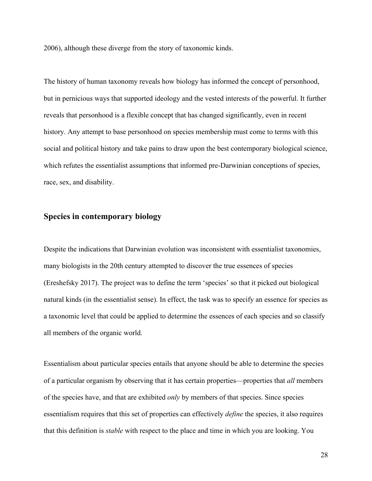2006), although these diverge from the story of taxonomic kinds.

The history of human taxonomy reveals how biology has informed the concept of personhood, but in pernicious ways that supported ideology and the vested interests of the powerful. It further reveals that personhood is a flexible concept that has changed significantly, even in recent history. Any attempt to base personhood on species membership must come to terms with this social and political history and take pains to draw upon the best contemporary biological science, which refutes the essentialist assumptions that informed pre-Darwinian conceptions of species, race, sex, and disability.

## **Species in contemporary biology**

Despite the indications that Darwinian evolution was inconsistent with essentialist taxonomies, many biologists in the 20th century attempted to discover the true essences of species (Ereshefsky 2017). The project was to define the term 'species' so that it picked out biological natural kinds (in the essentialist sense). In effect, the task was to specify an essence for species as a taxonomic level that could be applied to determine the essences of each species and so classify all members of the organic world.

Essentialism about particular species entails that anyone should be able to determine the species of a particular organism by observing that it has certain properties—properties that *all* members of the species have, and that are exhibited *only* by members of that species. Since species essentialism requires that this set of properties can effectively *define* the species, it also requires that this definition is *stable* with respect to the place and time in which you are looking. You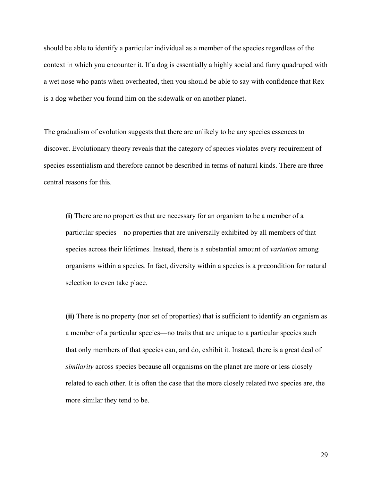should be able to identify a particular individual as a member of the species regardless of the context in which you encounter it. If a dog is essentially a highly social and furry quadruped with a wet nose who pants when overheated, then you should be able to say with confidence that Rex is a dog whether you found him on the sidewalk or on another planet.

The gradualism of evolution suggests that there are unlikely to be any species essences to discover. Evolutionary theory reveals that the category of species violates every requirement of species essentialism and therefore cannot be described in terms of natural kinds. There are three central reasons for this.

**(i)** There are no properties that are necessary for an organism to be a member of a particular species—no properties that are universally exhibited by all members of that species across their lifetimes. Instead, there is a substantial amount of *variation* among organisms within a species. In fact, diversity within a species is a precondition for natural selection to even take place.

**(ii)** There is no property (nor set of properties) that is sufficient to identify an organism as a member of a particular species—no traits that are unique to a particular species such that only members of that species can, and do, exhibit it. Instead, there is a great deal of *similarity* across species because all organisms on the planet are more or less closely related to each other. It is often the case that the more closely related two species are, the more similar they tend to be.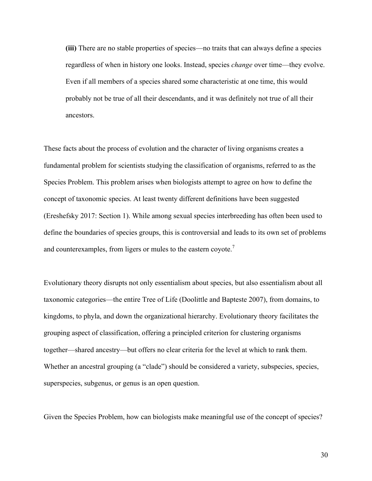**(iii)** There are no stable properties of species—no traits that can always define a species regardless of when in history one looks. Instead, species *change* over time—they evolve. Even if all members of a species shared some characteristic at one time, this would probably not be true of all their descendants, and it was definitely not true of all their ancestors.

These facts about the process of evolution and the character of living organisms creates a fundamental problem for scientists studying the classification of organisms, referred to as the Species Problem. This problem arises when biologists attempt to agree on how to define the concept of taxonomic species. At least twenty different definitions have been suggested (Ereshefsky 2017: Section 1). While among sexual species interbreeding has often been used to define the boundaries of species groups, this is controversial and leads to its own set of problems and counterexamples, from ligers or mules to the eastern coyote.<sup>7</sup>

Evolutionary theory disrupts not only essentialism about species, but also essentialism about all taxonomic categories—the entire Tree of Life (Doolittle and Bapteste 2007), from domains, to kingdoms, to phyla, and down the organizational hierarchy. Evolutionary theory facilitates the grouping aspect of classification, offering a principled criterion for clustering organisms together—shared ancestry—but offers no clear criteria for the level at which to rank them. Whether an ancestral grouping (a "clade") should be considered a variety, subspecies, species, superspecies, subgenus, or genus is an open question.

Given the Species Problem, how can biologists make meaningful use of the concept of species?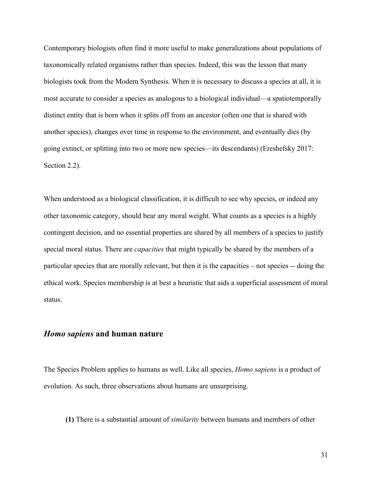Contemporary biologists often find it more useful to make generalizations about populations of taxonomically related organisms rather than species. Indeed, this was the lesson that many biologists took from the Modern Synthesis. When it is necessary to discuss a species at all, it is most accurate to consider a species as analogous to a biological individual—a spatiotemporally distinct entity that is born when it splits off from an ancestor (often one that is shared with another species), changes over time in response to the environment, and eventually dies (by going extinct, or splitting into two or more new species—its descendants) (Ereshefsky 2017: Section 2.2).

When understood as a biological classification, it is difficult to see why species, or indeed any other taxonomic category, should bear any moral weight. What counts as a species is a highly contingent decision, and no essential properties are shared by all members of a species to justify special moral status. There are *capacities* that might typically be shared by the members of a particular species that are morally relevant, but then it is the capacities – not species -- doing the ethical work. Species membership is at best a heuristic that aids a superficial assessment of moral status.

#### *Homo sapiens* **and human nature**

The Species Problem applies to humans as well. Like all species, *Homo sapiens* is a product of evolution. As such, three observations about humans are unsurprising.

**(1)** There is a substantial amount of *similarity* between humans and members of other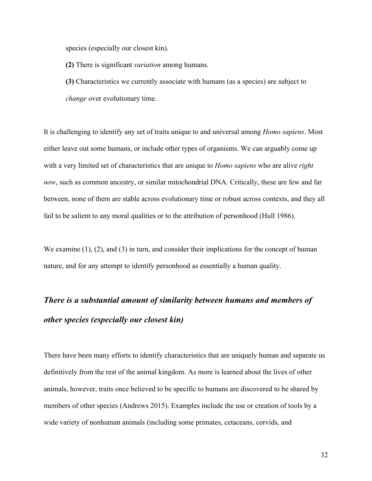species (especially our closest kin).

**(2)** There is significant *variation* among humans.

**(3)** Characteristics we currently associate with humans (as a species) are subject to *change* over evolutionary time.

It is challenging to identify any set of traits unique to and universal among *Homo sapiens*. Most either leave out some humans, or include other types of organisms. We can arguably come up with a very limited set of characteristics that are unique to *Homo sapiens* who are alive *right now*, such as common ancestry, or similar mitochondrial DNA. Critically, these are few and far between, none of them are stable across evolutionary time or robust across contexts, and they all fail to be salient to any moral qualities or to the attribution of personhood (Hull 1986).

We examine (1), (2), and (3) in turn, and consider their implications for the concept of human nature, and for any attempt to identify personhood as essentially a human quality.

# *There is a substantial amount of similarity between humans and members of other species (especially our closest kin)*

There have been many efforts to identify characteristics that are uniquely human and separate us definitively from the rest of the animal kingdom. As more is learned about the lives of other animals, however, traits once believed to be specific to humans are discovered to be shared by members of other species (Andrews 2015). Examples include the use or creation of tools by a wide variety of nonhuman animals (including some primates, cetaceans, corvids, and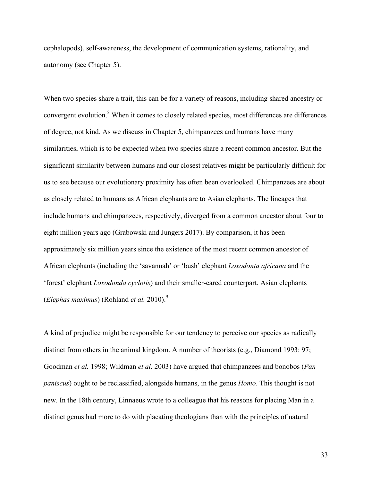cephalopods), self-awareness, the development of communication systems, rationality, and autonomy (see Chapter 5).

When two species share a trait, this can be for a variety of reasons, including shared ancestry or convergent evolution.<sup>8</sup> When it comes to closely related species, most differences are differences of degree, not kind. As we discuss in Chapter 5, chimpanzees and humans have many similarities, which is to be expected when two species share a recent common ancestor. But the significant similarity between humans and our closest relatives might be particularly difficult for us to see because our evolutionary proximity has often been overlooked. Chimpanzees are about as closely related to humans as African elephants are to Asian elephants. The lineages that include humans and chimpanzees, respectively, diverged from a common ancestor about four to eight million years ago (Grabowski and Jungers 2017). By comparison, it has been approximately six million years since the existence of the most recent common ancestor of African elephants (including the 'savannah' or 'bush' elephant *Loxodonta africana* and the 'forest' elephant *Loxodonda cyclotis*) and their smaller-eared counterpart, Asian elephants (*Elephas maximus*) (Rohland *et al.* 2010).9

A kind of prejudice might be responsible for our tendency to perceive our species as radically distinct from others in the animal kingdom. A number of theorists (e.g*.*, Diamond 1993: 97; Goodman *et al.* 1998; Wildman *et al.* 2003) have argued that chimpanzees and bonobos (*Pan paniscus*) ought to be reclassified, alongside humans, in the genus *Homo*. This thought is not new. In the 18th century, Linnaeus wrote to a colleague that his reasons for placing Man in a distinct genus had more to do with placating theologians than with the principles of natural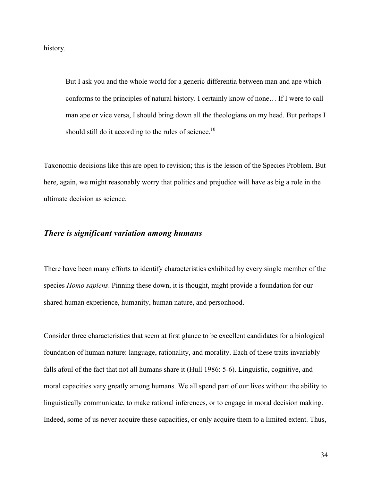history.

But I ask you and the whole world for a generic differentia between man and ape which conforms to the principles of natural history. I certainly know of none… If I were to call man ape or vice versa, I should bring down all the theologians on my head. But perhaps I should still do it according to the rules of science.<sup>10</sup>

Taxonomic decisions like this are open to revision; this is the lesson of the Species Problem. But here, again, we might reasonably worry that politics and prejudice will have as big a role in the ultimate decision as science.

#### *There is significant variation among humans*

There have been many efforts to identify characteristics exhibited by every single member of the species *Homo sapiens*. Pinning these down, it is thought, might provide a foundation for our shared human experience, humanity, human nature, and personhood.

Consider three characteristics that seem at first glance to be excellent candidates for a biological foundation of human nature: language, rationality, and morality. Each of these traits invariably falls afoul of the fact that not all humans share it (Hull 1986: 5-6). Linguistic, cognitive, and moral capacities vary greatly among humans. We all spend part of our lives without the ability to linguistically communicate, to make rational inferences, or to engage in moral decision making. Indeed, some of us never acquire these capacities, or only acquire them to a limited extent. Thus,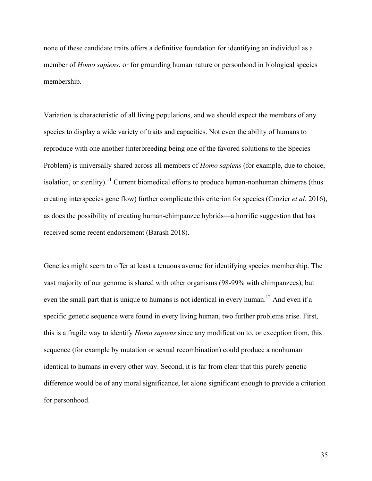none of these candidate traits offers a definitive foundation for identifying an individual as a member of *Homo sapiens*, or for grounding human nature or personhood in biological species membership.

Variation is characteristic of all living populations, and we should expect the members of any species to display a wide variety of traits and capacities. Not even the ability of humans to reproduce with one another (interbreeding being one of the favored solutions to the Species Problem) is universally shared across all members of *Homo sapiens* (for example, due to choice, isolation, or sterility).<sup>11</sup> Current biomedical efforts to produce human-nonhuman chimeras (thus creating interspecies gene flow) further complicate this criterion for species (Crozier *et al.* 2016), as does the possibility of creating human-chimpanzee hybrids—a horrific suggestion that has received some recent endorsement (Barash 2018).

Genetics might seem to offer at least a tenuous avenue for identifying species membership. The vast majority of our genome is shared with other organisms (98-99% with chimpanzees), but even the small part that is unique to humans is not identical in every human.<sup>12</sup> And even if a specific genetic sequence were found in every living human, two further problems arise. First, this is a fragile way to identify *Homo sapiens* since any modification to, or exception from, this sequence (for example by mutation or sexual recombination) could produce a nonhuman identical to humans in every other way. Second, it is far from clear that this purely genetic difference would be of any moral significance, let alone significant enough to provide a criterion for personhood.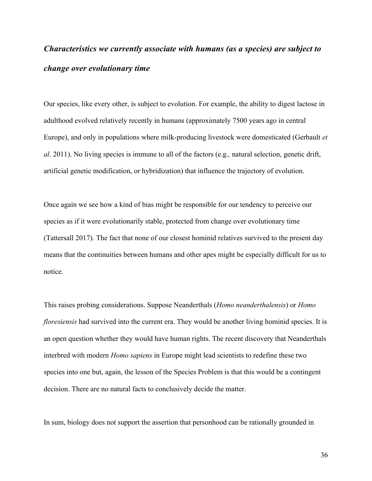# *Characteristics we currently associate with humans (as a species) are subject to change over evolutionary time*

Our species, like every other, is subject to evolution. For example, the ability to digest lactose in adulthood evolved relatively recently in humans (approximately 7500 years ago in central Europe), and only in populations where milk-producing livestock were domesticated (Gerbault *et al*. 2011). No living species is immune to all of the factors (e.g.*,* natural selection, genetic drift, artificial genetic modification, or hybridization) that influence the trajectory of evolution.

Once again we see how a kind of bias might be responsible for our tendency to perceive our species as if it were evolutionarily stable, protected from change over evolutionary time (Tattersall 2017). The fact that none of our closest hominid relatives survived to the present day means that the continuities between humans and other apes might be especially difficult for us to notice.

This raises probing considerations. Suppose Neanderthals (*Homo neanderthalensis*) or *Homo floresiensis* had survived into the current era. They would be another living hominid species. It is an open question whether they would have human rights. The recent discovery that Neanderthals interbred with modern *Homo sapiens* in Europe might lead scientists to redefine these two species into one but, again, the lesson of the Species Problem is that this would be a contingent decision. There are no natural facts to conclusively decide the matter.

In sum, biology does not support the assertion that personhood can be rationally grounded in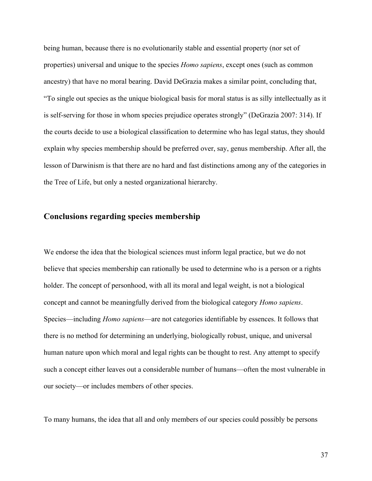being human, because there is no evolutionarily stable and essential property (nor set of properties) universal and unique to the species *Homo sapiens*, except ones (such as common ancestry) that have no moral bearing. David DeGrazia makes a similar point, concluding that, "To single out species as the unique biological basis for moral status is as silly intellectually as it is self-serving for those in whom species prejudice operates strongly" (DeGrazia 2007: 314). If the courts decide to use a biological classification to determine who has legal status, they should explain why species membership should be preferred over, say, genus membership. After all, the lesson of Darwinism is that there are no hard and fast distinctions among any of the categories in the Tree of Life, but only a nested organizational hierarchy.

# **Conclusions regarding species membership**

We endorse the idea that the biological sciences must inform legal practice, but we do not believe that species membership can rationally be used to determine who is a person or a rights holder. The concept of personhood, with all its moral and legal weight, is not a biological concept and cannot be meaningfully derived from the biological category *Homo sapiens*. Species—including *Homo sapiens*—are not categories identifiable by essences. It follows that there is no method for determining an underlying, biologically robust, unique, and universal human nature upon which moral and legal rights can be thought to rest. Any attempt to specify such a concept either leaves out a considerable number of humans—often the most vulnerable in our society—or includes members of other species.

To many humans, the idea that all and only members of our species could possibly be persons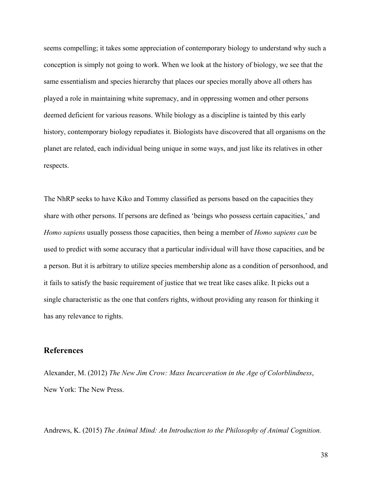seems compelling; it takes some appreciation of contemporary biology to understand why such a conception is simply not going to work. When we look at the history of biology, we see that the same essentialism and species hierarchy that places our species morally above all others has played a role in maintaining white supremacy, and in oppressing women and other persons deemed deficient for various reasons. While biology as a discipline is tainted by this early history, contemporary biology repudiates it. Biologists have discovered that all organisms on the planet are related, each individual being unique in some ways, and just like its relatives in other respects.

The NhRP seeks to have Kiko and Tommy classified as persons based on the capacities they share with other persons. If persons are defined as 'beings who possess certain capacities,' and *Homo sapiens* usually possess those capacities, then being a member of *Homo sapiens can* be used to predict with some accuracy that a particular individual will have those capacities, and be a person. But it is arbitrary to utilize species membership alone as a condition of personhood, and it fails to satisfy the basic requirement of justice that we treat like cases alike. It picks out a single characteristic as the one that confers rights, without providing any reason for thinking it has any relevance to rights.

# **References**

Alexander, M. (2012) *The New Jim Crow: Mass Incarceration in the Age of Colorblindness*, New York: The New Press.

Andrews, K. (2015) *The Animal Mind: An Introduction to the Philosophy of Animal Cognition.*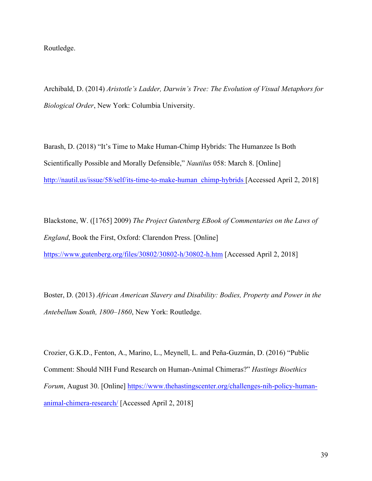Routledge.

Archibald, D. (2014) *Aristotle's Ladder, Darwin's Tree: The Evolution of Visual Metaphors for Biological Order*, New York: Columbia University.

Barash, D. (2018) "It's Time to Make Human-Chimp Hybrids: The Humanzee Is Both Scientifically Possible and Morally Defensible," *Nautilus* 058: March 8. [Online] http://nautil.us/issue/58/self/its-time-to-make-human\_chimp-hybrids [Accessed April 2, 2018]

Blackstone, W. ([1765] 2009) *The Project Gutenberg EBook of Commentaries on the Laws of England*, Book the First, Oxford: Clarendon Press. [Online] https://www.gutenberg.org/files/30802/30802-h/30802-h.htm [Accessed April 2, 2018]

Boster, D. (2013) *African American Slavery and Disability: Bodies, Property and Power in the Antebellum South, 1800–1860*, New York: Routledge.

Crozier, G.K.D., Fenton, A., Marino, L., Meynell, L. and Peña-Guzmán, D. (2016) "Public Comment: Should NIH Fund Research on Human-Animal Chimeras?" *Hastings Bioethics Forum*, August 30. [Online] https://www.thehastingscenter.org/challenges-nih-policy-humananimal-chimera-research/ [Accessed April 2, 2018]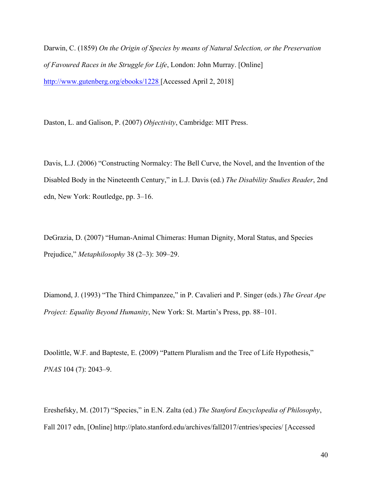Darwin, C. (1859) *On the Origin of Species by means of Natural Selection, or the Preservation of Favoured Races in the Struggle for Life*, London: John Murray. [Online] http://www.gutenberg.org/ebooks/1228 [Accessed April 2, 2018]

Daston, L. and Galison, P. (2007) *Objectivity*, Cambridge: MIT Press.

Davis, L.J. (2006) "Constructing Normalcy: The Bell Curve, the Novel, and the Invention of the Disabled Body in the Nineteenth Century," in L.J. Davis (ed.) *The Disability Studies Reader*, 2nd edn, New York: Routledge, pp. 3–16.

DeGrazia, D. (2007) "Human-Animal Chimeras: Human Dignity, Moral Status, and Species Prejudice," *Metaphilosophy* 38 (2–3): 309–29.

Diamond, J. (1993) "The Third Chimpanzee," in P. Cavalieri and P. Singer (eds.) *The Great Ape Project: Equality Beyond Humanity*, New York: St. Martin's Press, pp. 88–101.

Doolittle, W.F. and Bapteste, E. (2009) "Pattern Pluralism and the Tree of Life Hypothesis," *PNAS* 104 (7): 2043–9.

Ereshefsky, M. (2017) "Species," in E.N. Zalta (ed.) *The Stanford Encyclopedia of Philosophy*, Fall 2017 edn, [Online] http://plato.stanford.edu/archives/fall2017/entries/species/ [Accessed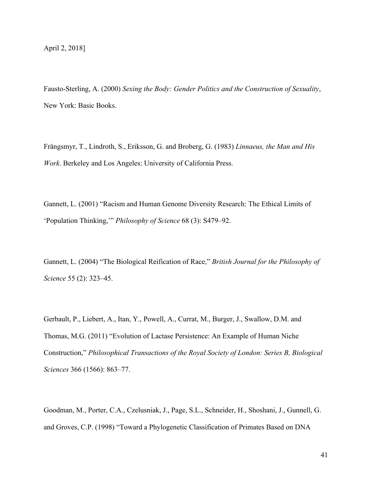Fausto-Sterling, A. (2000) *Sexing the Body: Gender Politics and the Construction of Sexuality*, New York: Basic Books.

Frängsmyr, T., Lindroth, S., Eriksson, G. and Broberg, G. (1983) *Linnaeus, the Man and His Work*. Berkeley and Los Angeles: University of California Press.

Gannett, L. (2001) "Racism and Human Genome Diversity Research: The Ethical Limits of 'Population Thinking,'" *Philosophy of Science* 68 (3): S479–92.

Gannett, L. (2004) "The Biological Reification of Race," *British Journal for the Philosophy of Science* 55 (2): 323–45.

Gerbault, P., Liebert, A., Itan, Y., Powell, A., Currat, M., Burger, J., Swallow, D.M. and Thomas, M.G. (2011) "Evolution of Lactase Persistence: An Example of Human Niche Construction," *Philosophical Transactions of the Royal Society of London: Series B, Biological Sciences* 366 (1566): 863–77.

Goodman, M., Porter, C.A., Czelusniak, J., Page, S.L., Schneider, H., Shoshani, J., Gunnell, G. and Groves, C.P. (1998) "Toward a Phylogenetic Classification of Primates Based on DNA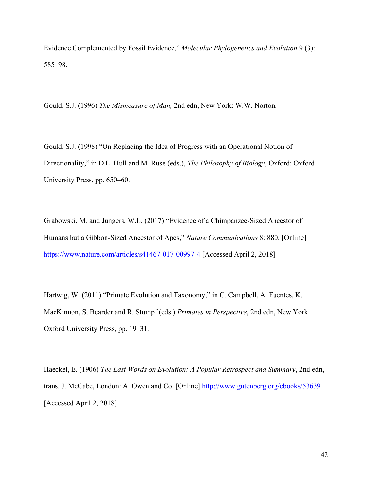Evidence Complemented by Fossil Evidence," *Molecular Phylogenetics and Evolution* 9 (3): 585–98.

Gould, S.J. (1996) *The Mismeasure of Man,* 2nd edn, New York: W.W. Norton.

Gould, S.J. (1998) "On Replacing the Idea of Progress with an Operational Notion of Directionality," in D.L. Hull and M. Ruse (eds.), *The Philosophy of Biology*, Oxford: Oxford University Press, pp. 650–60.

Grabowski, M. and Jungers, W.L. (2017) "Evidence of a Chimpanzee-Sized Ancestor of Humans but a Gibbon-Sized Ancestor of Apes," *Nature Communications* 8: 880. [Online] https://www.nature.com/articles/s41467-017-00997-4 [Accessed April 2, 2018]

Hartwig, W. (2011) "Primate Evolution and Taxonomy," in C. Campbell, A. Fuentes, K. MacKinnon, S. Bearder and R. Stumpf (eds.) *Primates in Perspective*, 2nd edn, New York: Oxford University Press, pp. 19–31.

Haeckel, E. (1906) *The Last Words on Evolution: A Popular Retrospect and Summary*, 2nd edn, trans. J. McCabe, London: A. Owen and Co. [Online] http://www.gutenberg.org/ebooks/53639 [Accessed April 2, 2018]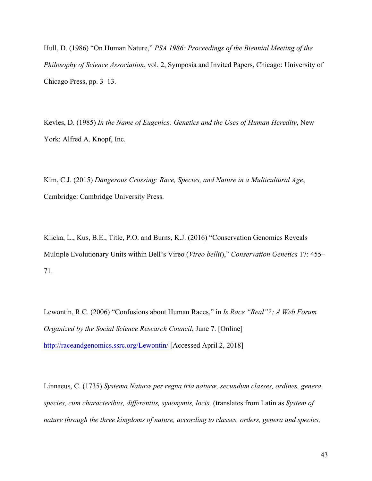Hull, D. (1986) "On Human Nature," *PSA 1986: Proceedings of the Biennial Meeting of the Philosophy of Science Association*, vol. 2, Symposia and Invited Papers, Chicago: University of Chicago Press, pp. 3–13.

Kevles, D. (1985) *In the Name of Eugenics: Genetics and the Uses of Human Heredity*, New York: Alfred A. Knopf, Inc.

Kim, C.J. (2015) *Dangerous Crossing: Race, Species, and Nature in a Multicultural Age*, Cambridge: Cambridge University Press.

Klicka, L., Kus, B.E., Title, P.O. and Burns, K.J. (2016) "Conservation Genomics Reveals Multiple Evolutionary Units within Bell's Vireo (*Vireo bellii*)," *Conservation Genetics* 17: 455– 71.

Lewontin, R.C. (2006) "Confusions about Human Races," in *Is Race "Real"?: A Web Forum Organized by the Social Science Research Council*, June 7. [Online] http://raceandgenomics.ssrc.org/Lewontin/ [Accessed April 2, 2018]

Linnaeus, C. (1735) *Systema Naturæ per regna tria naturæ, secundum classes, ordines, genera, species, cum characteribus, differentiis, synonymis, locis,* (translates from Latin as *System of nature through the three kingdoms of nature, according to classes, orders, genera and species,*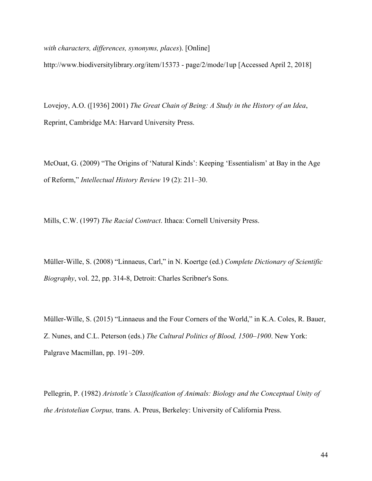*with characters, differences, synonyms, places*). [Online]

http://www.biodiversitylibrary.org/item/15373 - page/2/mode/1up [Accessed April 2, 2018]

Lovejoy, A.O. ([1936] 2001) *The Great Chain of Being: A Study in the History of an Idea*, Reprint, Cambridge MA: Harvard University Press.

McOuat, G. (2009) "The Origins of 'Natural Kinds': Keeping 'Essentialism' at Bay in the Age of Reform," *Intellectual History Review* 19 (2): 211–30.

Mills, C.W. (1997) *The Racial Contract*. Ithaca: Cornell University Press.

Müller-Wille, S. (2008) "Linnaeus, Carl," in N. Koertge (ed.) *Complete Dictionary of Scientific Biography*, vol. 22, pp. 314-8, Detroit: Charles Scribner's Sons.

Müller-Wille, S. (2015) "Linnaeus and the Four Corners of the World," in K.A. Coles, R. Bauer, Z. Nunes, and C.L. Peterson (eds.) *The Cultural Politics of Blood, 1500–1900*. New York: Palgrave Macmillan, pp. 191–209.

Pellegrin, P. (1982) *Aristotle's Classification of Animals: Biology and the Conceptual Unity of the Aristotelian Corpus,* trans. A. Preus, Berkeley: University of California Press.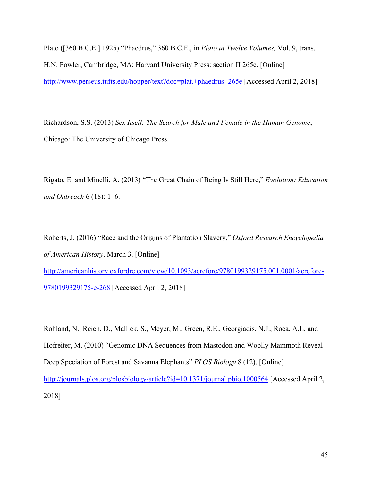Plato ([360 B.C.E.] 1925) "Phaedrus," 360 B.C.E., in *Plato in Twelve Volumes,* Vol. 9, trans. H.N. Fowler, Cambridge, MA: Harvard University Press: section II 265e. [Online] http://www.perseus.tufts.edu/hopper/text?doc=plat.+phaedrus+265e [Accessed April 2, 2018]

Richardson, S.S. (2013) *Sex Itself: The Search for Male and Female in the Human Genome*, Chicago: The University of Chicago Press.

Rigato, E. and Minelli, A. (2013) "The Great Chain of Being Is Still Here," *Evolution: Education and Outreach* 6 (18): 1–6.

Roberts, J. (2016) "Race and the Origins of Plantation Slavery," *Oxford Research Encyclopedia of American History*, March 3. [Online] http://americanhistory.oxfordre.com/view/10.1093/acrefore/9780199329175.001.0001/acrefore-9780199329175-e-268 [Accessed April 2, 2018]

Rohland, N., Reich, D., Mallick, S., Meyer, M., Green, R.E., Georgiadis, N.J., Roca, A.L. and Hofreiter, M. (2010) "Genomic DNA Sequences from Mastodon and Woolly Mammoth Reveal Deep Speciation of Forest and Savanna Elephants" *PLOS Biology* 8 (12). [Online] http://journals.plos.org/plosbiology/article?id=10.1371/journal.pbio.1000564 [Accessed April 2, 2018]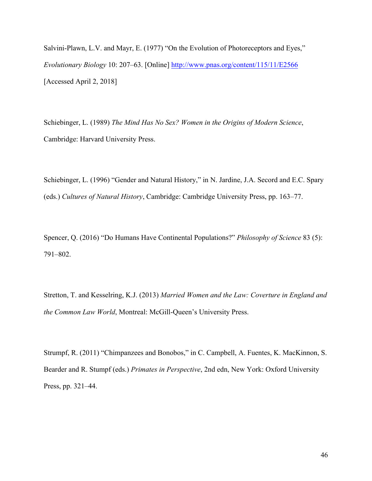Salvini-Plawn, L.V. and Mayr, E. (1977) "On the Evolution of Photoreceptors and Eyes," *Evolutionary Biology* 10: 207–63. [Online] http://www.pnas.org/content/115/11/E2566 [Accessed April 2, 2018]

Schiebinger, L. (1989) *The Mind Has No Sex? Women in the Origins of Modern Science*, Cambridge: Harvard University Press.

Schiebinger, L. (1996) "Gender and Natural History," in N. Jardine, J.A. Secord and E.C. Spary (eds.) *Cultures of Natural History*, Cambridge: Cambridge University Press, pp. 163–77.

Spencer, Q. (2016) "Do Humans Have Continental Populations?" *Philosophy of Science* 83 (5): 791–802.

Stretton, T. and Kesselring, K.J. (2013) *Married Women and the Law: Coverture in England and the Common Law World*, Montreal: McGill-Queen's University Press.

Strumpf, R. (2011) "Chimpanzees and Bonobos," in C. Campbell, A. Fuentes, K. MacKinnon, S. Bearder and R. Stumpf (eds.) *Primates in Perspective*, 2nd edn, New York: Oxford University Press, pp. 321–44.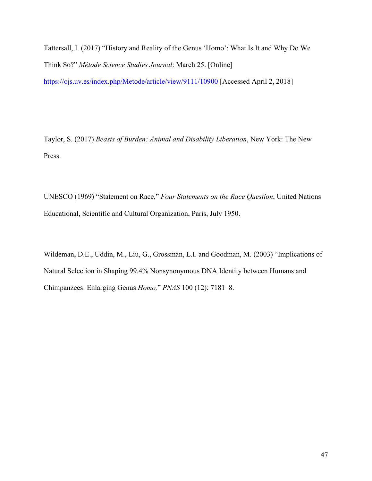Tattersall, I. (2017) "History and Reality of the Genus 'Homo': What Is It and Why Do We Think So?" *Mètode Science Studies Journal*: March 25. [Online] https://ojs.uv.es/index.php/Metode/article/view/9111/10900 [Accessed April 2, 2018]

Taylor, S. (2017) *Beasts of Burden: Animal and Disability Liberation*, New York: The New Press.

UNESCO (1969) "Statement on Race," *Four Statements on the Race Question*, United Nations Educational, Scientific and Cultural Organization, Paris, July 1950.

Wildeman, D.E., Uddin, M., Liu, G., Grossman, L.I. and Goodman, M. (2003) "Implications of Natural Selection in Shaping 99.4% Nonsynonymous DNA Identity between Humans and Chimpanzees: Enlarging Genus *Homo,*" *PNAS* 100 (12): 7181–8.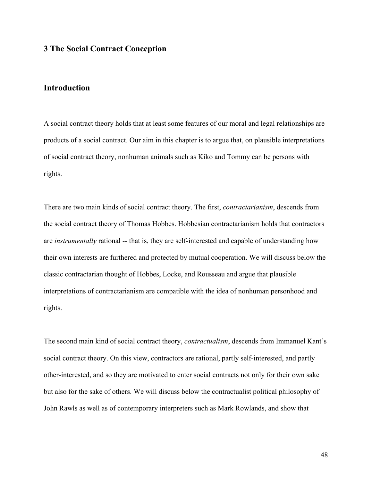## **3 The Social Contract Conception**

# **Introduction**

A social contract theory holds that at least some features of our moral and legal relationships are products of a social contract. Our aim in this chapter is to argue that, on plausible interpretations of social contract theory, nonhuman animals such as Kiko and Tommy can be persons with rights.

There are two main kinds of social contract theory. The first, *contractarianism*, descends from the social contract theory of Thomas Hobbes. Hobbesian contractarianism holds that contractors are *instrumentally* rational -- that is, they are self-interested and capable of understanding how their own interests are furthered and protected by mutual cooperation. We will discuss below the classic contractarian thought of Hobbes, Locke, and Rousseau and argue that plausible interpretations of contractarianism are compatible with the idea of nonhuman personhood and rights.

The second main kind of social contract theory, *contractualism*, descends from Immanuel Kant's social contract theory. On this view, contractors are rational, partly self-interested, and partly other-interested, and so they are motivated to enter social contracts not only for their own sake but also for the sake of others. We will discuss below the contractualist political philosophy of John Rawls as well as of contemporary interpreters such as Mark Rowlands, and show that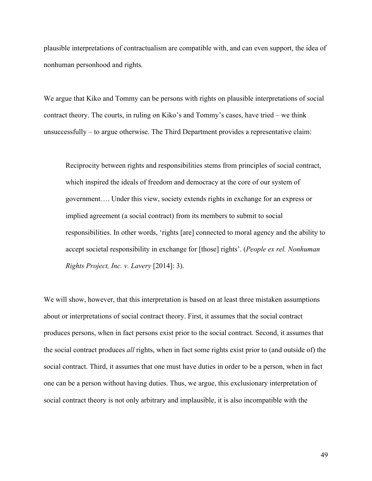plausible interpretations of contractualism are compatible with, and can even support, the idea of nonhuman personhood and rights.

We argue that Kiko and Tommy can be persons with rights on plausible interpretations of social contract theory. The courts, in ruling on Kiko's and Tommy's cases, have tried – we think unsuccessfully – to argue otherwise. The Third Department provides a representative claim:

Reciprocity between rights and responsibilities stems from principles of social contract, which inspired the ideals of freedom and democracy at the core of our system of government…. Under this view, society extends rights in exchange for an express or implied agreement (a social contract) from its members to submit to social responsibilities. In other words, 'rights [are] connected to moral agency and the ability to accept societal responsibility in exchange for [those] rights'. (*People ex rel. Nonhuman Rights Project, Inc. v. Lavery* [2014]: 3).

We will show, however, that this interpretation is based on at least three mistaken assumptions about or interpretations of social contract theory. First, it assumes that the social contract produces persons, when in fact persons exist prior to the social contract. Second, it assumes that the social contract produces *all* rights, when in fact some rights exist prior to (and outside of) the social contract. Third, it assumes that one must have duties in order to be a person, when in fact one can be a person without having duties. Thus, we argue, this exclusionary interpretation of social contract theory is not only arbitrary and implausible, it is also incompatible with the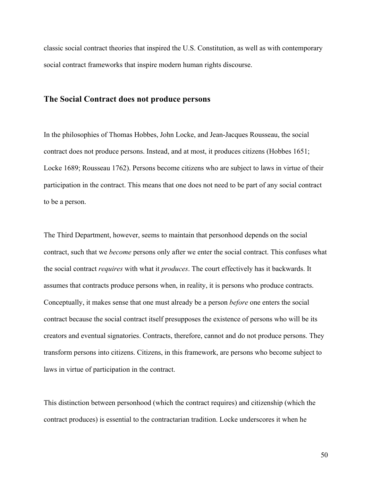classic social contract theories that inspired the U.S. Constitution, as well as with contemporary social contract frameworks that inspire modern human rights discourse.

### **The Social Contract does not produce persons**

In the philosophies of Thomas Hobbes, John Locke, and Jean-Jacques Rousseau, the social contract does not produce persons. Instead, and at most, it produces citizens (Hobbes 1651; Locke 1689; Rousseau 1762). Persons become citizens who are subject to laws in virtue of their participation in the contract. This means that one does not need to be part of any social contract to be a person.

The Third Department, however, seems to maintain that personhood depends on the social contract, such that we *become* persons only after we enter the social contract. This confuses what the social contract *requires* with what it *produces*. The court effectively has it backwards. It assumes that contracts produce persons when, in reality, it is persons who produce contracts. Conceptually, it makes sense that one must already be a person *before* one enters the social contract because the social contract itself presupposes the existence of persons who will be its creators and eventual signatories. Contracts, therefore, cannot and do not produce persons. They transform persons into citizens. Citizens, in this framework, are persons who become subject to laws in virtue of participation in the contract.

This distinction between personhood (which the contract requires) and citizenship (which the contract produces) is essential to the contractarian tradition. Locke underscores it when he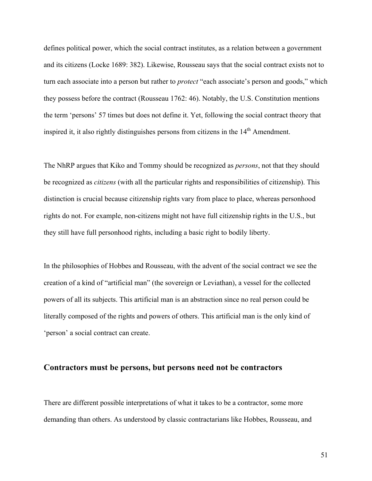defines political power, which the social contract institutes, as a relation between a government and its citizens (Locke 1689: 382). Likewise, Rousseau says that the social contract exists not to turn each associate into a person but rather to *protect* "each associate's person and goods," which they possess before the contract (Rousseau 1762: 46). Notably, the U.S. Constitution mentions the term 'persons' 57 times but does not define it. Yet, following the social contract theory that inspired it, it also rightly distinguishes persons from citizens in the  $14<sup>th</sup>$  Amendment.

The NhRP argues that Kiko and Tommy should be recognized as *persons*, not that they should be recognized as *citizens* (with all the particular rights and responsibilities of citizenship). This distinction is crucial because citizenship rights vary from place to place, whereas personhood rights do not. For example, non-citizens might not have full citizenship rights in the U.S., but they still have full personhood rights, including a basic right to bodily liberty.

In the philosophies of Hobbes and Rousseau, with the advent of the social contract we see the creation of a kind of "artificial man" (the sovereign or Leviathan), a vessel for the collected powers of all its subjects. This artificial man is an abstraction since no real person could be literally composed of the rights and powers of others. This artificial man is the only kind of 'person' a social contract can create.

#### **Contractors must be persons, but persons need not be contractors**

There are different possible interpretations of what it takes to be a contractor, some more demanding than others. As understood by classic contractarians like Hobbes, Rousseau, and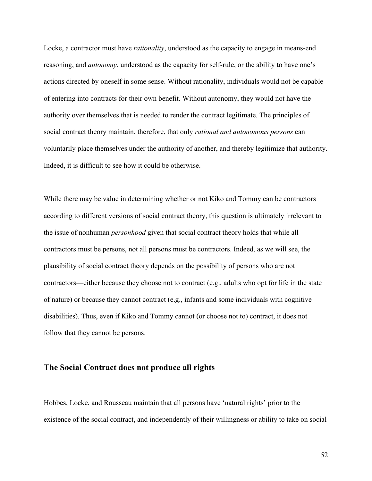Locke, a contractor must have *rationality*, understood as the capacity to engage in means-end reasoning, and *autonomy*, understood as the capacity for self-rule, or the ability to have one's actions directed by oneself in some sense. Without rationality, individuals would not be capable of entering into contracts for their own benefit. Without autonomy, they would not have the authority over themselves that is needed to render the contract legitimate. The principles of social contract theory maintain, therefore, that only *rational and autonomous persons* can voluntarily place themselves under the authority of another, and thereby legitimize that authority. Indeed, it is difficult to see how it could be otherwise.

While there may be value in determining whether or not Kiko and Tommy can be contractors according to different versions of social contract theory, this question is ultimately irrelevant to the issue of nonhuman *personhood* given that social contract theory holds that while all contractors must be persons, not all persons must be contractors. Indeed, as we will see, the plausibility of social contract theory depends on the possibility of persons who are not contractors—either because they choose not to contract (e.g., adults who opt for life in the state of nature) or because they cannot contract (e.g., infants and some individuals with cognitive disabilities). Thus, even if Kiko and Tommy cannot (or choose not to) contract, it does not follow that they cannot be persons.

# **The Social Contract does not produce all rights**

Hobbes, Locke, and Rousseau maintain that all persons have 'natural rights' prior to the existence of the social contract, and independently of their willingness or ability to take on social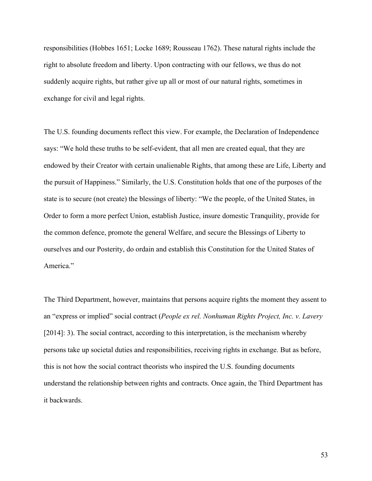responsibilities (Hobbes 1651; Locke 1689; Rousseau 1762). These natural rights include the right to absolute freedom and liberty. Upon contracting with our fellows, we thus do not suddenly acquire rights, but rather give up all or most of our natural rights, sometimes in exchange for civil and legal rights.

The U.S. founding documents reflect this view. For example, the Declaration of Independence says: "We hold these truths to be self-evident, that all men are created equal, that they are endowed by their Creator with certain unalienable Rights, that among these are Life, Liberty and the pursuit of Happiness." Similarly, the U.S. Constitution holds that one of the purposes of the state is to secure (not create) the blessings of liberty: "We the people, of the United States, in Order to form a more perfect Union, establish Justice, insure domestic Tranquility, provide for the common defence, promote the general Welfare, and secure the Blessings of Liberty to ourselves and our Posterity, do ordain and establish this Constitution for the United States of America."

The Third Department, however, maintains that persons acquire rights the moment they assent to an "express or implied" social contract (*People ex rel. Nonhuman Rights Project, Inc. v. Lavery*  [2014]: 3). The social contract, according to this interpretation, is the mechanism whereby persons take up societal duties and responsibilities, receiving rights in exchange. But as before, this is not how the social contract theorists who inspired the U.S. founding documents understand the relationship between rights and contracts. Once again, the Third Department has it backwards.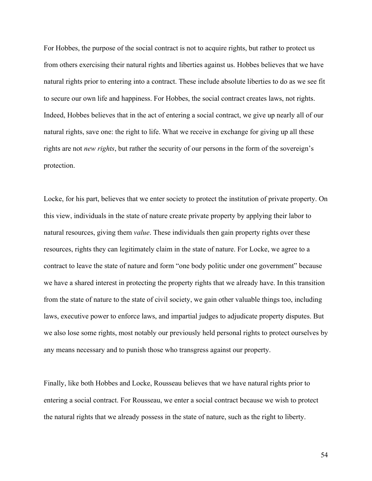For Hobbes, the purpose of the social contract is not to acquire rights, but rather to protect us from others exercising their natural rights and liberties against us. Hobbes believes that we have natural rights prior to entering into a contract. These include absolute liberties to do as we see fit to secure our own life and happiness. For Hobbes, the social contract creates laws, not rights. Indeed, Hobbes believes that in the act of entering a social contract, we give up nearly all of our natural rights, save one: the right to life. What we receive in exchange for giving up all these rights are not *new rights*, but rather the security of our persons in the form of the sovereign's protection.

Locke, for his part, believes that we enter society to protect the institution of private property. On this view, individuals in the state of nature create private property by applying their labor to natural resources, giving them *value*. These individuals then gain property rights over these resources, rights they can legitimately claim in the state of nature. For Locke, we agree to a contract to leave the state of nature and form "one body politic under one government" because we have a shared interest in protecting the property rights that we already have. In this transition from the state of nature to the state of civil society, we gain other valuable things too, including laws, executive power to enforce laws, and impartial judges to adjudicate property disputes. But we also lose some rights, most notably our previously held personal rights to protect ourselves by any means necessary and to punish those who transgress against our property.

Finally, like both Hobbes and Locke, Rousseau believes that we have natural rights prior to entering a social contract. For Rousseau, we enter a social contract because we wish to protect the natural rights that we already possess in the state of nature, such as the right to liberty.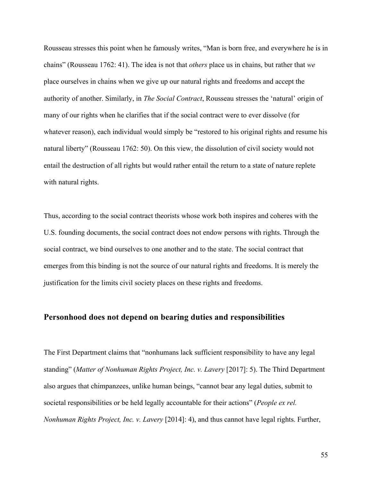Rousseau stresses this point when he famously writes, "Man is born free, and everywhere he is in chains" (Rousseau 1762: 41). The idea is not that *others* place us in chains, but rather that *we* place ourselves in chains when we give up our natural rights and freedoms and accept the authority of another. Similarly, in *The Social Contract*, Rousseau stresses the 'natural' origin of many of our rights when he clarifies that if the social contract were to ever dissolve (for whatever reason), each individual would simply be "restored to his original rights and resume his natural liberty" (Rousseau 1762: 50). On this view, the dissolution of civil society would not entail the destruction of all rights but would rather entail the return to a state of nature replete with natural rights.

Thus, according to the social contract theorists whose work both inspires and coheres with the U.S. founding documents, the social contract does not endow persons with rights. Through the social contract, we bind ourselves to one another and to the state. The social contract that emerges from this binding is not the source of our natural rights and freedoms. It is merely the justification for the limits civil society places on these rights and freedoms.

#### **Personhood does not depend on bearing duties and responsibilities**

The First Department claims that "nonhumans lack sufficient responsibility to have any legal standing" (*Matter of Nonhuman Rights Project, Inc. v. Lavery* [2017]: 5). The Third Department also argues that chimpanzees, unlike human beings, "cannot bear any legal duties, submit to societal responsibilities or be held legally accountable for their actions" (*People ex rel. Nonhuman Rights Project, Inc. v. Lavery* [2014]: 4), and thus cannot have legal rights. Further,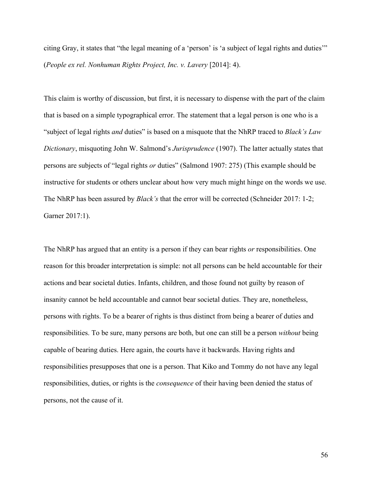citing Gray, it states that "the legal meaning of a 'person' is 'a subject of legal rights and duties'" (*People ex rel. Nonhuman Rights Project, Inc. v. Lavery* [2014]: 4).

This claim is worthy of discussion, but first, it is necessary to dispense with the part of the claim that is based on a simple typographical error. The statement that a legal person is one who is a "subject of legal rights *and* duties" is based on a misquote that the NhRP traced to *Black's Law Dictionary*, misquoting John W. Salmond's *Jurisprudence* (1907). The latter actually states that persons are subjects of "legal rights *or* duties" (Salmond 1907: 275) (This example should be instructive for students or others unclear about how very much might hinge on the words we use. The NhRP has been assured by *Black's* that the error will be corrected (Schneider 2017: 1-2; Garner 2017:1).

The NhRP has argued that an entity is a person if they can bear rights *or* responsibilities. One reason for this broader interpretation is simple: not all persons can be held accountable for their actions and bear societal duties. Infants, children, and those found not guilty by reason of insanity cannot be held accountable and cannot bear societal duties. They are, nonetheless, persons with rights. To be a bearer of rights is thus distinct from being a bearer of duties and responsibilities. To be sure, many persons are both, but one can still be a person *without* being capable of bearing duties. Here again, the courts have it backwards. Having rights and responsibilities presupposes that one is a person. That Kiko and Tommy do not have any legal responsibilities, duties, or rights is the *consequence* of their having been denied the status of persons, not the cause of it.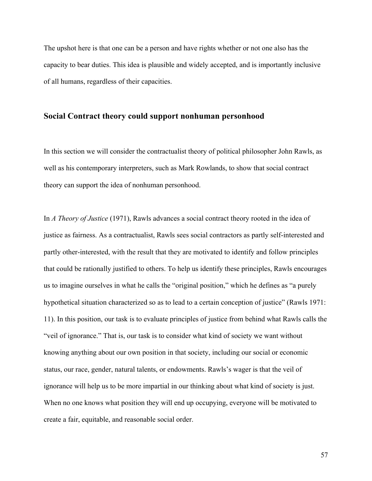The upshot here is that one can be a person and have rights whether or not one also has the capacity to bear duties. This idea is plausible and widely accepted, and is importantly inclusive of all humans, regardless of their capacities.

#### **Social Contract theory could support nonhuman personhood**

In this section we will consider the contractualist theory of political philosopher John Rawls, as well as his contemporary interpreters, such as Mark Rowlands, to show that social contract theory can support the idea of nonhuman personhood.

In *A Theory of Justice* (1971), Rawls advances a social contract theory rooted in the idea of justice as fairness. As a contractualist, Rawls sees social contractors as partly self-interested and partly other-interested, with the result that they are motivated to identify and follow principles that could be rationally justified to others. To help us identify these principles, Rawls encourages us to imagine ourselves in what he calls the "original position," which he defines as "a purely hypothetical situation characterized so as to lead to a certain conception of justice" (Rawls 1971: 11). In this position, our task is to evaluate principles of justice from behind what Rawls calls the "veil of ignorance." That is, our task is to consider what kind of society we want without knowing anything about our own position in that society, including our social or economic status, our race, gender, natural talents, or endowments. Rawls's wager is that the veil of ignorance will help us to be more impartial in our thinking about what kind of society is just. When no one knows what position they will end up occupying, everyone will be motivated to create a fair, equitable, and reasonable social order.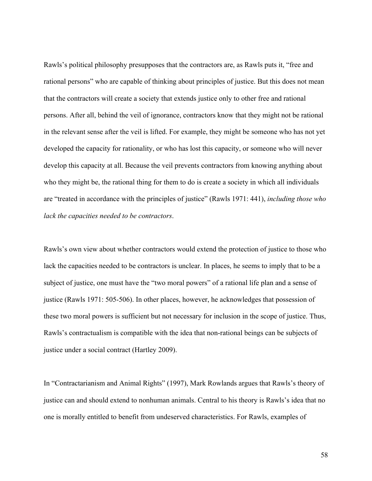Rawls's political philosophy presupposes that the contractors are, as Rawls puts it, "free and rational persons" who are capable of thinking about principles of justice. But this does not mean that the contractors will create a society that extends justice only to other free and rational persons. After all, behind the veil of ignorance, contractors know that they might not be rational in the relevant sense after the veil is lifted. For example, they might be someone who has not yet developed the capacity for rationality, or who has lost this capacity, or someone who will never develop this capacity at all. Because the veil prevents contractors from knowing anything about who they might be, the rational thing for them to do is create a society in which all individuals are "treated in accordance with the principles of justice" (Rawls 1971: 441), *including those who lack the capacities needed to be contractors*.

Rawls's own view about whether contractors would extend the protection of justice to those who lack the capacities needed to be contractors is unclear. In places, he seems to imply that to be a subject of justice, one must have the "two moral powers" of a rational life plan and a sense of justice (Rawls 1971: 505-506). In other places, however, he acknowledges that possession of these two moral powers is sufficient but not necessary for inclusion in the scope of justice. Thus, Rawls's contractualism is compatible with the idea that non-rational beings can be subjects of justice under a social contract (Hartley 2009).

In "Contractarianism and Animal Rights" (1997), Mark Rowlands argues that Rawls's theory of justice can and should extend to nonhuman animals. Central to his theory is Rawls's idea that no one is morally entitled to benefit from undeserved characteristics. For Rawls, examples of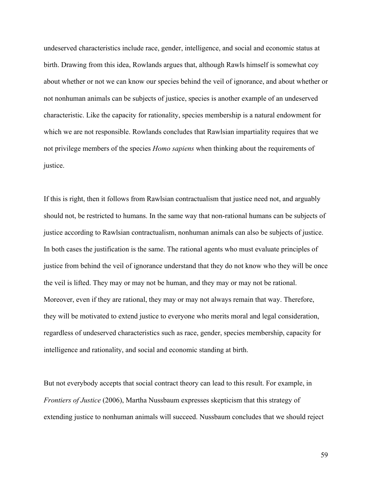undeserved characteristics include race, gender, intelligence, and social and economic status at birth. Drawing from this idea, Rowlands argues that, although Rawls himself is somewhat coy about whether or not we can know our species behind the veil of ignorance, and about whether or not nonhuman animals can be subjects of justice, species is another example of an undeserved characteristic. Like the capacity for rationality, species membership is a natural endowment for which we are not responsible. Rowlands concludes that Rawlsian impartiality requires that we not privilege members of the species *Homo sapiens* when thinking about the requirements of justice.

If this is right, then it follows from Rawlsian contractualism that justice need not, and arguably should not, be restricted to humans. In the same way that non-rational humans can be subjects of justice according to Rawlsian contractualism, nonhuman animals can also be subjects of justice. In both cases the justification is the same. The rational agents who must evaluate principles of justice from behind the veil of ignorance understand that they do not know who they will be once the veil is lifted. They may or may not be human, and they may or may not be rational. Moreover, even if they are rational, they may or may not always remain that way. Therefore, they will be motivated to extend justice to everyone who merits moral and legal consideration, regardless of undeserved characteristics such as race, gender, species membership, capacity for intelligence and rationality, and social and economic standing at birth.

But not everybody accepts that social contract theory can lead to this result. For example, in *Frontiers of Justice* (2006), Martha Nussbaum expresses skepticism that this strategy of extending justice to nonhuman animals will succeed. Nussbaum concludes that we should reject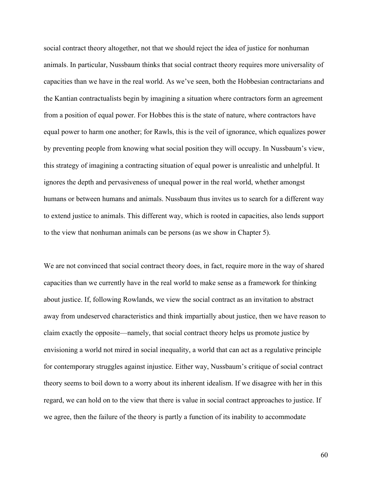social contract theory altogether, not that we should reject the idea of justice for nonhuman animals. In particular, Nussbaum thinks that social contract theory requires more universality of capacities than we have in the real world. As we've seen, both the Hobbesian contractarians and the Kantian contractualists begin by imagining a situation where contractors form an agreement from a position of equal power. For Hobbes this is the state of nature, where contractors have equal power to harm one another; for Rawls, this is the veil of ignorance, which equalizes power by preventing people from knowing what social position they will occupy. In Nussbaum's view, this strategy of imagining a contracting situation of equal power is unrealistic and unhelpful. It ignores the depth and pervasiveness of unequal power in the real world, whether amongst humans or between humans and animals. Nussbaum thus invites us to search for a different way to extend justice to animals. This different way, which is rooted in capacities, also lends support to the view that nonhuman animals can be persons (as we show in Chapter 5).

We are not convinced that social contract theory does, in fact, require more in the way of shared capacities than we currently have in the real world to make sense as a framework for thinking about justice. If, following Rowlands, we view the social contract as an invitation to abstract away from undeserved characteristics and think impartially about justice, then we have reason to claim exactly the opposite—namely, that social contract theory helps us promote justice by envisioning a world not mired in social inequality, a world that can act as a regulative principle for contemporary struggles against injustice. Either way, Nussbaum's critique of social contract theory seems to boil down to a worry about its inherent idealism. If we disagree with her in this regard, we can hold on to the view that there is value in social contract approaches to justice. If we agree, then the failure of the theory is partly a function of its inability to accommodate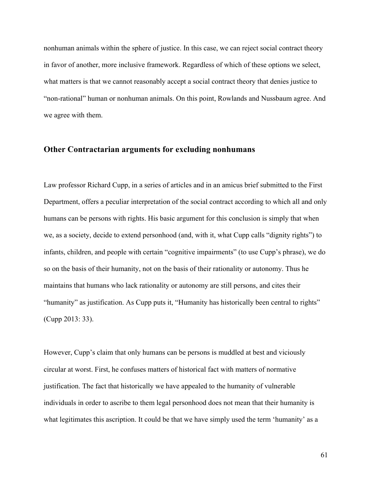nonhuman animals within the sphere of justice. In this case, we can reject social contract theory in favor of another, more inclusive framework. Regardless of which of these options we select, what matters is that we cannot reasonably accept a social contract theory that denies justice to "non-rational" human or nonhuman animals. On this point, Rowlands and Nussbaum agree. And we agree with them.

## **Other Contractarian arguments for excluding nonhumans**

Law professor Richard Cupp, in a series of articles and in an amicus brief submitted to the First Department, offers a peculiar interpretation of the social contract according to which all and only humans can be persons with rights. His basic argument for this conclusion is simply that when we, as a society, decide to extend personhood (and, with it, what Cupp calls "dignity rights") to infants, children, and people with certain "cognitive impairments" (to use Cupp's phrase), we do so on the basis of their humanity, not on the basis of their rationality or autonomy. Thus he maintains that humans who lack rationality or autonomy are still persons, and cites their "humanity" as justification. As Cupp puts it, "Humanity has historically been central to rights" (Cupp 2013: 33).

However, Cupp's claim that only humans can be persons is muddled at best and viciously circular at worst. First, he confuses matters of historical fact with matters of normative justification. The fact that historically we have appealed to the humanity of vulnerable individuals in order to ascribe to them legal personhood does not mean that their humanity is what legitimates this ascription. It could be that we have simply used the term 'humanity' as a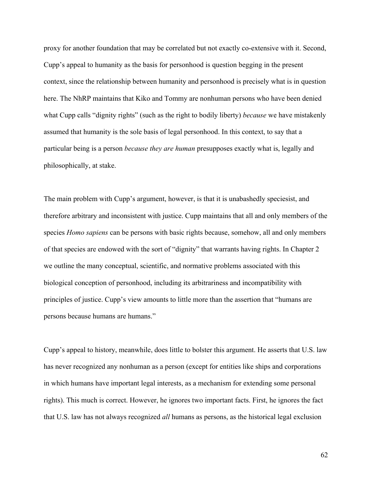proxy for another foundation that may be correlated but not exactly co-extensive with it. Second, Cupp's appeal to humanity as the basis for personhood is question begging in the present context, since the relationship between humanity and personhood is precisely what is in question here. The NhRP maintains that Kiko and Tommy are nonhuman persons who have been denied what Cupp calls "dignity rights" (such as the right to bodily liberty) *because* we have mistakenly assumed that humanity is the sole basis of legal personhood. In this context, to say that a particular being is a person *because they are human* presupposes exactly what is, legally and philosophically, at stake.

The main problem with Cupp's argument, however, is that it is unabashedly speciesist, and therefore arbitrary and inconsistent with justice. Cupp maintains that all and only members of the species *Homo sapiens* can be persons with basic rights because, somehow, all and only members of that species are endowed with the sort of "dignity" that warrants having rights. In Chapter 2 we outline the many conceptual, scientific, and normative problems associated with this biological conception of personhood, including its arbitrariness and incompatibility with principles of justice. Cupp's view amounts to little more than the assertion that "humans are persons because humans are humans."

Cupp's appeal to history, meanwhile, does little to bolster this argument. He asserts that U.S. law has never recognized any nonhuman as a person (except for entities like ships and corporations in which humans have important legal interests, as a mechanism for extending some personal rights). This much is correct. However, he ignores two important facts. First, he ignores the fact that U.S. law has not always recognized *all* humans as persons, as the historical legal exclusion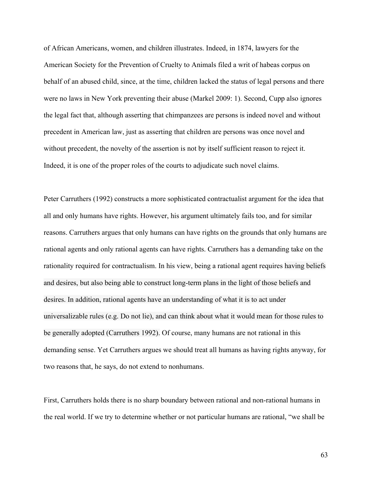of African Americans, women, and children illustrates. Indeed, in 1874, lawyers for the American Society for the Prevention of Cruelty to Animals filed a writ of habeas corpus on behalf of an abused child, since, at the time, children lacked the status of legal persons and there were no laws in New York preventing their abuse (Markel 2009: 1). Second, Cupp also ignores the legal fact that, although asserting that chimpanzees are persons is indeed novel and without precedent in American law, just as asserting that children are persons was once novel and without precedent, the novelty of the assertion is not by itself sufficient reason to reject it. Indeed, it is one of the proper roles of the courts to adjudicate such novel claims.

Peter Carruthers (1992) constructs a more sophisticated contractualist argument for the idea that all and only humans have rights. However, his argument ultimately fails too, and for similar reasons. Carruthers argues that only humans can have rights on the grounds that only humans are rational agents and only rational agents can have rights. Carruthers has a demanding take on the rationality required for contractualism. In his view, being a rational agent requires having beliefs and desires, but also being able to construct long-term plans in the light of those beliefs and desires. In addition, rational agents have an understanding of what it is to act under universalizable rules (e.g. Do not lie), and can think about what it would mean for those rules to be generally adopted (Carruthers 1992). Of course, many humans are not rational in this demanding sense. Yet Carruthers argues we should treat all humans as having rights anyway, for two reasons that, he says, do not extend to nonhumans.

First, Carruthers holds there is no sharp boundary between rational and non-rational humans in the real world. If we try to determine whether or not particular humans are rational, "we shall be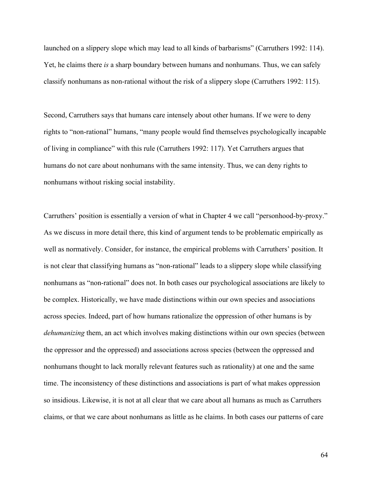launched on a slippery slope which may lead to all kinds of barbarisms" (Carruthers 1992: 114). Yet, he claims there *is* a sharp boundary between humans and nonhumans. Thus, we can safely classify nonhumans as non-rational without the risk of a slippery slope (Carruthers 1992: 115).

Second, Carruthers says that humans care intensely about other humans. If we were to deny rights to "non-rational" humans, "many people would find themselves psychologically incapable of living in compliance" with this rule (Carruthers 1992: 117). Yet Carruthers argues that humans do not care about nonhumans with the same intensity. Thus, we can deny rights to nonhumans without risking social instability.

Carruthers' position is essentially a version of what in Chapter 4 we call "personhood-by-proxy." As we discuss in more detail there, this kind of argument tends to be problematic empirically as well as normatively. Consider, for instance, the empirical problems with Carruthers' position. It is not clear that classifying humans as "non-rational" leads to a slippery slope while classifying nonhumans as "non-rational" does not. In both cases our psychological associations are likely to be complex. Historically, we have made distinctions within our own species and associations across species. Indeed, part of how humans rationalize the oppression of other humans is by *dehumanizing* them, an act which involves making distinctions within our own species (between the oppressor and the oppressed) and associations across species (between the oppressed and nonhumans thought to lack morally relevant features such as rationality) at one and the same time. The inconsistency of these distinctions and associations is part of what makes oppression so insidious. Likewise, it is not at all clear that we care about all humans as much as Carruthers claims, or that we care about nonhumans as little as he claims. In both cases our patterns of care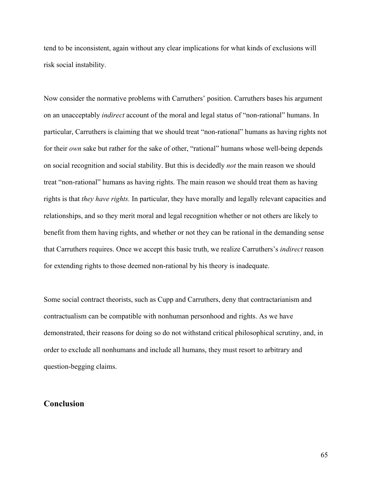tend to be inconsistent, again without any clear implications for what kinds of exclusions will risk social instability.

Now consider the normative problems with Carruthers' position. Carruthers bases his argument on an unacceptably *indirect* account of the moral and legal status of "non-rational" humans. In particular, Carruthers is claiming that we should treat "non-rational" humans as having rights not for their *own* sake but rather for the sake of other, "rational" humans whose well-being depends on social recognition and social stability. But this is decidedly *not* the main reason we should treat "non-rational" humans as having rights. The main reason we should treat them as having rights is that *they have rights.* In particular, they have morally and legally relevant capacities and relationships, and so they merit moral and legal recognition whether or not others are likely to benefit from them having rights, and whether or not they can be rational in the demanding sense that Carruthers requires. Once we accept this basic truth, we realize Carruthers's *indirect* reason for extending rights to those deemed non-rational by his theory is inadequate.

Some social contract theorists, such as Cupp and Carruthers, deny that contractarianism and contractualism can be compatible with nonhuman personhood and rights. As we have demonstrated, their reasons for doing so do not withstand critical philosophical scrutiny, and, in order to exclude all nonhumans and include all humans, they must resort to arbitrary and question-begging claims.

### **Conclusion**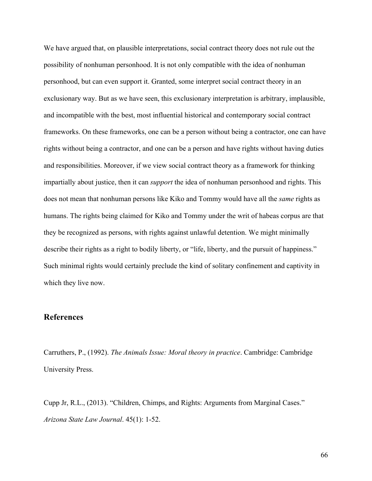We have argued that, on plausible interpretations, social contract theory does not rule out the possibility of nonhuman personhood. It is not only compatible with the idea of nonhuman personhood, but can even support it. Granted, some interpret social contract theory in an exclusionary way. But as we have seen, this exclusionary interpretation is arbitrary, implausible, and incompatible with the best, most influential historical and contemporary social contract frameworks. On these frameworks, one can be a person without being a contractor, one can have rights without being a contractor, and one can be a person and have rights without having duties and responsibilities. Moreover, if we view social contract theory as a framework for thinking impartially about justice, then it can *support* the idea of nonhuman personhood and rights. This does not mean that nonhuman persons like Kiko and Tommy would have all the *same* rights as humans. The rights being claimed for Kiko and Tommy under the writ of habeas corpus are that they be recognized as persons, with rights against unlawful detention. We might minimally describe their rights as a right to bodily liberty, or "life, liberty, and the pursuit of happiness." Such minimal rights would certainly preclude the kind of solitary confinement and captivity in which they live now.

# **References**

Carruthers, P., (1992). *The Animals Issue: Moral theory in practice*. Cambridge: Cambridge University Press.

Cupp Jr, R.L., (2013). "Children, Chimps, and Rights: Arguments from Marginal Cases." *Arizona State Law Journal*. 45(1): 1-52.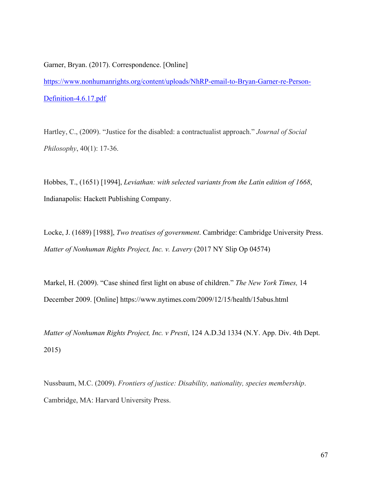Garner, Bryan. (2017). Correspondence. [Online] https://www.nonhumanrights.org/content/uploads/NhRP-email-to-Bryan-Garner-re-Person-Definition-4.6.17.pdf

Hartley, C., (2009). "Justice for the disabled: a contractualist approach." *Journal of Social Philosophy*, 40(1): 17-36.

Hobbes, T., (1651) [1994], *Leviathan: with selected variants from the Latin edition of 1668*, Indianapolis: Hackett Publishing Company.

Locke, J. (1689) [1988], *Two treatises of government*. Cambridge: Cambridge University Press. *Matter of Nonhuman Rights Project, Inc. v. Lavery* (2017 NY Slip Op 04574)

Markel, H. (2009). "Case shined first light on abuse of children." *The New York Times,* 14 December 2009. [Online] https://www.nytimes.com/2009/12/15/health/15abus.html

*Matter of Nonhuman Rights Project, Inc. v Presti*, 124 A.D.3d 1334 (N.Y. App. Div. 4th Dept. 2015)

Nussbaum, M.C. (2009). *Frontiers of justice: Disability, nationality, species membership*. Cambridge, MA: Harvard University Press.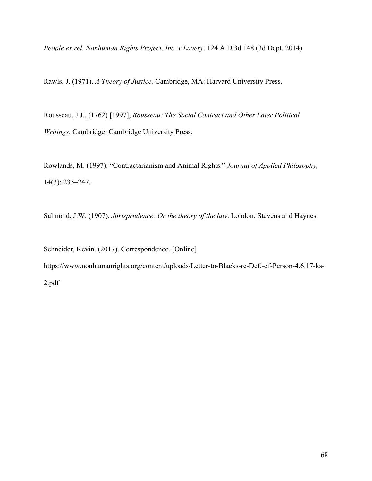*People ex rel. Nonhuman Rights Project, Inc. v Lavery*. 124 A.D.3d 148 (3d Dept. 2014)

Rawls, J. (1971). *A Theory of Justice.* Cambridge, MA: Harvard University Press.

Rousseau, J.J., (1762) [1997], *Rousseau: The Social Contract and Other Later Political Writings*. Cambridge: Cambridge University Press.

Rowlands, M. (1997). "Contractarianism and Animal Rights." *Journal of Applied Philosophy,*  14(3): 235–247.

Salmond, J.W. (1907). *Jurisprudence: Or the theory of the law*. London: Stevens and Haynes.

Schneider, Kevin. (2017). Correspondence. [Online] https://www.nonhumanrights.org/content/uploads/Letter-to-Blacks-re-Def.-of-Person-4.6.17-ks-2.pdf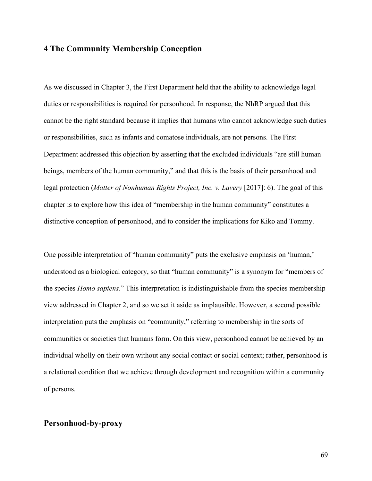# **4 The Community Membership Conception**

As we discussed in Chapter 3, the First Department held that the ability to acknowledge legal duties or responsibilities is required for personhood. In response, the NhRP argued that this cannot be the right standard because it implies that humans who cannot acknowledge such duties or responsibilities, such as infants and comatose individuals, are not persons. The First Department addressed this objection by asserting that the excluded individuals "are still human beings, members of the human community," and that this is the basis of their personhood and legal protection (*Matter of Nonhuman Rights Project, Inc. v. Lavery* [2017]: 6). The goal of this chapter is to explore how this idea of "membership in the human community" constitutes a distinctive conception of personhood, and to consider the implications for Kiko and Tommy.

One possible interpretation of "human community" puts the exclusive emphasis on 'human,' understood as a biological category, so that "human community" is a synonym for "members of the species *Homo sapiens*." This interpretation is indistinguishable from the species membership view addressed in Chapter 2, and so we set it aside as implausible. However, a second possible interpretation puts the emphasis on "community," referring to membership in the sorts of communities or societies that humans form. On this view, personhood cannot be achieved by an individual wholly on their own without any social contact or social context; rather, personhood is a relational condition that we achieve through development and recognition within a community of persons.

## **Personhood-by-proxy**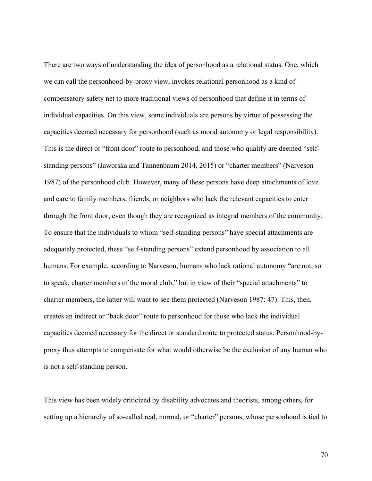There are two ways of understanding the idea of personhood as a relational status. One, which we can call the personhood-by-proxy view, invokes relational personhood as a kind of compensatory safety net to more traditional views of personhood that define it in terms of individual capacities. On this view, some individuals are persons by virtue of possessing the capacities deemed necessary for personhood (such as moral autonomy or legal responsibility). This is the direct or "front door" route to personhood, and those who qualify are deemed "selfstanding persons" (Jaworska and Tannenbaum 2014, 2015) or "charter members" (Narveson 1987) of the personhood club. However, many of these persons have deep attachments of love and care to family members, friends, or neighbors who lack the relevant capacities to enter through the front door, even though they are recognized as integral members of the community. To ensure that the individuals to whom "self-standing persons" have special attachments are adequately protected, these "self-standing persons" extend personhood by association to all humans. For example, according to Narveson, humans who lack rational autonomy "are not, so to speak, charter members of the moral club," but in view of their "special attachments" to charter members, the latter will want to see them protected (Narveson 1987: 47). This, then, creates an indirect or "back door" route to personhood for those who lack the individual capacities deemed necessary for the direct or standard route to protected status. Personhood-byproxy thus attempts to compensate for what would otherwise be the exclusion of any human who is not a self-standing person.

This view has been widely criticized by disability advocates and theorists, among others, for setting up a hierarchy of so-called real, normal, or "charter" persons, whose personhood is tied to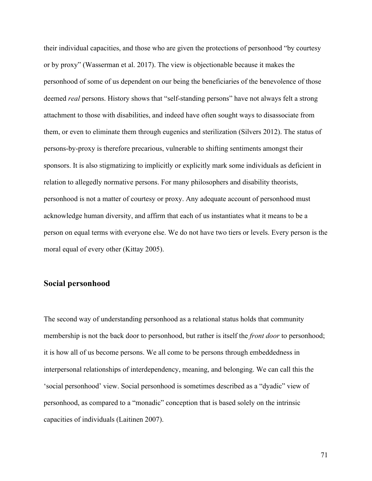their individual capacities, and those who are given the protections of personhood "by courtesy or by proxy" (Wasserman et al. 2017). The view is objectionable because it makes the personhood of some of us dependent on our being the beneficiaries of the benevolence of those deemed *real* persons. History shows that "self-standing persons" have not always felt a strong attachment to those with disabilities, and indeed have often sought ways to disassociate from them, or even to eliminate them through eugenics and sterilization (Silvers 2012). The status of persons-by-proxy is therefore precarious, vulnerable to shifting sentiments amongst their sponsors. It is also stigmatizing to implicitly or explicitly mark some individuals as deficient in relation to allegedly normative persons. For many philosophers and disability theorists, personhood is not a matter of courtesy or proxy. Any adequate account of personhood must acknowledge human diversity, and affirm that each of us instantiates what it means to be a person on equal terms with everyone else. We do not have two tiers or levels. Every person is the moral equal of every other (Kittay 2005).

# **Social personhood**

The second way of understanding personhood as a relational status holds that community membership is not the back door to personhood, but rather is itself the *front door* to personhood; it is how all of us become persons. We all come to be persons through embeddedness in interpersonal relationships of interdependency, meaning, and belonging. We can call this the 'social personhood' view. Social personhood is sometimes described as a "dyadic" view of personhood, as compared to a "monadic" conception that is based solely on the intrinsic capacities of individuals (Laitinen 2007).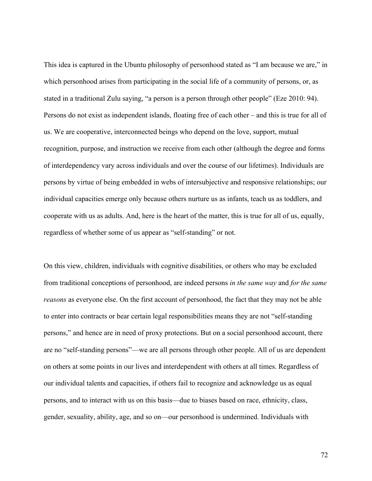This idea is captured in the Ubuntu philosophy of personhood stated as "I am because we are," in which personhood arises from participating in the social life of a community of persons, or, as stated in a traditional Zulu saying, "a person is a person through other people" (Eze 2010: 94). Persons do not exist as independent islands, floating free of each other – and this is true for all of us. We are cooperative, interconnected beings who depend on the love, support, mutual recognition, purpose, and instruction we receive from each other (although the degree and forms of interdependency vary across individuals and over the course of our lifetimes). Individuals are persons by virtue of being embedded in webs of intersubjective and responsive relationships; our individual capacities emerge only because others nurture us as infants, teach us as toddlers, and cooperate with us as adults. And, here is the heart of the matter, this is true for all of us, equally, regardless of whether some of us appear as "self-standing" or not.

On this view, children, individuals with cognitive disabilities, or others who may be excluded from traditional conceptions of personhood, are indeed persons *in the same way* and *for the same reasons* as everyone else. On the first account of personhood, the fact that they may not be able to enter into contracts or bear certain legal responsibilities means they are not "self-standing persons," and hence are in need of proxy protections. But on a social personhood account, there are no "self-standing persons"—we are all persons through other people. All of us are dependent on others at some points in our lives and interdependent with others at all times. Regardless of our individual talents and capacities, if others fail to recognize and acknowledge us as equal persons, and to interact with us on this basis—due to biases based on race, ethnicity, class, gender, sexuality, ability, age, and so on—our personhood is undermined. Individuals with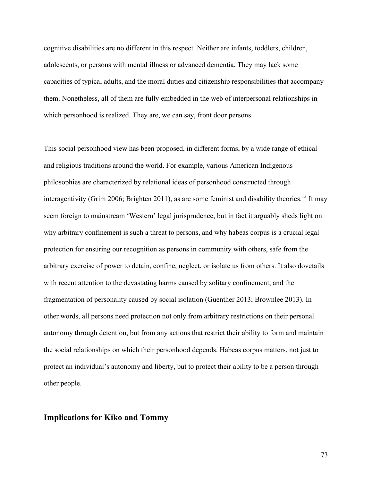cognitive disabilities are no different in this respect. Neither are infants, toddlers, children, adolescents, or persons with mental illness or advanced dementia. They may lack some capacities of typical adults, and the moral duties and citizenship responsibilities that accompany them. Nonetheless, all of them are fully embedded in the web of interpersonal relationships in which personhood is realized. They are, we can say, front door persons.

This social personhood view has been proposed, in different forms, by a wide range of ethical and religious traditions around the world. For example, various American Indigenous philosophies are characterized by relational ideas of personhood constructed through interagentivity (Grim 2006; Brighten 2011), as are some feminist and disability theories.<sup>13</sup> It may seem foreign to mainstream 'Western' legal jurisprudence, but in fact it arguably sheds light on why arbitrary confinement is such a threat to persons, and why habeas corpus is a crucial legal protection for ensuring our recognition as persons in community with others, safe from the arbitrary exercise of power to detain, confine, neglect, or isolate us from others. It also dovetails with recent attention to the devastating harms caused by solitary confinement, and the fragmentation of personality caused by social isolation (Guenther 2013; Brownlee 2013). In other words, all persons need protection not only from arbitrary restrictions on their personal autonomy through detention, but from any actions that restrict their ability to form and maintain the social relationships on which their personhood depends. Habeas corpus matters, not just to protect an individual's autonomy and liberty, but to protect their ability to be a person through other people.

## **Implications for Kiko and Tommy**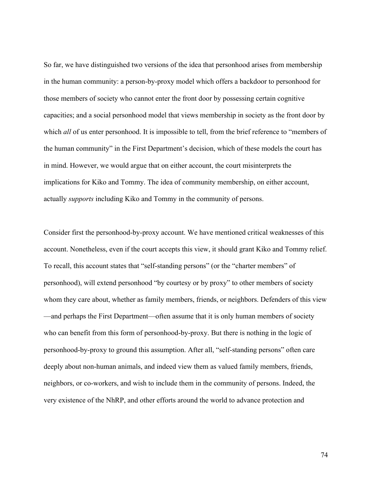So far, we have distinguished two versions of the idea that personhood arises from membership in the human community: a person-by-proxy model which offers a backdoor to personhood for those members of society who cannot enter the front door by possessing certain cognitive capacities; and a social personhood model that views membership in society as the front door by which *all* of us enter personhood. It is impossible to tell, from the brief reference to "members of the human community" in the First Department's decision, which of these models the court has in mind. However, we would argue that on either account, the court misinterprets the implications for Kiko and Tommy. The idea of community membership, on either account, actually *supports* including Kiko and Tommy in the community of persons.

Consider first the personhood-by-proxy account. We have mentioned critical weaknesses of this account. Nonetheless, even if the court accepts this view, it should grant Kiko and Tommy relief. To recall, this account states that "self-standing persons" (or the "charter members" of personhood), will extend personhood "by courtesy or by proxy" to other members of society whom they care about, whether as family members, friends, or neighbors. Defenders of this view —and perhaps the First Department—often assume that it is only human members of society who can benefit from this form of personhood-by-proxy. But there is nothing in the logic of personhood-by-proxy to ground this assumption. After all, "self-standing persons" often care deeply about non-human animals, and indeed view them as valued family members, friends, neighbors, or co-workers, and wish to include them in the community of persons. Indeed, the very existence of the NhRP, and other efforts around the world to advance protection and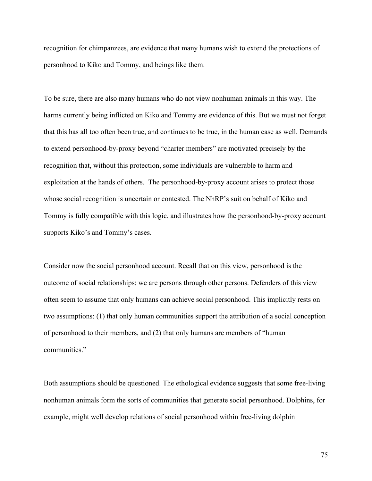recognition for chimpanzees, are evidence that many humans wish to extend the protections of personhood to Kiko and Tommy, and beings like them.

To be sure, there are also many humans who do not view nonhuman animals in this way. The harms currently being inflicted on Kiko and Tommy are evidence of this. But we must not forget that this has all too often been true, and continues to be true, in the human case as well. Demands to extend personhood-by-proxy beyond "charter members" are motivated precisely by the recognition that, without this protection, some individuals are vulnerable to harm and exploitation at the hands of others. The personhood-by-proxy account arises to protect those whose social recognition is uncertain or contested. The NhRP's suit on behalf of Kiko and Tommy is fully compatible with this logic, and illustrates how the personhood-by-proxy account supports Kiko's and Tommy's cases.

Consider now the social personhood account. Recall that on this view, personhood is the outcome of social relationships: we are persons through other persons. Defenders of this view often seem to assume that only humans can achieve social personhood. This implicitly rests on two assumptions: (1) that only human communities support the attribution of a social conception of personhood to their members, and (2) that only humans are members of "human communities."

Both assumptions should be questioned. The ethological evidence suggests that some free-living nonhuman animals form the sorts of communities that generate social personhood. Dolphins, for example, might well develop relations of social personhood within free-living dolphin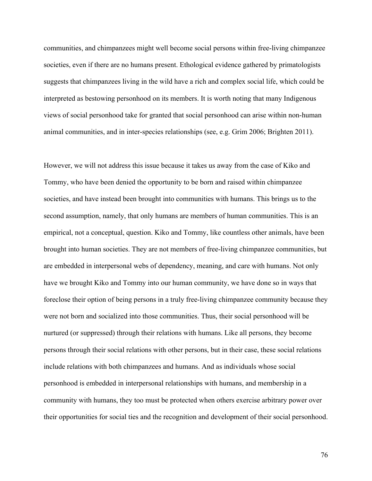communities, and chimpanzees might well become social persons within free-living chimpanzee societies, even if there are no humans present. Ethological evidence gathered by primatologists suggests that chimpanzees living in the wild have a rich and complex social life, which could be interpreted as bestowing personhood on its members. It is worth noting that many Indigenous views of social personhood take for granted that social personhood can arise within non-human animal communities, and in inter-species relationships (see, e.g. Grim 2006; Brighten 2011).

However, we will not address this issue because it takes us away from the case of Kiko and Tommy, who have been denied the opportunity to be born and raised within chimpanzee societies, and have instead been brought into communities with humans. This brings us to the second assumption, namely, that only humans are members of human communities. This is an empirical, not a conceptual, question. Kiko and Tommy, like countless other animals, have been brought into human societies. They are not members of free-living chimpanzee communities, but are embedded in interpersonal webs of dependency, meaning, and care with humans. Not only have we brought Kiko and Tommy into our human community, we have done so in ways that foreclose their option of being persons in a truly free-living chimpanzee community because they were not born and socialized into those communities. Thus, their social personhood will be nurtured (or suppressed) through their relations with humans. Like all persons, they become persons through their social relations with other persons, but in their case, these social relations include relations with both chimpanzees and humans. And as individuals whose social personhood is embedded in interpersonal relationships with humans, and membership in a community with humans, they too must be protected when others exercise arbitrary power over their opportunities for social ties and the recognition and development of their social personhood.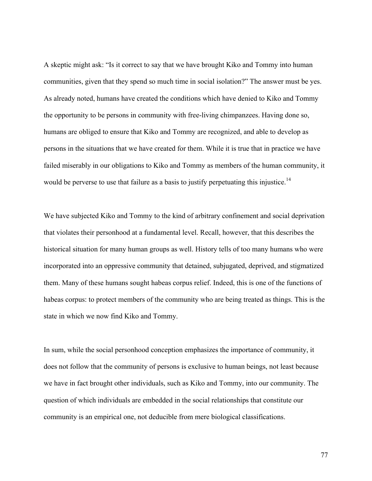A skeptic might ask: "Is it correct to say that we have brought Kiko and Tommy into human communities, given that they spend so much time in social isolation?" The answer must be yes. As already noted, humans have created the conditions which have denied to Kiko and Tommy the opportunity to be persons in community with free-living chimpanzees. Having done so, humans are obliged to ensure that Kiko and Tommy are recognized, and able to develop as persons in the situations that we have created for them. While it is true that in practice we have failed miserably in our obligations to Kiko and Tommy as members of the human community, it would be perverse to use that failure as a basis to justify perpetuating this injustice.<sup>14</sup>

We have subjected Kiko and Tommy to the kind of arbitrary confinement and social deprivation that violates their personhood at a fundamental level. Recall, however, that this describes the historical situation for many human groups as well. History tells of too many humans who were incorporated into an oppressive community that detained, subjugated, deprived, and stigmatized them. Many of these humans sought habeas corpus relief. Indeed, this is one of the functions of habeas corpus: to protect members of the community who are being treated as things. This is the state in which we now find Kiko and Tommy.

In sum, while the social personhood conception emphasizes the importance of community, it does not follow that the community of persons is exclusive to human beings, not least because we have in fact brought other individuals, such as Kiko and Tommy, into our community. The question of which individuals are embedded in the social relationships that constitute our community is an empirical one, not deducible from mere biological classifications.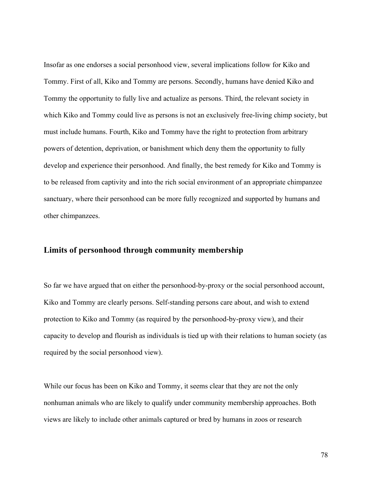Insofar as one endorses a social personhood view, several implications follow for Kiko and Tommy. First of all, Kiko and Tommy are persons. Secondly, humans have denied Kiko and Tommy the opportunity to fully live and actualize as persons. Third, the relevant society in which Kiko and Tommy could live as persons is not an exclusively free-living chimp society, but must include humans. Fourth, Kiko and Tommy have the right to protection from arbitrary powers of detention, deprivation, or banishment which deny them the opportunity to fully develop and experience their personhood. And finally, the best remedy for Kiko and Tommy is to be released from captivity and into the rich social environment of an appropriate chimpanzee sanctuary, where their personhood can be more fully recognized and supported by humans and other chimpanzees.

#### **Limits of personhood through community membership**

So far we have argued that on either the personhood-by-proxy or the social personhood account, Kiko and Tommy are clearly persons. Self-standing persons care about, and wish to extend protection to Kiko and Tommy (as required by the personhood-by-proxy view), and their capacity to develop and flourish as individuals is tied up with their relations to human society (as required by the social personhood view).

While our focus has been on Kiko and Tommy, it seems clear that they are not the only nonhuman animals who are likely to qualify under community membership approaches. Both views are likely to include other animals captured or bred by humans in zoos or research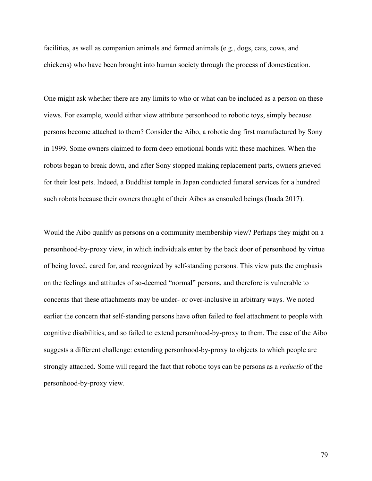facilities, as well as companion animals and farmed animals (e.g., dogs, cats, cows, and chickens) who have been brought into human society through the process of domestication.

One might ask whether there are any limits to who or what can be included as a person on these views. For example, would either view attribute personhood to robotic toys, simply because persons become attached to them? Consider the Aibo, a robotic dog first manufactured by Sony in 1999. Some owners claimed to form deep emotional bonds with these machines. When the robots began to break down, and after Sony stopped making replacement parts, owners grieved for their lost pets. Indeed, a Buddhist temple in Japan conducted funeral services for a hundred such robots because their owners thought of their Aibos as ensouled beings (Inada 2017).

Would the Aibo qualify as persons on a community membership view? Perhaps they might on a personhood-by-proxy view, in which individuals enter by the back door of personhood by virtue of being loved, cared for, and recognized by self-standing persons. This view puts the emphasis on the feelings and attitudes of so-deemed "normal" persons, and therefore is vulnerable to concerns that these attachments may be under- or over-inclusive in arbitrary ways. We noted earlier the concern that self-standing persons have often failed to feel attachment to people with cognitive disabilities, and so failed to extend personhood-by-proxy to them. The case of the Aibo suggests a different challenge: extending personhood-by-proxy to objects to which people are strongly attached. Some will regard the fact that robotic toys can be persons as a *reductio* of the personhood-by-proxy view.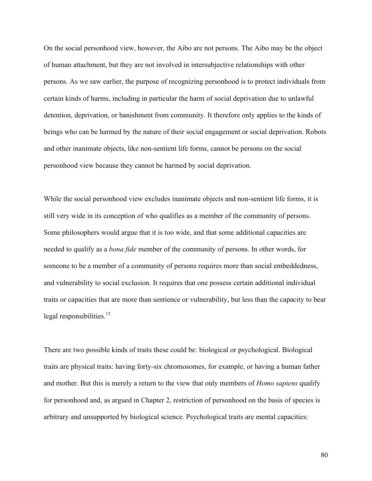On the social personhood view, however, the Aibo are not persons. The Aibo may be the object of human attachment, but they are not involved in intersubjective relationships with other persons. As we saw earlier, the purpose of recognizing personhood is to protect individuals from certain kinds of harms, including in particular the harm of social deprivation due to unlawful detention, deprivation, or banishment from community. It therefore only applies to the kinds of beings who can be harmed by the nature of their social engagement or social deprivation. Robots and other inanimate objects, like non-sentient life forms, cannot be persons on the social personhood view because they cannot be harmed by social deprivation.

While the social personhood view excludes inanimate objects and non-sentient life forms, it is still very wide in its conception of who qualifies as a member of the community of persons. Some philosophers would argue that it is too wide, and that some additional capacities are needed to qualify as a *bona fide* member of the community of persons. In other words, for someone to be a member of a community of persons requires more than social embeddedness, and vulnerability to social exclusion. It requires that one possess certain additional individual traits or capacities that are more than sentience or vulnerability, but less than the capacity to bear legal responsibilities.<sup>15</sup>

There are two possible kinds of traits these could be: biological or psychological. Biological traits are physical traits: having forty-six chromosomes, for example, or having a human father and mother. But this is merely a return to the view that only members of *Homo sapiens* qualify for personhood and, as argued in Chapter 2, restriction of personhood on the basis of species is arbitrary and unsupported by biological science. Psychological traits are mental capacities: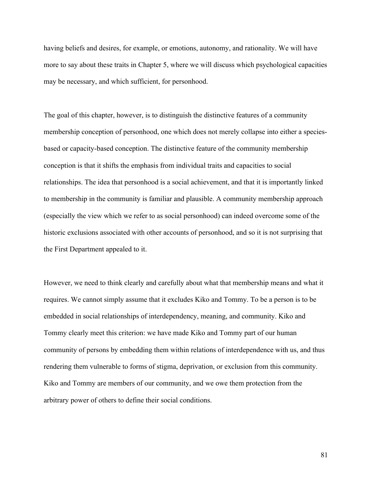having beliefs and desires, for example, or emotions, autonomy, and rationality. We will have more to say about these traits in Chapter 5, where we will discuss which psychological capacities may be necessary, and which sufficient, for personhood.

The goal of this chapter, however, is to distinguish the distinctive features of a community membership conception of personhood, one which does not merely collapse into either a speciesbased or capacity-based conception. The distinctive feature of the community membership conception is that it shifts the emphasis from individual traits and capacities to social relationships. The idea that personhood is a social achievement, and that it is importantly linked to membership in the community is familiar and plausible. A community membership approach (especially the view which we refer to as social personhood) can indeed overcome some of the historic exclusions associated with other accounts of personhood, and so it is not surprising that the First Department appealed to it.

However, we need to think clearly and carefully about what that membership means and what it requires. We cannot simply assume that it excludes Kiko and Tommy. To be a person is to be embedded in social relationships of interdependency, meaning, and community. Kiko and Tommy clearly meet this criterion: we have made Kiko and Tommy part of our human community of persons by embedding them within relations of interdependence with us, and thus rendering them vulnerable to forms of stigma, deprivation, or exclusion from this community. Kiko and Tommy are members of our community, and we owe them protection from the arbitrary power of others to define their social conditions.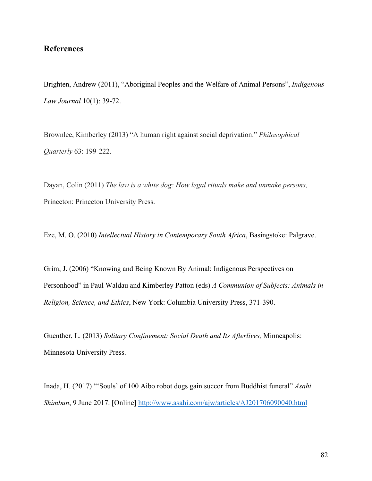# **References**

Brighten, Andrew (2011), "Aboriginal Peoples and the Welfare of Animal Persons", *Indigenous Law Journal* 10(1): 39-72.

Brownlee, Kimberley (2013) "A human right against social deprivation." *Philosophical Quarterly* 63: 199-222.

Dayan, Colin (2011) *The law is a white dog: How legal rituals make and unmake persons,*  Princeton: Princeton University Press.

Eze, M. O. (2010) *Intellectual History in Contemporary South Africa*, Basingstoke: Palgrave.

Grim, J. (2006) "Knowing and Being Known By Animal: Indigenous Perspectives on Personhood" in Paul Waldau and Kimberley Patton (eds) *A Communion of Subjects: Animals in Religion, Science, and Ethics*, New York: Columbia University Press, 371-390.

Guenther, L. (2013) *Solitary Confinement: Social Death and Its Afterlives,* Minneapolis: Minnesota University Press.

Inada, H. (2017) "'Souls' of 100 Aibo robot dogs gain succor from Buddhist funeral" *Asahi Shimbun*, 9 June 2017. [Online] http://www.asahi.com/ajw/articles/AJ201706090040.html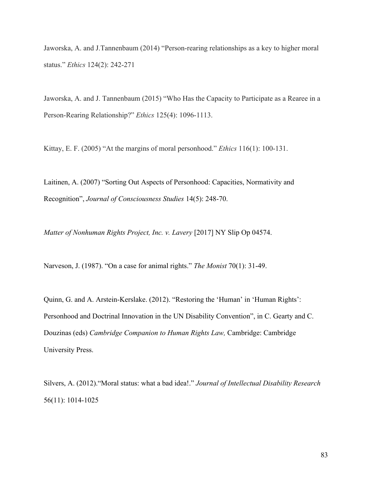Jaworska, A. and J.Tannenbaum (2014) "Person-rearing relationships as a key to higher moral status." *Ethics* 124(2): 242-271

Jaworska, A. and J. Tannenbaum (2015) "Who Has the Capacity to Participate as a Rearee in a Person-Rearing Relationship?" *Ethics* 125(4): 1096-1113.

Kittay, E. F. (2005) "At the margins of moral personhood." *Ethics* 116(1): 100-131.

Laitinen, A. (2007) "Sorting Out Aspects of Personhood: Capacities, Normativity and Recognition", *Journal of Consciousness Studies* 14(5): 248-70.

*Matter of Nonhuman Rights Project, Inc. v. Lavery* [2017] NY Slip Op 04574.

Narveson, J. (1987). "On a case for animal rights." *The Monist* 70(1): 31-49.

Quinn, G. and A. Arstein-Kerslake. (2012). "Restoring the 'Human' in 'Human Rights': Personhood and Doctrinal Innovation in the UN Disability Convention", in C. Gearty and C. Douzinas (eds) *Cambridge Companion to Human Rights Law,* Cambridge: Cambridge University Press.

Silvers, A. (2012)."Moral status: what a bad idea!." *Journal of Intellectual Disability Research* 56(11): 1014-1025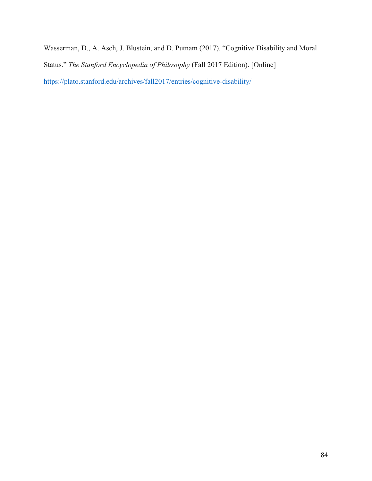Wasserman, D., A. Asch, J. Blustein, and D. Putnam (2017). "Cognitive Disability and Moral Status." *The Stanford Encyclopedia of Philosophy* (Fall 2017 Edition). [Online] https://plato.stanford.edu/archives/fall2017/entries/cognitive-disability/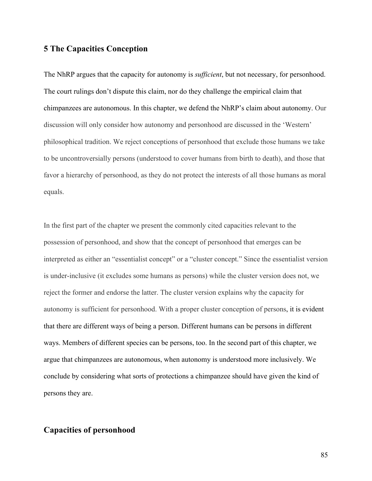# **5 The Capacities Conception**

The NhRP argues that the capacity for autonomy is *sufficient*, but not necessary, for personhood. The court rulings don't dispute this claim, nor do they challenge the empirical claim that chimpanzees are autonomous. In this chapter, we defend the NhRP's claim about autonomy. Our discussion will only consider how autonomy and personhood are discussed in the 'Western' philosophical tradition. We reject conceptions of personhood that exclude those humans we take to be uncontroversially persons (understood to cover humans from birth to death), and those that favor a hierarchy of personhood, as they do not protect the interests of all those humans as moral equals.

In the first part of the chapter we present the commonly cited capacities relevant to the possession of personhood, and show that the concept of personhood that emerges can be interpreted as either an "essentialist concept" or a "cluster concept." Since the essentialist version is under-inclusive (it excludes some humans as persons) while the cluster version does not, we reject the former and endorse the latter. The cluster version explains why the capacity for autonomy is sufficient for personhood. With a proper cluster conception of persons, it is evident that there are different ways of being a person. Different humans can be persons in different ways. Members of different species can be persons, too. In the second part of this chapter, we argue that chimpanzees are autonomous, when autonomy is understood more inclusively. We conclude by considering what sorts of protections a chimpanzee should have given the kind of persons they are.

# **Capacities of personhood**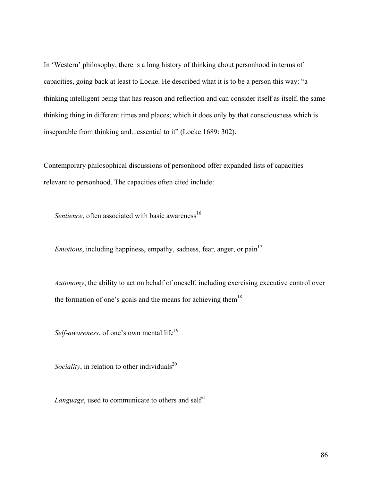In 'Western' philosophy, there is a long history of thinking about personhood in terms of capacities, going back at least to Locke. He described what it is to be a person this way: "a thinking intelligent being that has reason and reflection and can consider itself as itself, the same thinking thing in different times and places; which it does only by that consciousness which is inseparable from thinking and...essential to it" (Locke 1689: 302).

Contemporary philosophical discussions of personhood offer expanded lists of capacities relevant to personhood. The capacities often cited include:

*Sentience*, often associated with basic awareness<sup>16</sup>

*Emotions*, including happiness, empathy, sadness, fear, anger, or pain<sup>17</sup>

*Autonomy*, the ability to act on behalf of oneself, including exercising executive control over the formation of one's goals and the means for achieving them<sup>18</sup>

*Self-awareness*, of one's own mental life<sup>19</sup>

*Sociality*, in relation to other individuals<sup>20</sup>

*Language*, used to communicate to others and self<sup>21</sup>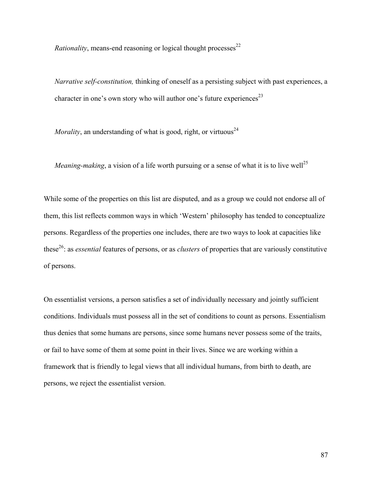*Rationality*, means-end reasoning or logical thought processes<sup>22</sup>

*Narrative self-constitution,* thinking of oneself as a persisting subject with past experiences, a character in one's own story who will author one's future experiences<sup>23</sup>

*Morality*, an understanding of what is good, right, or virtuous<sup>24</sup>

*Meaning-making*, a vision of a life worth pursuing or a sense of what it is to live well<sup>25</sup>

While some of the properties on this list are disputed, and as a group we could not endorse all of them, this list reflects common ways in which 'Western' philosophy has tended to conceptualize persons. Regardless of the properties one includes, there are two ways to look at capacities like these26: as *essential* features of persons, or as *clusters* of properties that are variously constitutive of persons.

On essentialist versions, a person satisfies a set of individually necessary and jointly sufficient conditions. Individuals must possess all in the set of conditions to count as persons. Essentialism thus denies that some humans are persons, since some humans never possess some of the traits, or fail to have some of them at some point in their lives. Since we are working within a framework that is friendly to legal views that all individual humans, from birth to death, are persons, we reject the essentialist version.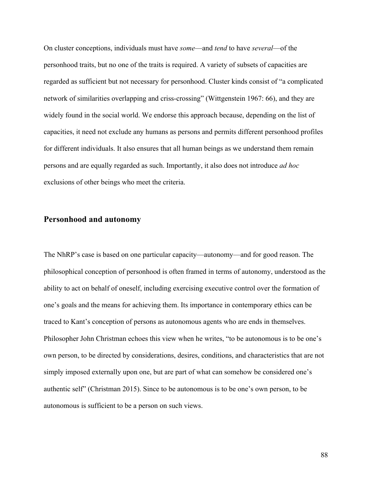On cluster conceptions, individuals must have *some*—and *tend* to have *several*—of the personhood traits, but no one of the traits is required. A variety of subsets of capacities are regarded as sufficient but not necessary for personhood. Cluster kinds consist of "a complicated network of similarities overlapping and criss-crossing" (Wittgenstein 1967: 66), and they are widely found in the social world. We endorse this approach because, depending on the list of capacities, it need not exclude any humans as persons and permits different personhood profiles for different individuals. It also ensures that all human beings as we understand them remain persons and are equally regarded as such. Importantly, it also does not introduce *ad hoc* exclusions of other beings who meet the criteria.

#### **Personhood and autonomy**

The NhRP's case is based on one particular capacity—autonomy—and for good reason. The philosophical conception of personhood is often framed in terms of autonomy, understood as the ability to act on behalf of oneself, including exercising executive control over the formation of one's goals and the means for achieving them. Its importance in contemporary ethics can be traced to Kant's conception of persons as autonomous agents who are ends in themselves. Philosopher John Christman echoes this view when he writes, "to be autonomous is to be one's own person, to be directed by considerations, desires, conditions, and characteristics that are not simply imposed externally upon one, but are part of what can somehow be considered one's authentic self" (Christman 2015). Since to be autonomous is to be one's own person, to be autonomous is sufficient to be a person on such views.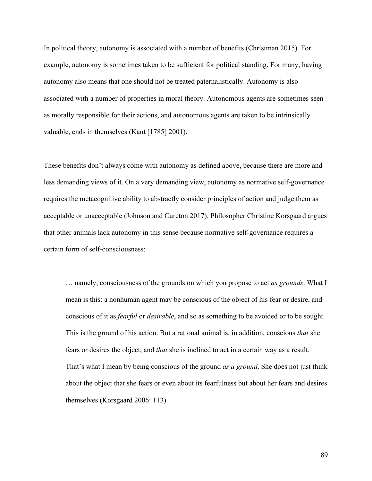In political theory, autonomy is associated with a number of benefits (Christman 2015). For example, autonomy is sometimes taken to be sufficient for political standing. For many, having autonomy also means that one should not be treated paternalistically. Autonomy is also associated with a number of properties in moral theory. Autonomous agents are sometimes seen as morally responsible for their actions, and autonomous agents are taken to be intrinsically valuable, ends in themselves (Kant [1785] 2001).

These benefits don't always come with autonomy as defined above, because there are more and less demanding views of it. On a very demanding view, autonomy as normative self-governance requires the metacognitive ability to abstractly consider principles of action and judge them as acceptable or unacceptable (Johnson and Cureton 2017). Philosopher Christine Korsgaard argues that other animals lack autonomy in this sense because normative self-governance requires a certain form of self-consciousness:

… namely, consciousness of the grounds on which you propose to act *as grounds*. What I mean is this: a nonhuman agent may be conscious of the object of his fear or desire, and conscious of it as *fearful* or *desirable*, and so as something to be avoided or to be sought. This is the ground of his action. But a rational animal is, in addition, conscious *that* she fears or desires the object, and *that* she is inclined to act in a certain way as a result. That's what I mean by being conscious of the ground *as a ground*. She does not just think about the object that she fears or even about its fearfulness but about her fears and desires themselves (Korsgaard 2006: 113).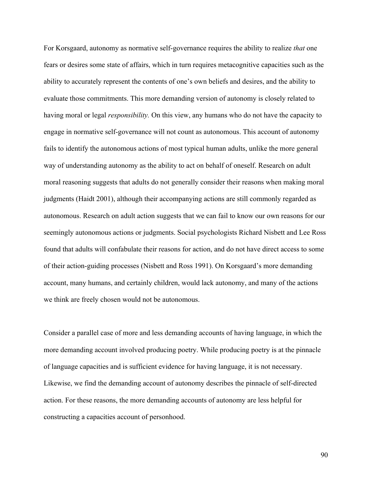For Korsgaard, autonomy as normative self-governance requires the ability to realize *that* one fears or desires some state of affairs, which in turn requires metacognitive capacities such as the ability to accurately represent the contents of one's own beliefs and desires, and the ability to evaluate those commitments. This more demanding version of autonomy is closely related to having moral or legal *responsibility.* On this view, any humans who do not have the capacity to engage in normative self-governance will not count as autonomous. This account of autonomy fails to identify the autonomous actions of most typical human adults, unlike the more general way of understanding autonomy as the ability to act on behalf of oneself. Research on adult moral reasoning suggests that adults do not generally consider their reasons when making moral judgments (Haidt 2001), although their accompanying actions are still commonly regarded as autonomous. Research on adult action suggests that we can fail to know our own reasons for our seemingly autonomous actions or judgments. Social psychologists Richard Nisbett and Lee Ross found that adults will confabulate their reasons for action, and do not have direct access to some of their action-guiding processes (Nisbett and Ross 1991). On Korsgaard's more demanding account, many humans, and certainly children, would lack autonomy, and many of the actions we think are freely chosen would not be autonomous.

Consider a parallel case of more and less demanding accounts of having language, in which the more demanding account involved producing poetry. While producing poetry is at the pinnacle of language capacities and is sufficient evidence for having language, it is not necessary. Likewise, we find the demanding account of autonomy describes the pinnacle of self-directed action. For these reasons, the more demanding accounts of autonomy are less helpful for constructing a capacities account of personhood.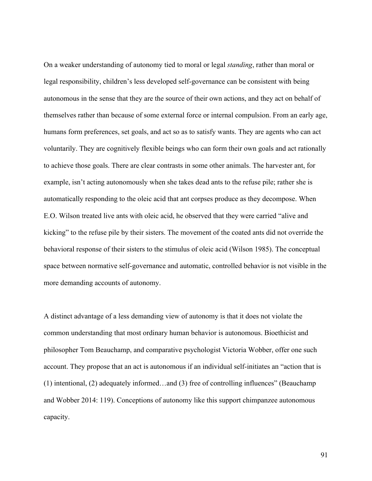On a weaker understanding of autonomy tied to moral or legal *standing*, rather than moral or legal responsibility, children's less developed self-governance can be consistent with being autonomous in the sense that they are the source of their own actions, and they act on behalf of themselves rather than because of some external force or internal compulsion. From an early age, humans form preferences, set goals, and act so as to satisfy wants. They are agents who can act voluntarily. They are cognitively flexible beings who can form their own goals and act rationally to achieve those goals. There are clear contrasts in some other animals. The harvester ant, for example, isn't acting autonomously when she takes dead ants to the refuse pile; rather she is automatically responding to the oleic acid that ant corpses produce as they decompose. When E.O. Wilson treated live ants with oleic acid, he observed that they were carried "alive and kicking" to the refuse pile by their sisters. The movement of the coated ants did not override the behavioral response of their sisters to the stimulus of oleic acid (Wilson 1985). The conceptual space between normative self-governance and automatic, controlled behavior is not visible in the more demanding accounts of autonomy.

A distinct advantage of a less demanding view of autonomy is that it does not violate the common understanding that most ordinary human behavior is autonomous. Bioethicist and philosopher Tom Beauchamp, and comparative psychologist Victoria Wobber, offer one such account. They propose that an act is autonomous if an individual self-initiates an "action that is (1) intentional, (2) adequately informed…and (3) free of controlling influences" (Beauchamp and Wobber 2014: 119). Conceptions of autonomy like this support chimpanzee autonomous capacity.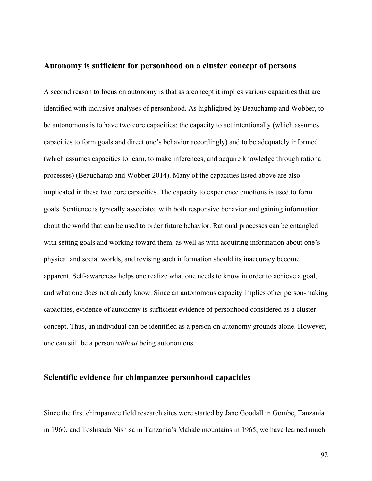#### **Autonomy is sufficient for personhood on a cluster concept of persons**

A second reason to focus on autonomy is that as a concept it implies various capacities that are identified with inclusive analyses of personhood. As highlighted by Beauchamp and Wobber, to be autonomous is to have two core capacities: the capacity to act intentionally (which assumes capacities to form goals and direct one's behavior accordingly) and to be adequately informed (which assumes capacities to learn, to make inferences, and acquire knowledge through rational processes) (Beauchamp and Wobber 2014). Many of the capacities listed above are also implicated in these two core capacities. The capacity to experience emotions is used to form goals. Sentience is typically associated with both responsive behavior and gaining information about the world that can be used to order future behavior. Rational processes can be entangled with setting goals and working toward them, as well as with acquiring information about one's physical and social worlds, and revising such information should its inaccuracy become apparent. Self-awareness helps one realize what one needs to know in order to achieve a goal, and what one does not already know. Since an autonomous capacity implies other person-making capacities, evidence of autonomy is sufficient evidence of personhood considered as a cluster concept. Thus, an individual can be identified as a person on autonomy grounds alone. However, one can still be a person *without* being autonomous.

## **Scientific evidence for chimpanzee personhood capacities**

Since the first chimpanzee field research sites were started by Jane Goodall in Gombe, Tanzania in 1960, and Toshisada Nishisa in Tanzania's Mahale mountains in 1965, we have learned much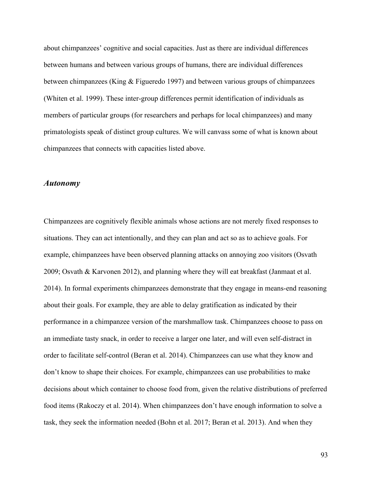about chimpanzees' cognitive and social capacities. Just as there are individual differences between humans and between various groups of humans, there are individual differences between chimpanzees (King & Figueredo 1997) and between various groups of chimpanzees (Whiten et al. 1999). These inter-group differences permit identification of individuals as members of particular groups (for researchers and perhaps for local chimpanzees) and many primatologists speak of distinct group cultures. We will canvass some of what is known about chimpanzees that connects with capacities listed above.

#### *Autonomy*

Chimpanzees are cognitively flexible animals whose actions are not merely fixed responses to situations. They can act intentionally, and they can plan and act so as to achieve goals. For example, chimpanzees have been observed planning attacks on annoying zoo visitors (Osvath 2009; Osvath & Karvonen 2012), and planning where they will eat breakfast (Janmaat et al. 2014). In formal experiments chimpanzees demonstrate that they engage in means-end reasoning about their goals. For example, they are able to delay gratification as indicated by their performance in a chimpanzee version of the marshmallow task. Chimpanzees choose to pass on an immediate tasty snack, in order to receive a larger one later, and will even self-distract in order to facilitate self-control (Beran et al. 2014). Chimpanzees can use what they know and don't know to shape their choices. For example, chimpanzees can use probabilities to make decisions about which container to choose food from, given the relative distributions of preferred food items (Rakoczy et al. 2014). When chimpanzees don't have enough information to solve a task, they seek the information needed (Bohn et al. 2017; Beran et al. 2013). And when they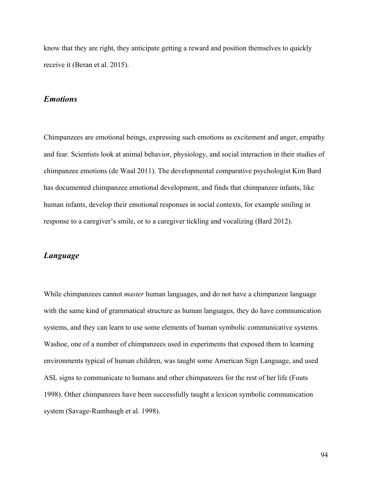know that they are right, they anticipate getting a reward and position themselves to quickly receive it (Beran et al. 2015).

### *Emotions*

Chimpanzees are emotional beings, expressing such emotions as excitement and anger, empathy and fear. Scientists look at animal behavior, physiology, and social interaction in their studies of chimpanzee emotions (de Waal 2011). The developmental comparative psychologist Kim Bard has documented chimpanzee emotional development, and finds that chimpanzee infants, like human infants, develop their emotional responses in social contexts, for example smiling in response to a caregiver's smile, or to a caregiver tickling and vocalizing (Bard 2012).

#### *Language*

While chimpanzees cannot *master* human languages, and do not have a chimpanzee language with the same kind of grammatical structure as human languages, they do have communication systems, and they can learn to use some elements of human symbolic communicative systems. Washoe, one of a number of chimpanzees used in experiments that exposed them to learning environments typical of human children, was taught some American Sign Language, and used ASL signs to communicate to humans and other chimpanzees for the rest of her life (Fouts 1998). Other chimpanzees have been successfully taught a lexicon symbolic communication system (Savage-Rumbaugh et al. 1998).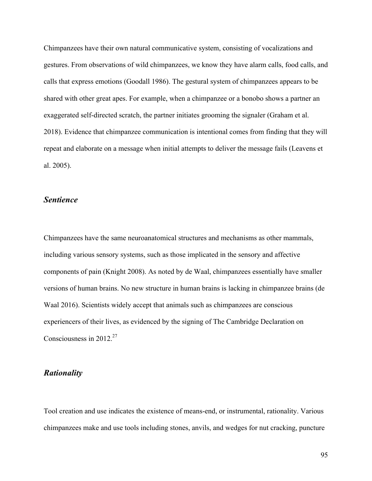Chimpanzees have their own natural communicative system, consisting of vocalizations and gestures. From observations of wild chimpanzees, we know they have alarm calls, food calls, and calls that express emotions (Goodall 1986). The gestural system of chimpanzees appears to be shared with other great apes. For example, when a chimpanzee or a bonobo shows a partner an exaggerated self-directed scratch, the partner initiates grooming the signaler (Graham et al. 2018). Evidence that chimpanzee communication is intentional comes from finding that they will repeat and elaborate on a message when initial attempts to deliver the message fails (Leavens et al. 2005).

#### *Sentience*

Chimpanzees have the same neuroanatomical structures and mechanisms as other mammals, including various sensory systems, such as those implicated in the sensory and affective components of pain (Knight 2008). As noted by de Waal, chimpanzees essentially have smaller versions of human brains. No new structure in human brains is lacking in chimpanzee brains (de Waal 2016). Scientists widely accept that animals such as chimpanzees are conscious experiencers of their lives, as evidenced by the signing of The Cambridge Declaration on Consciousness in  $2012^{27}$ 

### *Rationality*

Tool creation and use indicates the existence of means-end, or instrumental, rationality. Various chimpanzees make and use tools including stones, anvils, and wedges for nut cracking, puncture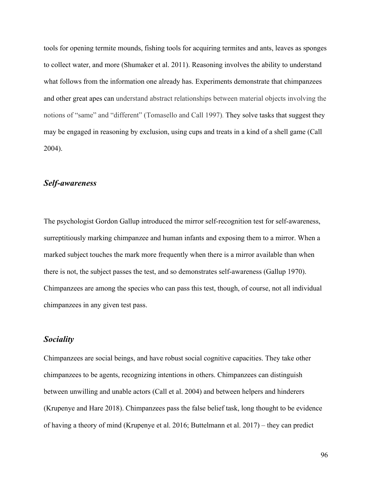tools for opening termite mounds, fishing tools for acquiring termites and ants, leaves as sponges to collect water, and more (Shumaker et al. 2011). Reasoning involves the ability to understand what follows from the information one already has. Experiments demonstrate that chimpanzees and other great apes can understand abstract relationships between material objects involving the notions of "same" and "different" (Tomasello and Call 1997). They solve tasks that suggest they may be engaged in reasoning by exclusion, using cups and treats in a kind of a shell game (Call 2004).

### *Self-awareness*

The psychologist Gordon Gallup introduced the mirror self-recognition test for self-awareness, surreptitiously marking chimpanzee and human infants and exposing them to a mirror. When a marked subject touches the mark more frequently when there is a mirror available than when there is not, the subject passes the test, and so demonstrates self-awareness (Gallup 1970). Chimpanzees are among the species who can pass this test, though, of course, not all individual chimpanzees in any given test pass.

#### *Sociality*

Chimpanzees are social beings, and have robust social cognitive capacities. They take other chimpanzees to be agents, recognizing intentions in others. Chimpanzees can distinguish between unwilling and unable actors (Call et al. 2004) and between helpers and hinderers (Krupenye and Hare 2018). Chimpanzees pass the false belief task, long thought to be evidence of having a theory of mind (Krupenye et al. 2016; Buttelmann et al. 2017) – they can predict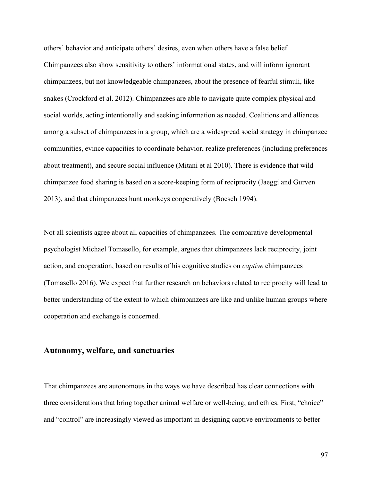others' behavior and anticipate others' desires, even when others have a false belief. Chimpanzees also show sensitivity to others' informational states, and will inform ignorant chimpanzees, but not knowledgeable chimpanzees, about the presence of fearful stimuli, like snakes (Crockford et al. 2012). Chimpanzees are able to navigate quite complex physical and social worlds, acting intentionally and seeking information as needed. Coalitions and alliances among a subset of chimpanzees in a group, which are a widespread social strategy in chimpanzee communities, evince capacities to coordinate behavior, realize preferences (including preferences about treatment), and secure social influence (Mitani et al 2010). There is evidence that wild chimpanzee food sharing is based on a score-keeping form of reciprocity (Jaeggi and Gurven 2013), and that chimpanzees hunt monkeys cooperatively (Boesch 1994).

Not all scientists agree about all capacities of chimpanzees. The comparative developmental psychologist Michael Tomasello, for example, argues that chimpanzees lack reciprocity, joint action, and cooperation, based on results of his cognitive studies on *captive* chimpanzees (Tomasello 2016). We expect that further research on behaviors related to reciprocity will lead to better understanding of the extent to which chimpanzees are like and unlike human groups where cooperation and exchange is concerned.

### **Autonomy, welfare, and sanctuaries**

That chimpanzees are autonomous in the ways we have described has clear connections with three considerations that bring together animal welfare or well-being, and ethics. First, "choice" and "control" are increasingly viewed as important in designing captive environments to better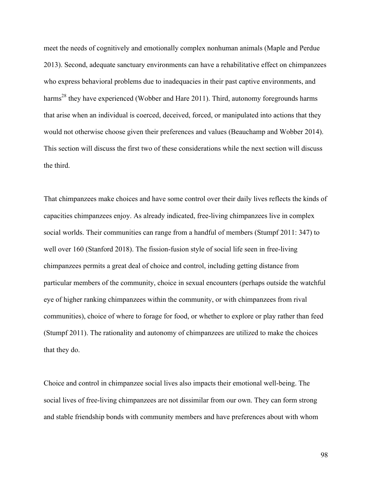meet the needs of cognitively and emotionally complex nonhuman animals (Maple and Perdue 2013). Second, adequate sanctuary environments can have a rehabilitative effect on chimpanzees who express behavioral problems due to inadequacies in their past captive environments, and harms<sup>28</sup> they have experienced (Wobber and Hare 2011). Third, autonomy foregrounds harms that arise when an individual is coerced, deceived, forced, or manipulated into actions that they would not otherwise choose given their preferences and values (Beauchamp and Wobber 2014). This section will discuss the first two of these considerations while the next section will discuss the third.

That chimpanzees make choices and have some control over their daily lives reflects the kinds of capacities chimpanzees enjoy. As already indicated, free-living chimpanzees live in complex social worlds. Their communities can range from a handful of members (Stumpf 2011: 347) to well over 160 (Stanford 2018). The fission-fusion style of social life seen in free-living chimpanzees permits a great deal of choice and control, including getting distance from particular members of the community, choice in sexual encounters (perhaps outside the watchful eye of higher ranking chimpanzees within the community, or with chimpanzees from rival communities), choice of where to forage for food, or whether to explore or play rather than feed (Stumpf 2011). The rationality and autonomy of chimpanzees are utilized to make the choices that they do.

Choice and control in chimpanzee social lives also impacts their emotional well-being. The social lives of free-living chimpanzees are not dissimilar from our own. They can form strong and stable friendship bonds with community members and have preferences about with whom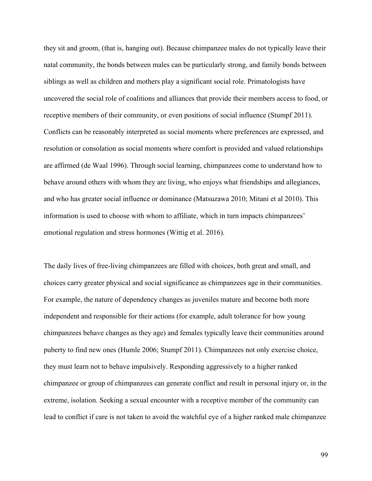they sit and groom, (that is, hanging out). Because chimpanzee males do not typically leave their natal community, the bonds between males can be particularly strong, and family bonds between siblings as well as children and mothers play a significant social role. Primatologists have uncovered the social role of coalitions and alliances that provide their members access to food, or receptive members of their community, or even positions of social influence (Stumpf 2011). Conflicts can be reasonably interpreted as social moments where preferences are expressed, and resolution or consolation as social moments where comfort is provided and valued relationships are affirmed (de Waal 1996). Through social learning, chimpanzees come to understand how to behave around others with whom they are living, who enjoys what friendships and allegiances, and who has greater social influence or dominance (Matsuzawa 2010; Mitani et al 2010). This information is used to choose with whom to affiliate, which in turn impacts chimpanzees' emotional regulation and stress hormones (Wittig et al. 2016).

The daily lives of free-living chimpanzees are filled with choices, both great and small, and choices carry greater physical and social significance as chimpanzees age in their communities. For example, the nature of dependency changes as juveniles mature and become both more independent and responsible for their actions (for example, adult tolerance for how young chimpanzees behave changes as they age) and females typically leave their communities around puberty to find new ones (Humle 2006; Stumpf 2011). Chimpanzees not only exercise choice, they must learn not to behave impulsively. Responding aggressively to a higher ranked chimpanzee or group of chimpanzees can generate conflict and result in personal injury or, in the extreme, isolation. Seeking a sexual encounter with a receptive member of the community can lead to conflict if care is not taken to avoid the watchful eye of a higher ranked male chimpanzee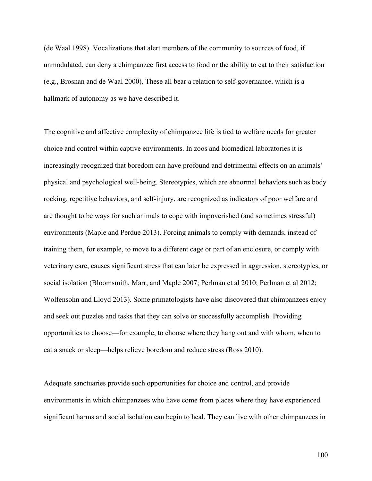(de Waal 1998). Vocalizations that alert members of the community to sources of food, if unmodulated, can deny a chimpanzee first access to food or the ability to eat to their satisfaction (e.g., Brosnan and de Waal 2000). These all bear a relation to self-governance, which is a hallmark of autonomy as we have described it.

The cognitive and affective complexity of chimpanzee life is tied to welfare needs for greater choice and control within captive environments. In zoos and biomedical laboratories it is increasingly recognized that boredom can have profound and detrimental effects on an animals' physical and psychological well-being. Stereotypies, which are abnormal behaviors such as body rocking, repetitive behaviors, and self-injury, are recognized as indicators of poor welfare and are thought to be ways for such animals to cope with impoverished (and sometimes stressful) environments (Maple and Perdue 2013). Forcing animals to comply with demands, instead of training them, for example, to move to a different cage or part of an enclosure, or comply with veterinary care, causes significant stress that can later be expressed in aggression, stereotypies, or social isolation (Bloomsmith, Marr, and Maple 2007; Perlman et al 2010; Perlman et al 2012; Wolfensohn and Lloyd 2013). Some primatologists have also discovered that chimpanzees enjoy and seek out puzzles and tasks that they can solve or successfully accomplish. Providing opportunities to choose—for example, to choose where they hang out and with whom, when to eat a snack or sleep—helps relieve boredom and reduce stress (Ross 2010).

Adequate sanctuaries provide such opportunities for choice and control, and provide environments in which chimpanzees who have come from places where they have experienced significant harms and social isolation can begin to heal. They can live with other chimpanzees in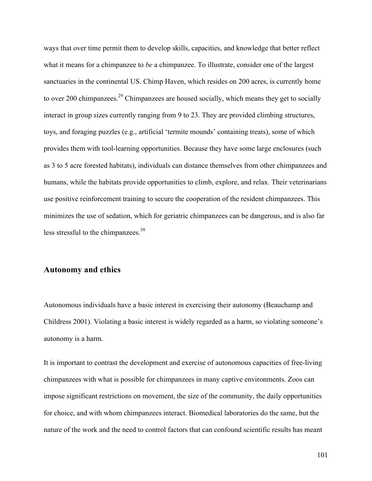ways that over time permit them to develop skills, capacities, and knowledge that better reflect what it means for a chimpanzee to *be* a chimpanzee. To illustrate, consider one of the largest sanctuaries in the continental US. Chimp Haven, which resides on 200 acres, is currently home to over 200 chimpanzees.<sup>29</sup> Chimpanzees are housed socially, which means they get to socially interact in group sizes currently ranging from 9 to 23. They are provided climbing structures, toys, and foraging puzzles (e.g., artificial 'termite mounds' containing treats), some of which provides them with tool-learning opportunities. Because they have some large enclosures (such as 3 to 5 acre forested habitats), individuals can distance themselves from other chimpanzees and humans, while the habitats provide opportunities to climb, explore, and relax. Their veterinarians use positive reinforcement training to secure the cooperation of the resident chimpanzees. This minimizes the use of sedation, which for geriatric chimpanzees can be dangerous, and is also far less stressful to the chimpanzees.<sup>30</sup>

#### **Autonomy and ethics**

Autonomous individuals have a basic interest in exercising their autonomy (Beauchamp and Childress 2001). Violating a basic interest is widely regarded as a harm, so violating someone's autonomy is a harm.

It is important to contrast the development and exercise of autonomous capacities of free-living chimpanzees with what is possible for chimpanzees in many captive environments. Zoos can impose significant restrictions on movement, the size of the community, the daily opportunities for choice, and with whom chimpanzees interact. Biomedical laboratories do the same, but the nature of the work and the need to control factors that can confound scientific results has meant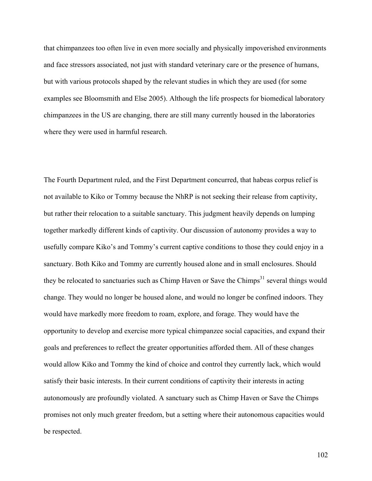that chimpanzees too often live in even more socially and physically impoverished environments and face stressors associated, not just with standard veterinary care or the presence of humans, but with various protocols shaped by the relevant studies in which they are used (for some examples see Bloomsmith and Else 2005). Although the life prospects for biomedical laboratory chimpanzees in the US are changing, there are still many currently housed in the laboratories where they were used in harmful research.

The Fourth Department ruled, and the First Department concurred, that habeas corpus relief is not available to Kiko or Tommy because the NhRP is not seeking their release from captivity, but rather their relocation to a suitable sanctuary. This judgment heavily depends on lumping together markedly different kinds of captivity. Our discussion of autonomy provides a way to usefully compare Kiko's and Tommy's current captive conditions to those they could enjoy in a sanctuary. Both Kiko and Tommy are currently housed alone and in small enclosures. Should they be relocated to sanctuaries such as Chimp Haven or Save the Chimps<sup>31</sup> several things would change. They would no longer be housed alone, and would no longer be confined indoors. They would have markedly more freedom to roam, explore, and forage. They would have the opportunity to develop and exercise more typical chimpanzee social capacities, and expand their goals and preferences to reflect the greater opportunities afforded them. All of these changes would allow Kiko and Tommy the kind of choice and control they currently lack, which would satisfy their basic interests. In their current conditions of captivity their interests in acting autonomously are profoundly violated. A sanctuary such as Chimp Haven or Save the Chimps promises not only much greater freedom, but a setting where their autonomous capacities would be respected.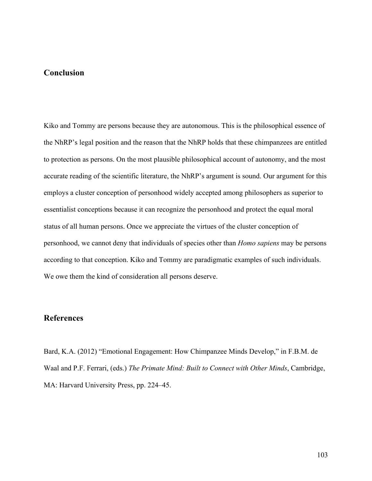## **Conclusion**

Kiko and Tommy are persons because they are autonomous. This is the philosophical essence of the NhRP's legal position and the reason that the NhRP holds that these chimpanzees are entitled to protection as persons. On the most plausible philosophical account of autonomy, and the most accurate reading of the scientific literature, the NhRP's argument is sound. Our argument for this employs a cluster conception of personhood widely accepted among philosophers as superior to essentialist conceptions because it can recognize the personhood and protect the equal moral status of all human persons. Once we appreciate the virtues of the cluster conception of personhood, we cannot deny that individuals of species other than *Homo sapiens* may be persons according to that conception. Kiko and Tommy are paradigmatic examples of such individuals. We owe them the kind of consideration all persons deserve.

# **References**

Bard, K.A. (2012) "Emotional Engagement: How Chimpanzee Minds Develop," in F.B.M. de Waal and P.F. Ferrari, (eds.) *The Primate Mind: Built to Connect with Other Minds*, Cambridge, MA: Harvard University Press, pp. 224–45.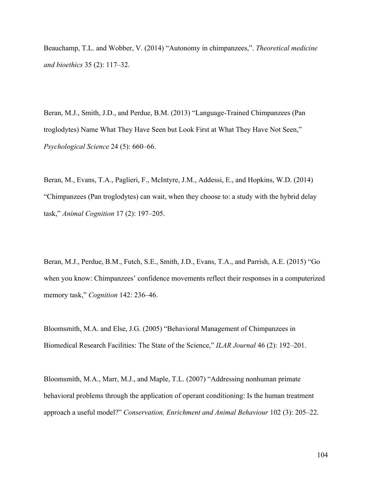Beauchamp, T.L. and Wobber, V. (2014) "Autonomy in chimpanzees,". *Theoretical medicine and bioethics* 35 (2): 117–32.

Beran, M.J., Smith, J.D., and Perdue, B.M. (2013) "Language-Trained Chimpanzees (Pan troglodytes) Name What They Have Seen but Look First at What They Have Not Seen," *Psychological Science* 24 (5): 660–66.

Beran, M., Evans, T.A., Paglieri, F., McIntyre, J.M., Addessi, E., and Hopkins, W.D. (2014) "Chimpanzees (Pan troglodytes) can wait, when they choose to: a study with the hybrid delay task," *Animal Cognition* 17 (2): 197–205.

Beran, M.J., Perdue, B.M., Futch, S.E., Smith, J.D., Evans, T.A., and Parrish, A.E. (2015) "Go when you know: Chimpanzees' confidence movements reflect their responses in a computerized memory task," *Cognition* 142: 236–46.

Bloomsmith, M.A. and Else, J.G. (2005) "Behavioral Management of Chimpanzees in Biomedical Research Facilities: The State of the Science," *ILAR Journal* 46 (2): 192–201.

Bloomsmith, M.A., Marr, M.J., and Maple, T.L. (2007) "Addressing nonhuman primate behavioral problems through the application of operant conditioning: Is the human treatment approach a useful model?" *Conservation, Enrichment and Animal Behaviour* 102 (3): 205–22.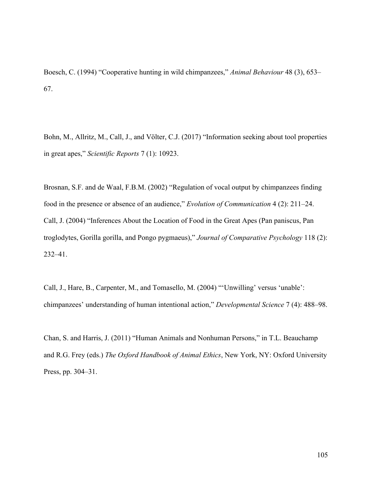Boesch, C. (1994) "Cooperative hunting in wild chimpanzees," *Animal Behaviour* 48 (3), 653– 67.

Bohn, M., Allritz, M., Call, J., and Völter, C.J. (2017) "Information seeking about tool properties in great apes," *Scientific Reports* 7 (1): 10923.

Brosnan, S.F. and de Waal, F.B.M. (2002) "Regulation of vocal output by chimpanzees finding food in the presence or absence of an audience," *Evolution of Communication* 4 (2): 211–24. Call, J. (2004) "Inferences About the Location of Food in the Great Apes (Pan paniscus, Pan troglodytes, Gorilla gorilla, and Pongo pygmaeus)," *Journal of Comparative Psychology* 118 (2): 232–41.

Call, J., Hare, B., Carpenter, M., and Tomasello, M. (2004) "'Unwilling' versus 'unable': chimpanzees' understanding of human intentional action," *Developmental Science* 7 (4): 488–98.

Chan, S. and Harris, J. (2011) "Human Animals and Nonhuman Persons," in T.L. Beauchamp and R.G. Frey (eds.) *The Oxford Handbook of Animal Ethics*, New York, NY: Oxford University Press, pp. 304–31.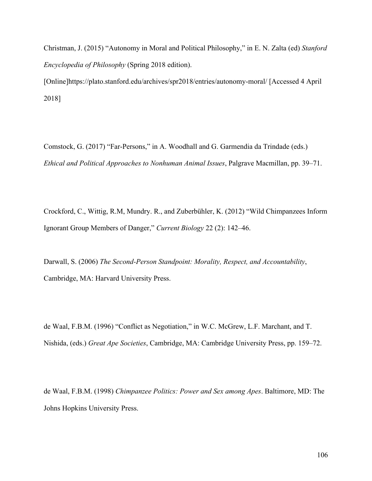Christman, J. (2015) "Autonomy in Moral and Political Philosophy," in E. N. Zalta (ed) *Stanford Encyclopedia of Philosophy* (Spring 2018 edition).

[Online]https://plato.stanford.edu/archives/spr2018/entries/autonomy-moral/ [Accessed 4 April 2018]

Comstock, G. (2017) "Far-Persons," in A. Woodhall and G. Garmendia da Trindade (eds.) *Ethical and Political Approaches to Nonhuman Animal Issues*, Palgrave Macmillan, pp. 39–71.

Crockford, C., Wittig, R.M, Mundry. R., and Zuberbühler, K. (2012) "Wild Chimpanzees Inform Ignorant Group Members of Danger," *Current Biology* 22 (2): 142–46.

Darwall, S. (2006) *The Second-Person Standpoint: Morality, Respect, and Accountability*, Cambridge, MA: Harvard University Press.

de Waal, F.B.M. (1996) "Conflict as Negotiation," in W.C. McGrew, L.F. Marchant, and T. Nishida, (eds.) *Great Ape Societies*, Cambridge, MA: Cambridge University Press, pp. 159–72.

de Waal, F.B.M. (1998) *Chimpanzee Politics: Power and Sex among Apes*. Baltimore, MD: The Johns Hopkins University Press.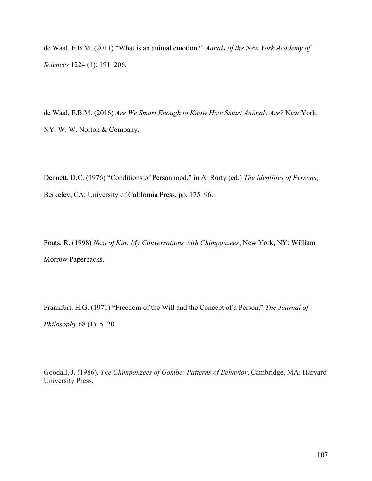de Waal, F.B.M. (2011) "What is an animal emotion?" *Annals of the New York Academy of Sciences* 1224 (1): 191–206.

de Waal, F.B.M. (2016) *Are We Smart Enough to Know How Smart Animals Are?* New York, NY: W. W. Norton & Company.

Dennett, D.C. (1976) "Conditions of Personhood," in A. Rorty (ed.) *The Identities of Persons*, Berkeley, CA: University of California Press, pp. 175–96.

Fouts, R. (1998) *Next of Kin: My Conversations with Chimpanzees*, New York, NY: William Morrow Paperbacks.

Frankfurt, H.G. (1971) "Freedom of the Will and the Concept of a Person," *The Journal of Philosophy* 68 (1): 5–20.

Goodall, J. (1986). *The Chimpanzees of Gombe: Patterns of Behavior*. Cambridge, MA: Harvard University Press.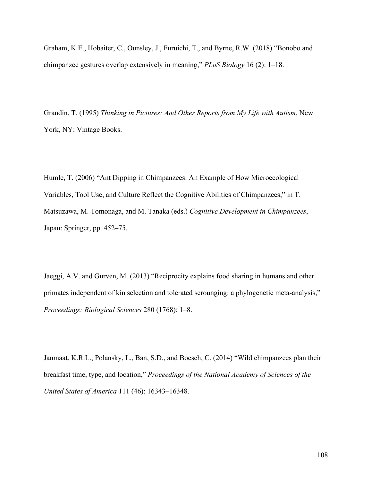Graham, K.E., Hobaiter, C., Ounsley, J., Furuichi, T., and Byrne, R.W. (2018) "Bonobo and chimpanzee gestures overlap extensively in meaning," *PLoS Biology* 16 (2): 1–18.

Grandin, T. (1995) *Thinking in Pictures: And Other Reports from My Life with Autism*, New York, NY: Vintage Books.

Humle, T. (2006) "Ant Dipping in Chimpanzees: An Example of How Microecological Variables, Tool Use, and Culture Reflect the Cognitive Abilities of Chimpanzees," in T. Matsuzawa, M. Tomonaga, and M. Tanaka (eds.) *Cognitive Development in Chimpanzees*, Japan: Springer, pp. 452–75.

Jaeggi, A.V. and Gurven, M. (2013) "Reciprocity explains food sharing in humans and other primates independent of kin selection and tolerated scrounging: a phylogenetic meta-analysis," *Proceedings: Biological Sciences* 280 (1768): 1–8.

Janmaat, K.R.L., Polansky, L., Ban, S.D., and Boesch, C. (2014) "Wild chimpanzees plan their breakfast time, type, and location," *Proceedings of the National Academy of Sciences of the United States of America* 111 (46): 16343–16348.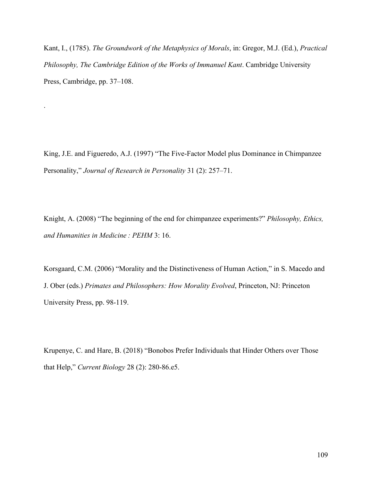Kant, I., (1785). *The Groundwork of the Metaphysics of Morals*, in: Gregor, M.J. (Ed.), *Practical Philosophy, The Cambridge Edition of the Works of Immanuel Kant*. Cambridge University Press, Cambridge, pp. 37–108.

.

King, J.E. and Figueredo, A.J. (1997) "The Five-Factor Model plus Dominance in Chimpanzee Personality," *Journal of Research in Personality* 31 (2): 257–71.

Knight, A. (2008) "The beginning of the end for chimpanzee experiments?" *Philosophy, Ethics, and Humanities in Medicine : PEHM* 3: 16.

Korsgaard, C.M. (2006) "Morality and the Distinctiveness of Human Action," in S. Macedo and J. Ober (eds.) *Primates and Philosophers: How Morality Evolved*, Princeton, NJ: Princeton University Press, pp. 98-119.

Krupenye, C. and Hare, B. (2018) "Bonobos Prefer Individuals that Hinder Others over Those that Help," *Current Biology* 28 (2): 280-86.e5.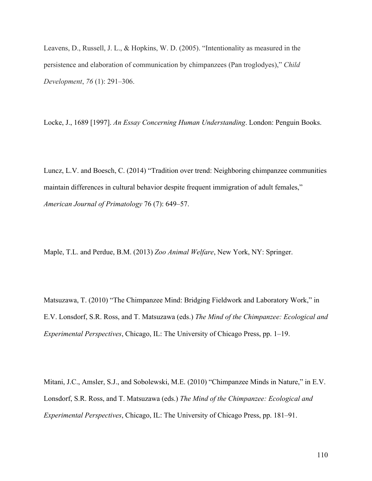Leavens, D., Russell, J. L., & Hopkins, W. D. (2005). "Intentionality as measured in the persistence and elaboration of communication by chimpanzees (Pan troglodyes)," *Child Development*, *76* (1): 291–306.

Locke, J., 1689 [1997]. *An Essay Concerning Human Understanding*. London: Penguin Books.

Luncz, L.V. and Boesch, C. (2014) "Tradition over trend: Neighboring chimpanzee communities maintain differences in cultural behavior despite frequent immigration of adult females," *American Journal of Primatology* 76 (7): 649–57.

Maple, T.L. and Perdue, B.M. (2013) *Zoo Animal Welfare*, New York, NY: Springer.

Matsuzawa, T. (2010) "The Chimpanzee Mind: Bridging Fieldwork and Laboratory Work," in E.V. Lonsdorf, S.R. Ross, and T. Matsuzawa (eds.) *The Mind of the Chimpanzee: Ecological and Experimental Perspectives*, Chicago, IL: The University of Chicago Press, pp. 1–19.

Mitani, J.C., Amsler, S.J., and Sobolewski, M.E. (2010) "Chimpanzee Minds in Nature," in E.V. Lonsdorf, S.R. Ross, and T. Matsuzawa (eds.) *The Mind of the Chimpanzee: Ecological and Experimental Perspectives*, Chicago, IL: The University of Chicago Press, pp. 181–91.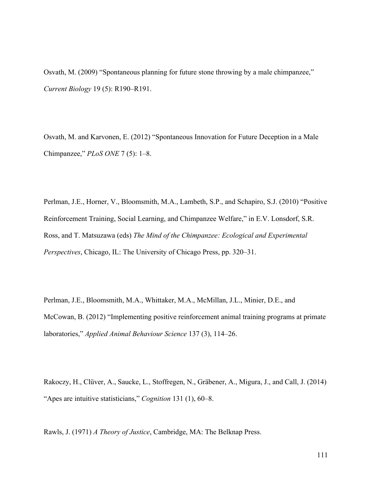Osvath, M. (2009) "Spontaneous planning for future stone throwing by a male chimpanzee," *Current Biology* 19 (5): R190–R191.

Osvath, M. and Karvonen, E. (2012) "Spontaneous Innovation for Future Deception in a Male Chimpanzee," *PLoS ONE* 7 (5): 1–8.

Perlman, J.E., Horner, V., Bloomsmith, M.A., Lambeth, S.P., and Schapiro, S.J. (2010) "Positive Reinforcement Training, Social Learning, and Chimpanzee Welfare," in E.V. Lonsdorf, S.R. Ross, and T. Matsuzawa (eds) *The Mind of the Chimpanzee: Ecological and Experimental Perspectives*, Chicago, IL: The University of Chicago Press, pp. 320–31.

Perlman, J.E., Bloomsmith, M.A., Whittaker, M.A., McMillan, J.L., Minier, D.E., and McCowan, B. (2012) "Implementing positive reinforcement animal training programs at primate laboratories," *Applied Animal Behaviour Science* 137 (3), 114–26.

Rakoczy, H., Clüver, A., Saucke, L., Stoffregen, N., Gräbener, A., Migura, J., and Call, J. (2014) "Apes are intuitive statisticians," *Cognition* 131 (1), 60–8.

Rawls, J. (1971) *A Theory of Justice*, Cambridge, MA: The Belknap Press.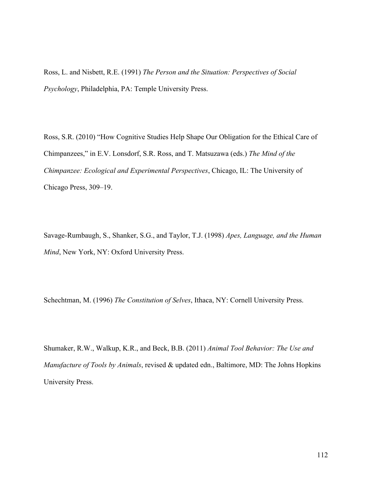Ross, L. and Nisbett, R.E. (1991) *The Person and the Situation: Perspectives of Social Psychology*, Philadelphia, PA: Temple University Press.

Ross, S.R. (2010) "How Cognitive Studies Help Shape Our Obligation for the Ethical Care of Chimpanzees," in E.V. Lonsdorf, S.R. Ross, and T. Matsuzawa (eds.) *The Mind of the Chimpanzee: Ecological and Experimental Perspectives*, Chicago, IL: The University of Chicago Press, 309–19.

Savage-Rumbaugh, S., Shanker, S.G., and Taylor, T.J. (1998) *Apes, Language, and the Human Mind*, New York, NY: Oxford University Press.

Schechtman, M. (1996) *The Constitution of Selves*, Ithaca, NY: Cornell University Press.

Shumaker, R.W., Walkup, K.R., and Beck, B.B. (2011) *Animal Tool Behavior: The Use and Manufacture of Tools by Animals*, revised & updated edn., Baltimore, MD: The Johns Hopkins University Press.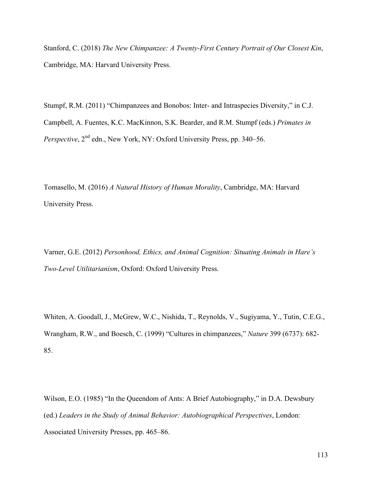Stanford, C. (2018) *The New Chimpanzee: A Twenty-First Century Portrait of Our Closest Kin*, Cambridge, MA: Harvard University Press.

Stumpf, R.M. (2011) "Chimpanzees and Bonobos: Inter- and Intraspecies Diversity," in C.J. Campbell, A. Fuentes, K.C. MacKinnon, S.K. Bearder, and R.M. Stumpf (eds.) *Primates in Perspective*,  $2^{nd}$  edn., New York, NY: Oxford University Press, pp. 340–56.

Tomasello, M. (2016) *A Natural History of Human Morality*, Cambridge, MA: Harvard University Press.

Varner, G.E. (2012) *Personhood, Ethics, and Animal Cognition: Situating Animals in Hare's Two-Level Utilitarianism*, Oxford: Oxford University Press.

Whiten, A. Goodall, J., McGrew, W.C., Nishida, T., Reynolds, V., Sugiyama, Y., Tutin, C.E.G., Wrangham, R.W., and Boesch, C. (1999) "Cultures in chimpanzees," *Nature* 399 (6737): 682- 85.

Wilson, E.O. (1985) "In the Queendom of Ants: A Brief Autobiography," in D.A. Dewsbury (ed.) *Leaders in the Study of Animal Behavior: Autobiographical Perspectives*, London: Associated University Presses, pp. 465–86.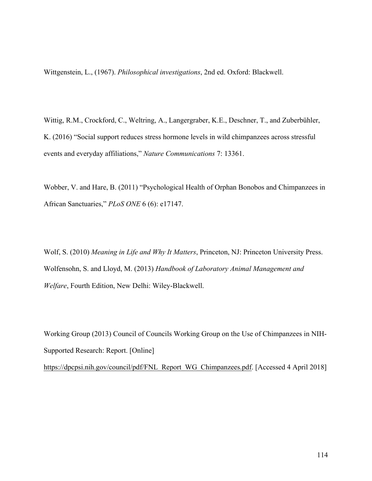Wittgenstein, L., (1967). *Philosophical investigations*, 2nd ed. Oxford: Blackwell.

Wittig, R.M., Crockford, C., Weltring, A., Langergraber, K.E., Deschner, T., and Zuberbühler, K. (2016) "Social support reduces stress hormone levels in wild chimpanzees across stressful events and everyday affiliations," *Nature Communications* 7: 13361.

Wobber, V. and Hare, B. (2011) "Psychological Health of Orphan Bonobos and Chimpanzees in African Sanctuaries," *PLoS ONE* 6 (6): e17147.

Wolf, S. (2010) *Meaning in Life and Why It Matters*, Princeton, NJ: Princeton University Press. Wolfensohn, S. and Lloyd, M. (2013) *Handbook of Laboratory Animal Management and Welfare*, Fourth Edition, New Delhi: Wiley-Blackwell.

Working Group (2013) Council of Councils Working Group on the Use of Chimpanzees in NIH-Supported Research: Report. [Online] https://dpcpsi.nih.gov/council/pdf/FNL\_Report\_WG\_Chimpanzees.pdf. [Accessed 4 April 2018]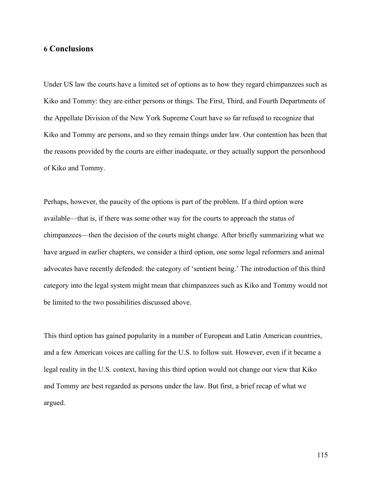#### **6 Conclusions**

Under US law the courts have a limited set of options as to how they regard chimpanzees such as Kiko and Tommy: they are either persons or things. The First, Third, and Fourth Departments of the Appellate Division of the New York Supreme Court have so far refused to recognize that Kiko and Tommy are persons, and so they remain things under law. Our contention has been that the reasons provided by the courts are either inadequate, or they actually support the personhood of Kiko and Tommy.

Perhaps, however, the paucity of the options is part of the problem. If a third option were available—that is, if there was some other way for the courts to approach the status of chimpanzees—then the decision of the courts might change. After briefly summarizing what we have argued in earlier chapters, we consider a third option, one some legal reformers and animal advocates have recently defended: the category of 'sentient being.' The introduction of this third category into the legal system might mean that chimpanzees such as Kiko and Tommy would not be limited to the two possibilities discussed above.

This third option has gained popularity in a number of European and Latin American countries, and a few American voices are calling for the U.S. to follow suit. However, even if it became a legal reality in the U.S. context, having this third option would not change our view that Kiko and Tommy are best regarded as persons under the law. But first, a brief recap of what we argued.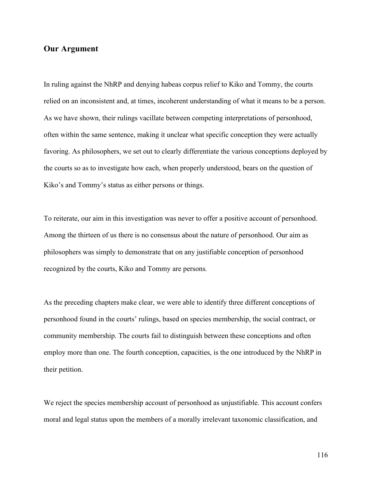# **Our Argument**

In ruling against the NhRP and denying habeas corpus relief to Kiko and Tommy, the courts relied on an inconsistent and, at times, incoherent understanding of what it means to be a person. As we have shown, their rulings vacillate between competing interpretations of personhood, often within the same sentence, making it unclear what specific conception they were actually favoring. As philosophers, we set out to clearly differentiate the various conceptions deployed by the courts so as to investigate how each, when properly understood, bears on the question of Kiko's and Tommy's status as either persons or things.

To reiterate, our aim in this investigation was never to offer a positive account of personhood. Among the thirteen of us there is no consensus about the nature of personhood. Our aim as philosophers was simply to demonstrate that on any justifiable conception of personhood recognized by the courts, Kiko and Tommy are persons*.*

As the preceding chapters make clear, we were able to identify three different conceptions of personhood found in the courts' rulings, based on species membership, the social contract, or community membership. The courts fail to distinguish between these conceptions and often employ more than one. The fourth conception, capacities, is the one introduced by the NhRP in their petition.

We reject the species membership account of personhood as unjustifiable. This account confers moral and legal status upon the members of a morally irrelevant taxonomic classification, and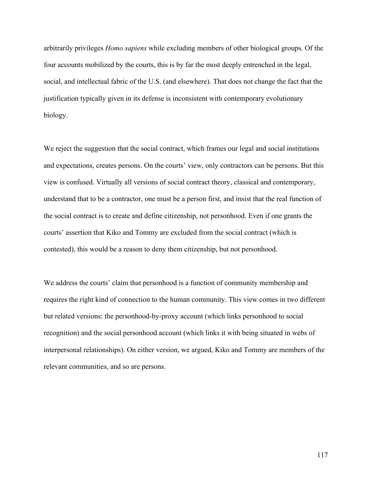arbitrarily privileges *Homo sapiens* while excluding members of other biological groups. Of the four accounts mobilized by the courts, this is by far the most deeply entrenched in the legal, social, and intellectual fabric of the U.S. (and elsewhere). That does not change the fact that the justification typically given in its defense is inconsistent with contemporary evolutionary biology.

We reject the suggestion that the social contract, which frames our legal and social institutions and expectations, creates persons. On the courts' view, only contractors can be persons. But this view is confused. Virtually all versions of social contract theory, classical and contemporary, understand that to be a contractor, one must be a person first, and insist that the real function of the social contract is to create and define citizenship, not personhood. Even if one grants the courts' assertion that Kiko and Tommy are excluded from the social contract (which is contested), this would be a reason to deny them citizenship, but not personhood.

We address the courts' claim that personhood is a function of community membership and requires the right kind of connection to the human community. This view comes in two different but related versions: the personhood-by-proxy account (which links personhood to social recognition) and the social personhood account (which links it with being situated in webs of interpersonal relationships). On either version, we argued, Kiko and Tommy are members of the relevant communities, and so are persons.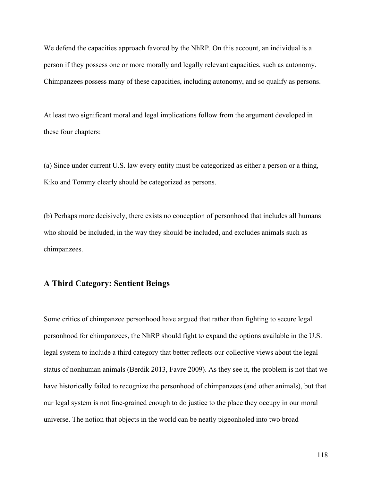We defend the capacities approach favored by the NhRP. On this account, an individual is a person if they possess one or more morally and legally relevant capacities, such as autonomy. Chimpanzees possess many of these capacities, including autonomy, and so qualify as persons.

At least two significant moral and legal implications follow from the argument developed in these four chapters:

(a) Since under current U.S. law every entity must be categorized as either a person or a thing, Kiko and Tommy clearly should be categorized as persons.

(b) Perhaps more decisively, there exists no conception of personhood that includes all humans who should be included, in the way they should be included, and excludes animals such as chimpanzees.

### **A Third Category: Sentient Beings**

Some critics of chimpanzee personhood have argued that rather than fighting to secure legal personhood for chimpanzees, the NhRP should fight to expand the options available in the U.S. legal system to include a third category that better reflects our collective views about the legal status of nonhuman animals (Berdik 2013, Favre 2009). As they see it, the problem is not that we have historically failed to recognize the personhood of chimpanzees (and other animals), but that our legal system is not fine-grained enough to do justice to the place they occupy in our moral universe. The notion that objects in the world can be neatly pigeonholed into two broad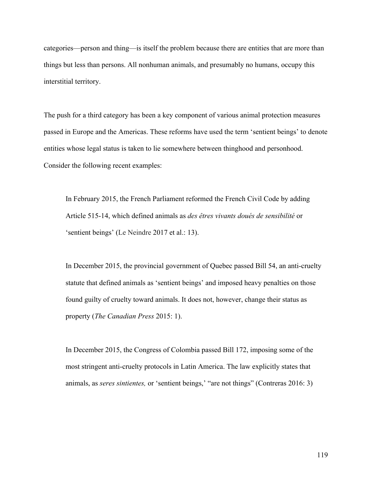categories—person and thing—is itself the problem because there are entities that are more than things but less than persons. All nonhuman animals, and presumably no humans, occupy this interstitial territory.

The push for a third category has been a key component of various animal protection measures passed in Europe and the Americas. These reforms have used the term 'sentient beings' to denote entities whose legal status is taken to lie somewhere between thinghood and personhood. Consider the following recent examples:

In February 2015, the French Parliament reformed the French Civil Code by adding Article 515-14, which defined animals as *des êtres vivants doués de sensibilité* or 'sentient beings' (Le Neindre 2017 et al.: 13).

In December 2015, the provincial government of Quebec passed Bill 54, an anti-cruelty statute that defined animals as 'sentient beings' and imposed heavy penalties on those found guilty of cruelty toward animals. It does not, however, change their status as property (*The Canadian Press* 2015: 1).

In December 2015, the Congress of Colombia passed Bill 172, imposing some of the most stringent anti-cruelty protocols in Latin America. The law explicitly states that animals, as *seres sintientes,* or 'sentient beings,' "are not things" (Contreras 2016: 3)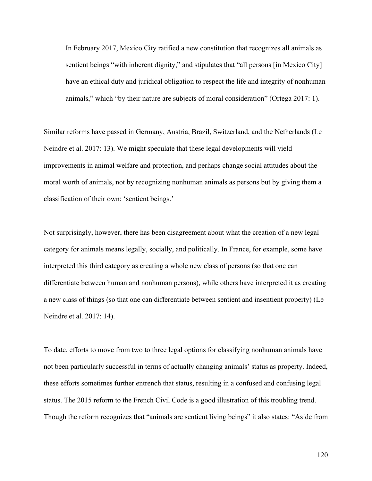In February 2017, Mexico City ratified a new constitution that recognizes all animals as sentient beings "with inherent dignity," and stipulates that "all persons [in Mexico City] have an ethical duty and juridical obligation to respect the life and integrity of nonhuman animals," which "by their nature are subjects of moral consideration" (Ortega 2017: 1).

Similar reforms have passed in Germany, Austria, Brazil, Switzerland, and the Netherlands (Le Neindre et al. 2017: 13). We might speculate that these legal developments will yield improvements in animal welfare and protection, and perhaps change social attitudes about the moral worth of animals, not by recognizing nonhuman animals as persons but by giving them a classification of their own: 'sentient beings.'

Not surprisingly, however, there has been disagreement about what the creation of a new legal category for animals means legally, socially, and politically. In France, for example, some have interpreted this third category as creating a whole new class of persons (so that one can differentiate between human and nonhuman persons), while others have interpreted it as creating a new class of things (so that one can differentiate between sentient and insentient property) (Le Neindre et al. 2017: 14).

To date, efforts to move from two to three legal options for classifying nonhuman animals have not been particularly successful in terms of actually changing animals' status as property. Indeed, these efforts sometimes further entrench that status, resulting in a confused and confusing legal status. The 2015 reform to the French Civil Code is a good illustration of this troubling trend. Though the reform recognizes that "animals are sentient living beings" it also states: "Aside from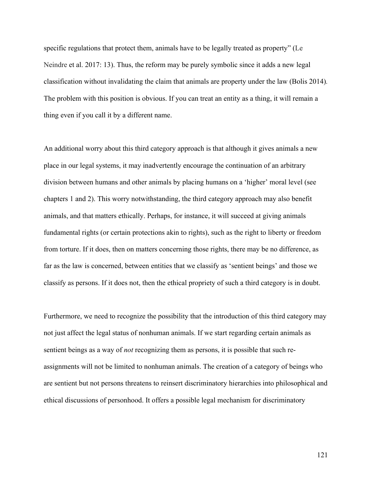specific regulations that protect them, animals have to be legally treated as property" (Le Neindre et al. 2017: 13). Thus, the reform may be purely symbolic since it adds a new legal classification without invalidating the claim that animals are property under the law (Bolis 2014)*.*  The problem with this position is obvious. If you can treat an entity as a thing, it will remain a thing even if you call it by a different name.

An additional worry about this third category approach is that although it gives animals a new place in our legal systems, it may inadvertently encourage the continuation of an arbitrary division between humans and other animals by placing humans on a 'higher' moral level (see chapters 1 and 2). This worry notwithstanding, the third category approach may also benefit animals, and that matters ethically. Perhaps, for instance, it will succeed at giving animals fundamental rights (or certain protections akin to rights), such as the right to liberty or freedom from torture. If it does, then on matters concerning those rights, there may be no difference, as far as the law is concerned, between entities that we classify as 'sentient beings' and those we classify as persons. If it does not, then the ethical propriety of such a third category is in doubt.

Furthermore, we need to recognize the possibility that the introduction of this third category may not just affect the legal status of nonhuman animals. If we start regarding certain animals as sentient beings as a way of *not* recognizing them as persons, it is possible that such reassignments will not be limited to nonhuman animals. The creation of a category of beings who are sentient but not persons threatens to reinsert discriminatory hierarchies into philosophical and ethical discussions of personhood. It offers a possible legal mechanism for discriminatory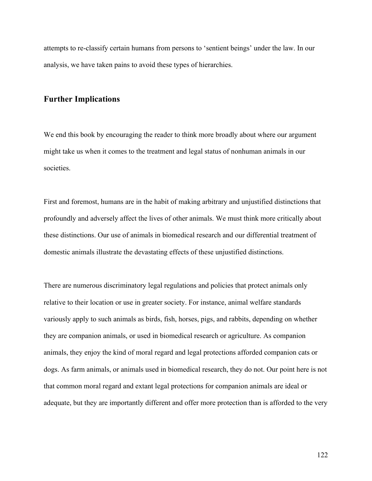attempts to re-classify certain humans from persons to 'sentient beings' under the law. In our analysis, we have taken pains to avoid these types of hierarchies.

# **Further Implications**

We end this book by encouraging the reader to think more broadly about where our argument might take us when it comes to the treatment and legal status of nonhuman animals in our societies.

First and foremost, humans are in the habit of making arbitrary and unjustified distinctions that profoundly and adversely affect the lives of other animals. We must think more critically about these distinctions. Our use of animals in biomedical research and our differential treatment of domestic animals illustrate the devastating effects of these unjustified distinctions.

There are numerous discriminatory legal regulations and policies that protect animals only relative to their location or use in greater society. For instance, animal welfare standards variously apply to such animals as birds, fish, horses, pigs, and rabbits, depending on whether they are companion animals, or used in biomedical research or agriculture. As companion animals, they enjoy the kind of moral regard and legal protections afforded companion cats or dogs. As farm animals, or animals used in biomedical research, they do not. Our point here is not that common moral regard and extant legal protections for companion animals are ideal or adequate, but they are importantly different and offer more protection than is afforded to the very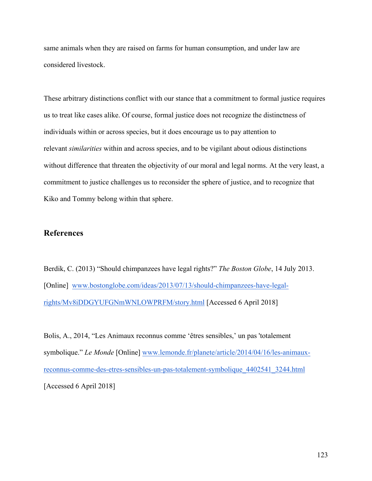same animals when they are raised on farms for human consumption, and under law are considered livestock.

These arbitrary distinctions conflict with our stance that a commitment to formal justice requires us to treat like cases alike. Of course, formal justice does not recognize the distinctness of individuals within or across species, but it does encourage us to pay attention to relevant *similarities* within and across species, and to be vigilant about odious distinctions without difference that threaten the objectivity of our moral and legal norms. At the very least, a commitment to justice challenges us to reconsider the sphere of justice, and to recognize that Kiko and Tommy belong within that sphere.

### **References**

Berdik, C. (2013) "Should chimpanzees have legal rights?" *The Boston Globe*, 14 July 2013. [Online] www.bostonglobe.com/ideas/2013/07/13/should-chimpanzees-have-legalrights/Mv8iDDGYUFGNmWNLOWPRFM/story.html [Accessed 6 April 2018]

Bolis, A., 2014, "Les Animaux reconnus comme 'êtres sensibles,' un pas 'totalement symbolique." *Le Monde* [Online] www.lemonde.fr/planete/article/2014/04/16/les-animauxreconnus-comme-des-etres-sensibles-un-pas-totalement-symbolique\_4402541\_3244.html [Accessed 6 April 2018]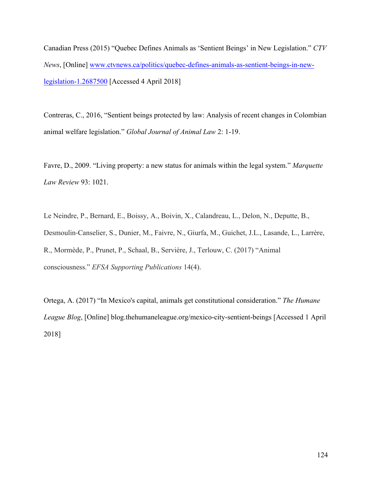Canadian Press (2015) "Quebec Defines Animals as 'Sentient Beings' in New Legislation." *CTV News*, [Online] www.ctvnews.ca/politics/quebec-defines-animals-as-sentient-beings-in-newlegislation-1.2687500 [Accessed 4 April 2018]

Contreras, C., 2016, "Sentient beings protected by law: Analysis of recent changes in Colombian animal welfare legislation." *Global Journal of Animal Law* 2: 1-19.

Favre, D., 2009. "Living property: a new status for animals within the legal system." *Marquette Law Review* 93: 1021.

Le Neindre, P., Bernard, E., Boissy, A., Boivin, X., Calandreau, L., Delon, N., Deputte, B., Desmoulin-Canselier, S., Dunier, M., Faivre, N., Giurfa, M., Guichet, J.L., Lasande, L., Larrère, R., Mormède, P., Prunet, P., Schaal, B., Servière, J., Terlouw, C. (2017) "Animal consciousness." *EFSA Supporting Publications* 14(4).

Ortega, A. (2017) "In Mexico's capital, animals get constitutional consideration." *The Humane League Blog*, [Online] blog.thehumaneleague.org/mexico-city-sentient-beings [Accessed 1 April 2018]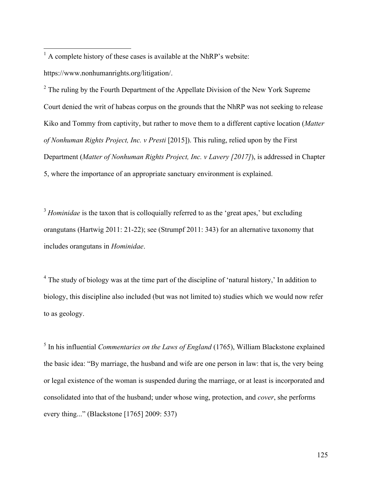$<sup>1</sup>$  A complete history of these cases is available at the NhRP's website:</sup>

https://www.nonhumanrights.org/litigation/.

 $2$  The ruling by the Fourth Department of the Appellate Division of the New York Supreme Court denied the writ of habeas corpus on the grounds that the NhRP was not seeking to release Kiko and Tommy from captivity, but rather to move them to a different captive location (*Matter of Nonhuman Rights Project, Inc. v Presti* [2015]). This ruling, relied upon by the First Department (*Matter of Nonhuman Rights Project, Inc. v Lavery [2017]*), is addressed in Chapter 5, where the importance of an appropriate sanctuary environment is explained.

<sup>3</sup> *Hominidae* is the taxon that is colloquially referred to as the 'great apes,' but excluding orangutans (Hartwig 2011: 21-22); see (Strumpf 2011: 343) for an alternative taxonomy that includes orangutans in *Hominidae*.

 $4$  The study of biology was at the time part of the discipline of 'natural history,' In addition to biology, this discipline also included (but was not limited to) studies which we would now refer to as geology.

<sup>5</sup> In his influential *Commentaries on the Laws of England* (1765), William Blackstone explained the basic idea: "By marriage, the husband and wife are one person in law: that is, the very being or legal existence of the woman is suspended during the marriage, or at least is incorporated and consolidated into that of the husband; under whose wing, protection, and *cover*, she performs every thing..." (Blackstone [1765] 2009: 537)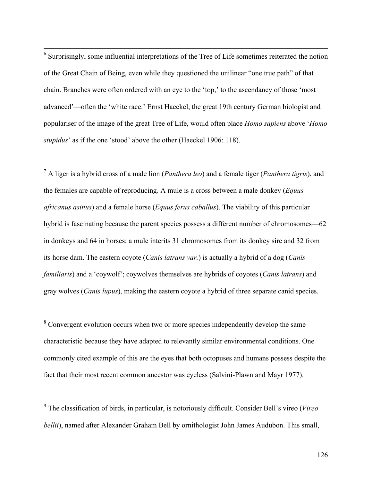<sup>6</sup> Surprisingly, some influential interpretations of the Tree of Life sometimes reiterated the notion of the Great Chain of Being, even while they questioned the unilinear "one true path" of that chain. Branches were often ordered with an eye to the 'top,' to the ascendancy of those 'most advanced'—often the 'white race.' Ernst Haeckel, the great 19th century German biologist and populariser of the image of the great Tree of Life, would often place *Homo sapiens* above '*Homo stupidus*' as if the one 'stood' above the other (Haeckel 1906: 118).

<sup>7</sup> A liger is a hybrid cross of a male lion (*Panthera leo*) and a female tiger (*Panthera tigris*), and the females are capable of reproducing. A mule is a cross between a male donkey (*Equus africanus asinus*) and a female horse (*Equus ferus caballus*). The viability of this particular hybrid is fascinating because the parent species possess a different number of chromosomes—62 in donkeys and 64 in horses; a mule interits 31 chromosomes from its donkey sire and 32 from its horse dam. The eastern coyote (*Canis latrans var.*) is actually a hybrid of a dog (*Canis familiaris*) and a 'coywolf'; coywolves themselves are hybrids of coyotes (*Canis latrans*) and gray wolves (*Canis lupus*), making the eastern coyote a hybrid of three separate canid species.

<sup>8</sup> Convergent evolution occurs when two or more species independently develop the same characteristic because they have adapted to relevantly similar environmental conditions. One commonly cited example of this are the eyes that both octopuses and humans possess despite the fact that their most recent common ancestor was eyeless (Salvini-Plawn and Mayr 1977).

<sup>9</sup> The classification of birds, in particular, is notoriously difficult. Consider Bell's vireo (*Vireo bellii*), named after Alexander Graham Bell by ornithologist John James Audubon. This small,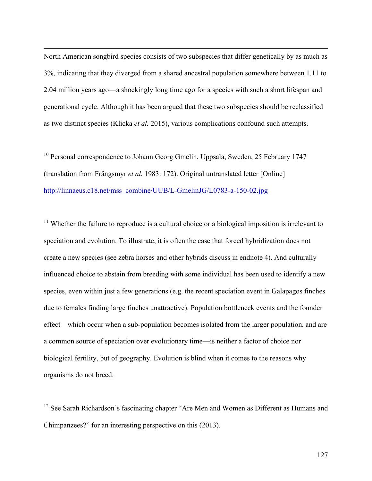North American songbird species consists of two subspecies that differ genetically by as much as 3%, indicating that they diverged from a shared ancestral population somewhere between 1.11 to 2.04 million years ago—a shockingly long time ago for a species with such a short lifespan and generational cycle. Although it has been argued that these two subspecies should be reclassified as two distinct species (Klicka *et al.* 2015), various complications confound such attempts.

 $\overline{a}$ 

<sup>10</sup> Personal correspondence to Johann Georg Gmelin, Uppsala, Sweden, 25 February 1747 (translation from Frängsmyr *et al.* 1983: 172). Original untranslated letter [Online] http://linnaeus.c18.net/mss\_combine/UUB/L-GmelinJG/L0783-a-150-02.jpg

 $11$  Whether the failure to reproduce is a cultural choice or a biological imposition is irrelevant to speciation and evolution. To illustrate, it is often the case that forced hybridization does not create a new species (see zebra horses and other hybrids discuss in endnote 4). And culturally influenced choice to abstain from breeding with some individual has been used to identify a new species, even within just a few generations (e.g. the recent speciation event in Galapagos finches due to females finding large finches unattractive). Population bottleneck events and the founder effect—which occur when a sub-population becomes isolated from the larger population, and are a common source of speciation over evolutionary time—is neither a factor of choice nor biological fertility, but of geography. Evolution is blind when it comes to the reasons why organisms do not breed.

 $12$  See Sarah Richardson's fascinating chapter "Are Men and Women as Different as Humans and Chimpanzees?" for an interesting perspective on this (2013).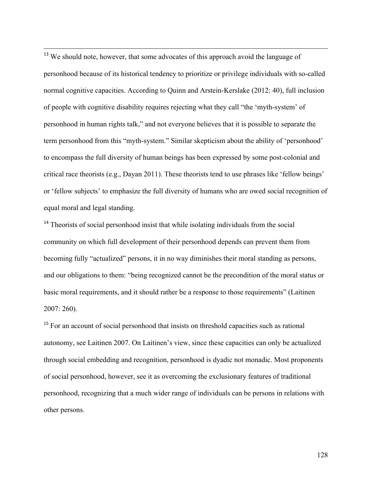<sup>13</sup> We should note, however, that some advocates of this approach avoid the language of personhood because of its historical tendency to prioritize or privilege individuals with so-called normal cognitive capacities. According to Quinn and Arstein-Kerslake (2012: 40), full inclusion of people with cognitive disability requires rejecting what they call "the 'myth-system' of personhood in human rights talk," and not everyone believes that it is possible to separate the term personhood from this "myth-system." Similar skepticism about the ability of 'personhood' to encompass the full diversity of human beings has been expressed by some post-colonial and critical race theorists (e.g., Dayan 2011). These theorists tend to use phrases like 'fellow beings' or 'fellow subjects' to emphasize the full diversity of humans who are owed social recognition of equal moral and legal standing.

 $\overline{a}$ 

<sup>14</sup> Theorists of social personhood insist that while isolating individuals from the social community on which full development of their personhood depends can prevent them from becoming fully "actualized" persons, it in no way diminishes their moral standing as persons, and our obligations to them: "being recognized cannot be the precondition of the moral status or basic moral requirements, and it should rather be a response to those requirements" (Laitinen 2007: 260).

<sup>15</sup> For an account of social personhood that insists on threshold capacities such as rational autonomy, see Laitinen 2007. On Laitinen's view, since these capacities can only be actualized through social embedding and recognition, personhood is dyadic not monadic. Most proponents of social personhood, however, see it as overcoming the exclusionary features of traditional personhood, recognizing that a much wider range of individuals can be persons in relations with other persons.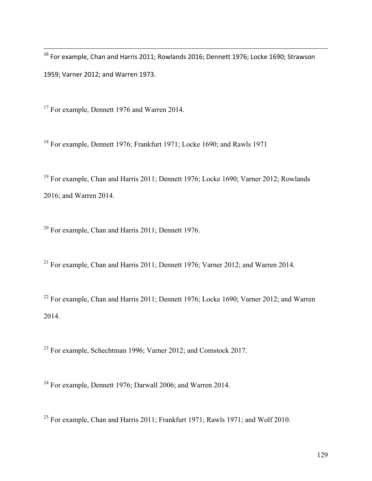$^{16}$  For example, Chan and Harris 2011; Rowlands 2016; Dennett 1976; Locke 1690; Strawson 1959; Varner 2012; and Warren 1973.

<sup>17</sup> For example, Dennett 1976 and Warren 2014.

 $\overline{a}$ 

<sup>18</sup> For example, Dennett 1976; Frankfurt 1971; Locke 1690; and Rawls 1971

<sup>19</sup> For example, Chan and Harris 2011; Dennett 1976; Locke 1690; Varner 2012; Rowlands 2016; and Warren 2014.

<sup>20</sup> For example, Chan and Harris 2011; Dennett 1976.

<sup>21</sup> For example, Chan and Harris 2011; Dennett 1976; Varner 2012; and Warren 2014.

<sup>22</sup> For example, Chan and Harris 2011; Dennett 1976; Locke 1690; Varner 2012; and Warren 2014.

<sup>23</sup> For example, Schechtman 1996; Varner 2012; and Comstock 2017.

<sup>24</sup> For example, Dennett 1976; Darwall 2006; and Warren 2014.

<sup>25</sup> For example, Chan and Harris 2011; Frankfurt 1971; Rawls 1971; and Wolf 2010.